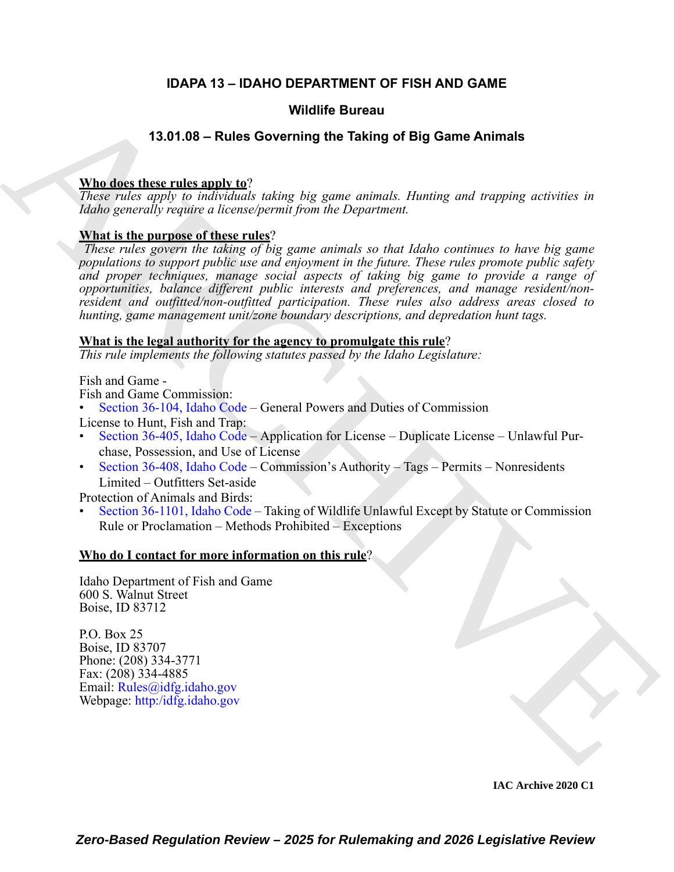## **IDAPA 13 – IDAHO DEPARTMENT OF FISH AND GAME**

#### **Wildlife Bureau**

## **13.01.08 – Rules Governing the Taking of Big Game Animals**

#### **Who does these rules apply to**?

*These rules apply to individuals taking big game animals. Hunting and trapping activities in Idaho generally require a license/permit from the Department.*

#### **What is the purpose of these rules**?

**VALUE GOVERNIGE GUITER (EVENIT AR[C](https://legislature.idaho.gov/statutesrules/idstat/Title36/T36CH1/SECT36-104/)HIT[E](https://idfg.idaho.gov)CT)**<br> **[V](mailto:Rules@idfg.idaho.gov)ALUE CONFIDENCE CONFIDENCE**<br>
These realist negative is a significantly the matrice of the strained in the Department.<br> **VALUE ARCHIVE START CONFIDENT** is a significant in the *These rules govern the taking of big game animals so that Idaho continues to have big game populations to support public use and enjoyment in the future. These rules promote public safety and proper techniques, manage social aspects of taking big game to provide a range of opportunities, balance different public interests and preferences, and manage resident/nonresident and outfitted/non-outfitted participation. These rules also address areas closed to hunting, game management unit/zone boundary descriptions, and depredation hunt tags.* 

#### **What is the legal authority for the agency to promulgate this rule**?

*This rule implements the following statutes passed by the Idaho Legislature:*

Fish and Game -

Fish and Game Commission:

• Section 36-104, Idaho Code – General Powers and Duties of Commission

License to Hunt, Fish and Trap:

- Section 36-405, Idaho Code Application for License Duplicate License Unlawful Purchase, Possession, and Use of License
- Section 36-408, Idaho Code Commission's Authority Tags Permits Nonresidents Limited – Outfitters Set-aside

Protection of Animals and Birds:

• Section 36-1101, Idaho Code – Taking of Wildlife Unlawful Except by Statute or Commission Rule or Proclamation – Methods Prohibited – Exceptions

#### **Who do I contact for more information on this rule**?

Idaho Department of Fish and Game 600 S. Walnut Street Boise, ID 83712

P.O. Box 25 Boise, ID 83707 Phone: (208) 334-3771 Fax: (208) 334-4885 Email: Rules@idfg.idaho.gov Webpage: http:/idfg.idaho.gov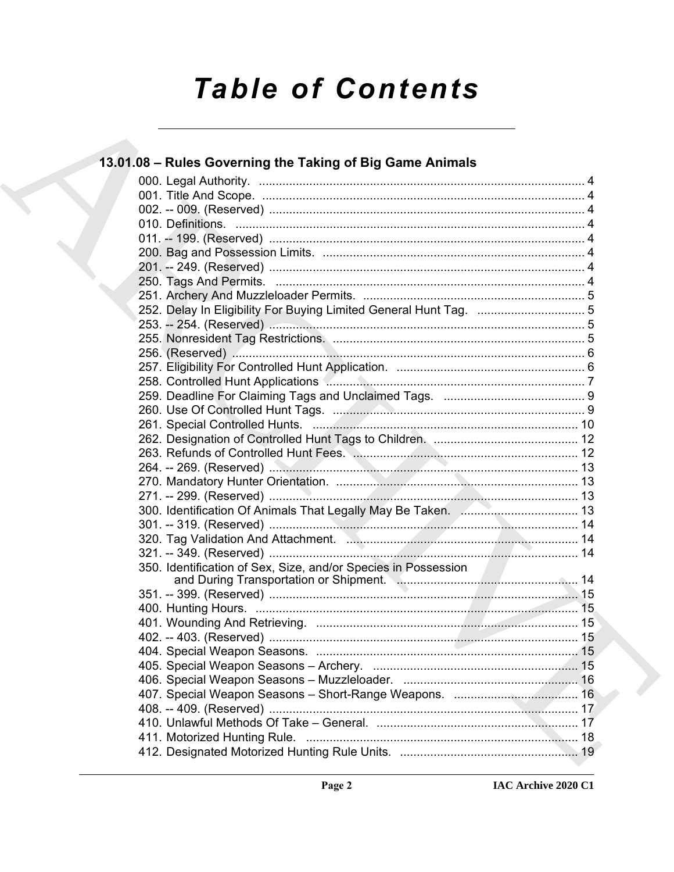# **Table of Contents**

| 13.01.08 - Rules Governing the Taking of Big Game Animals         |  |
|-------------------------------------------------------------------|--|
|                                                                   |  |
|                                                                   |  |
|                                                                   |  |
|                                                                   |  |
|                                                                   |  |
|                                                                   |  |
|                                                                   |  |
|                                                                   |  |
|                                                                   |  |
| 252. Delay In Eligibility For Buying Limited General Hunt Tag.  5 |  |
|                                                                   |  |
|                                                                   |  |
|                                                                   |  |
|                                                                   |  |
|                                                                   |  |
|                                                                   |  |
|                                                                   |  |
|                                                                   |  |
|                                                                   |  |
|                                                                   |  |
|                                                                   |  |
|                                                                   |  |
|                                                                   |  |
|                                                                   |  |
|                                                                   |  |
|                                                                   |  |
|                                                                   |  |
|                                                                   |  |
|                                                                   |  |
|                                                                   |  |
|                                                                   |  |
|                                                                   |  |
|                                                                   |  |
|                                                                   |  |
|                                                                   |  |
|                                                                   |  |
|                                                                   |  |
|                                                                   |  |
|                                                                   |  |
|                                                                   |  |
|                                                                   |  |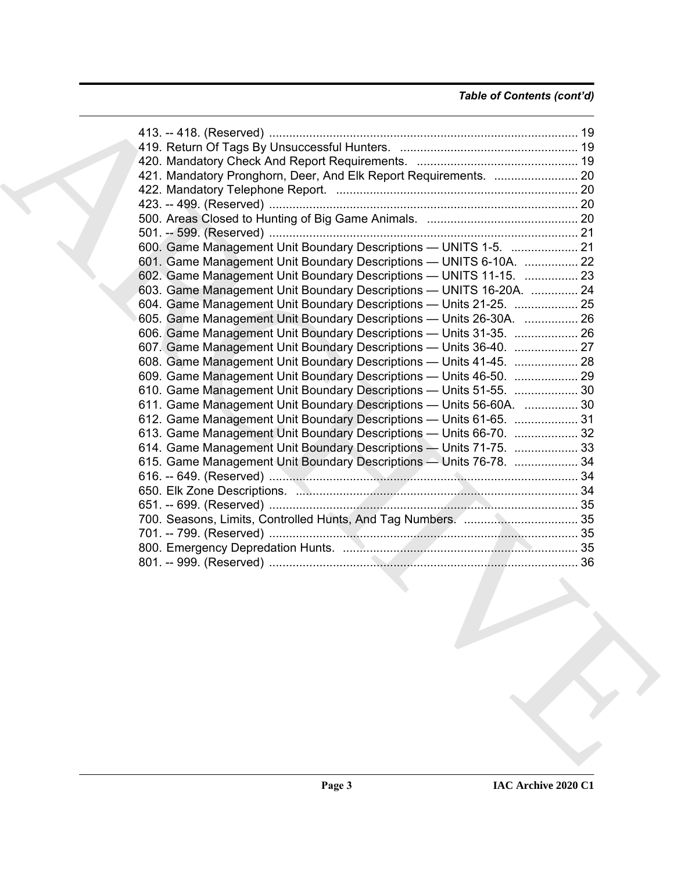## *Table of Contents (cont'd)*

| 421. Mandatory Pronghorn, Deer, And Elk Report Requirements.  20    |  |
|---------------------------------------------------------------------|--|
|                                                                     |  |
|                                                                     |  |
|                                                                     |  |
|                                                                     |  |
| 600. Game Management Unit Boundary Descriptions - UNITS 1-5.  21    |  |
| 601. Game Management Unit Boundary Descriptions - UNITS 6-10A.  22  |  |
| 602. Game Management Unit Boundary Descriptions - UNITS 11-15.  23  |  |
| 603. Game Management Unit Boundary Descriptions - UNITS 16-20A.  24 |  |
|                                                                     |  |
| 604. Game Management Unit Boundary Descriptions - Units 21-25.  25  |  |
| 605. Game Management Unit Boundary Descriptions - Units 26-30A.  26 |  |
| 606. Game Management Unit Boundary Descriptions - Units 31-35.  26  |  |
| 607. Game Management Unit Boundary Descriptions - Units 36-40.  27  |  |
| 608. Game Management Unit Boundary Descriptions - Units 41-45.  28  |  |
| 609. Game Management Unit Boundary Descriptions - Units 46-50.  29  |  |
| 610. Game Management Unit Boundary Descriptions - Units 51-55.  30  |  |
| 611. Game Management Unit Boundary Descriptions - Units 56-60A.  30 |  |
| 612. Game Management Unit Boundary Descriptions - Units 61-65.  31  |  |
| 613. Game Management Unit Boundary Descriptions - Units 66-70.  32  |  |
| 614. Game Management Unit Boundary Descriptions - Units 71-75.  33  |  |
| 615. Game Management Unit Boundary Descriptions - Units 76-78.  34  |  |
|                                                                     |  |
|                                                                     |  |
|                                                                     |  |
|                                                                     |  |
|                                                                     |  |
|                                                                     |  |
|                                                                     |  |
|                                                                     |  |
|                                                                     |  |
|                                                                     |  |
|                                                                     |  |
|                                                                     |  |
|                                                                     |  |
|                                                                     |  |
|                                                                     |  |
|                                                                     |  |
|                                                                     |  |
|                                                                     |  |
|                                                                     |  |
|                                                                     |  |
|                                                                     |  |
|                                                                     |  |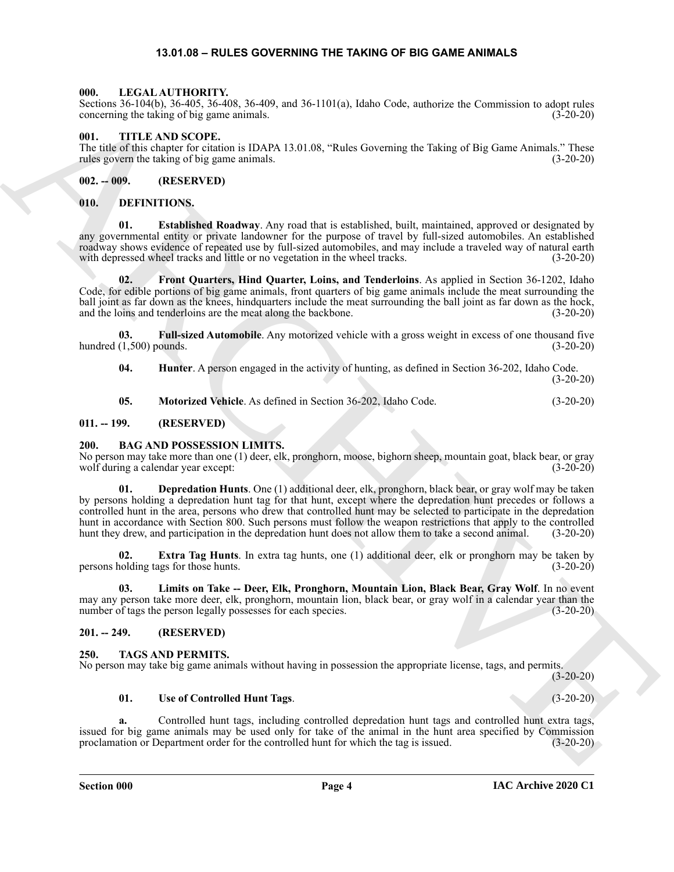#### **13.01.08 – RULES GOVERNING THE TAKING OF BIG GAME ANIMALS**

#### <span id="page-3-19"></span><span id="page-3-1"></span><span id="page-3-0"></span>**000. LEGAL AUTHORITY.**

Sections 36-104(b), 36-405, 36-408, 36-409, and 36-1101(a), Idaho Code, authorize the Commission to adopt rules concerning the taking of big game animals. (3-20-20)

#### <span id="page-3-22"></span><span id="page-3-2"></span>**001. TITLE AND SCOPE.**

The title of this chapter for citation is IDAPA 13.01.08, "Rules Governing the Taking of Big Game Animals." These rules govern the taking of big game animals. (3-20-20)

#### <span id="page-3-3"></span>**002. -- 009. (RESERVED)**

#### <span id="page-3-13"></span><span id="page-3-4"></span>**010. DEFINITIONS.**

<span id="page-3-14"></span>**01. Established Roadway**. Any road that is established, built, maintained, approved or designated by any governmental entity or private landowner for the purpose of travel by full-sized automobiles. An established roadway shows evidence of repeated use by full-sized automobiles, and may include a traveled way of natural earth with depressed wheel tracks and little or no vegetation in the wheel tracks. (3-20-20)

<span id="page-3-15"></span>**02. Front Quarters, Hind Quarter, Loins, and Tenderloins**. As applied in Section 36-1202, Idaho Code, for edible portions of big game animals, front quarters of big game animals include the meat surrounding the ball joint as far down as the knees, hindquarters include the meat surrounding the ball joint as far down as the hock, and the loins and tenderloins are the meat along the backbone. (3-20-20)

**03. Full-sized Automobile**. Any motorized vehicle with a gross weight in excess of one thousand five hundred  $(1,500)$  pounds.  $(3-20-20)$ 

<span id="page-3-17"></span><span id="page-3-16"></span>**04. Hunter**. A person engaged in the activity of hunting, as defined in Section 36-202, Idaho Code. (3-20-20)

<span id="page-3-18"></span><span id="page-3-9"></span>**05. Motorized Vehicle**. As defined in Section 36-202, Idaho Code. (3-20-20)

#### <span id="page-3-5"></span>**011. -- 199. (RESERVED)**

#### <span id="page-3-6"></span>**200. BAG AND POSSESSION LIMITS.**

<span id="page-3-10"></span>No person may take more than one (1) deer, elk, pronghorn, moose, bighorn sheep, mountain goat, black bear, or gray wolf during a calendar year except: (3-20-20) wolf during a calendar year except:

Sources the plot (1), solid, 2, because the space and the space of the space of the space of the space of the space of the space of the space of the space of the space of the space of the space of the space of the space o **01. Depredation Hunts**. One (1) additional deer, elk, pronghorn, black bear, or gray wolf may be taken by persons holding a depredation hunt tag for that hunt, except where the depredation hunt precedes or follows a controlled hunt in the area, persons who drew that controlled hunt may be selected to participate in the depredation hunt in accordance with Section 800. Such persons must follow the weapon restrictions that apply to the controlled hunt they drew, and participation in the depredation hunt does not allow them to take a second animal. (3-20-20)

<span id="page-3-11"></span>**02. Extra Tag Hunts**. In extra tag hunts, one (1) additional deer, elk or pronghorn may be taken by persons holding tags for those hunts. (3-20-20)

<span id="page-3-12"></span>**03. Limits on Take -- Deer, Elk, Pronghorn, Mountain Lion, Black Bear, Gray Wolf**. In no event may any person take more deer, elk, pronghorn, mountain lion, black bear, or gray wolf in a calendar year than the number of tags the person legally possesses for each species. (3-20-20)

#### <span id="page-3-7"></span>**201. -- 249. (RESERVED)**

#### <span id="page-3-20"></span><span id="page-3-8"></span>**250. TAGS AND PERMITS.**

No person may take big game animals without having in possession the appropriate license, tags, and permits.

(3-20-20)

#### <span id="page-3-21"></span>**01. Use of Controlled Hunt Tags**. (3-20-20)

**a.** Controlled hunt tags, including controlled depredation hunt tags and controlled hunt extra tags, issued for big game animals may be used only for take of the animal in the hunt area specified by Commission proclamation or Department order for the controlled hunt for which the tag is issued. (3-20-20)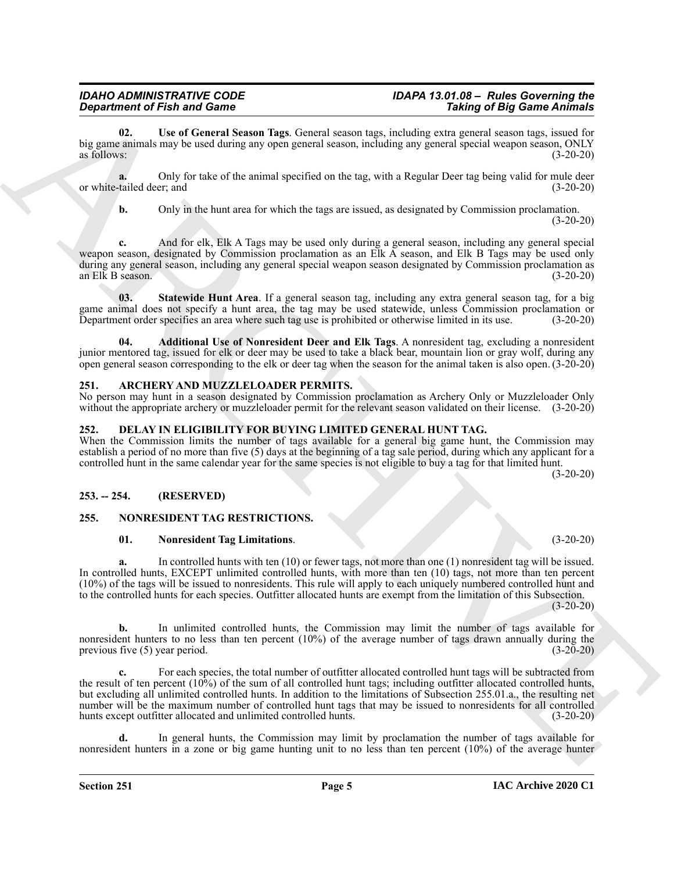## *IDAHO ADMINISTRATIVE CODE IDAPA 13.01.08 – Rules Governing the*

<span id="page-4-10"></span>**02. Use of General Season Tags**. General season tags, including extra general season tags, issued for big game animals may be used during any open general season, including any general special weapon season, ONLY as follows:  $(3-20-20)$ 

**a.** Only for take of the animal specified on the tag, with a Regular Deer tag being valid for mule deer or white-tailed deer; and (3-20-20)

**b.** Only in the hunt area for which the tags are issued, as designated by Commission proclamation.

 $(3-20-20)$ 

**c.** And for elk, Elk A Tags may be used only during a general season, including any general special weapon season, designated by Commission proclamation as an Elk A season, and Elk B Tags may be used only during any general season, including any general special weapon season designated by Commission proclamation as an Elk B season. (3-20-20)

<span id="page-4-9"></span>**03. Statewide Hunt Area**. If a general season tag, including any extra general season tag, for a big game animal does not specify a hunt area, the tag may be used statewide, unless Commission proclamation or Department order specifies an area where such tag use is prohibited or otherwise limited in its use. (3-20-20)

<span id="page-4-8"></span>**04. Additional Use of Nonresident Deer and Elk Tags**. A nonresident tag, excluding a nonresident junior mentored tag, issued for elk or deer may be used to take a black bear, mountain lion or gray wolf, during any open general season corresponding to the elk or deer tag when the season for the animal taken is also open. (3-20-20)

#### <span id="page-4-4"></span><span id="page-4-0"></span>**251. ARCHERY AND MUZZLELOADER PERMITS.**

No person may hunt in a season designated by Commission proclamation as Archery Only or Muzzleloader Only without the appropriate archery or muzzleloader permit for the relevant season validated on their license. (3-20-20)

#### <span id="page-4-5"></span><span id="page-4-1"></span>**252. DELAY IN ELIGIBILITY FOR BUYING LIMITED GENERAL HUNT TAG.**

When the Commission limits the number of tags available for a general big game hunt, the Commission may establish a period of no more than five (5) days at the beginning of a tag sale period, during which any applicant for a controlled hunt in the same calendar year for the same species is not eligible to buy a tag for that limited hunt.

(3-20-20)

#### <span id="page-4-2"></span>**253. -- 254. (RESERVED)**

#### <span id="page-4-3"></span>**255. NONRESIDENT TAG RESTRICTIONS.**

#### <span id="page-4-7"></span><span id="page-4-6"></span>**01. Nonresident Tag Limitations**. (3-20-20)

**a.** In controlled hunts with ten (10) or fewer tags, not more than one (1) nonresident tag will be issued. In controlled hunts, EXCEPT unlimited controlled hunts, with more than ten (10) tags, not more than ten percent (10%) of the tags will be issued to nonresidents. This rule will apply to each uniquely numbered controlled hunt and to the controlled hunts for each species. Outfitter allocated hunts are exempt from the limitation of this Subsection.

(3-20-20)

**b.** In unlimited controlled hunts, the Commission may limit the number of tags available for nonresident hunters to no less than ten percent (10%) of the average number of tags drawn annually during the previous five (5) year period. (3-20-20)

**Expansion of Finit and Contract State Contract State Contract State Contract State Contract State Contract State Contract State Contract State Contract State Contract State Contract State Contract State Contract State Co c.** For each species, the total number of outfitter allocated controlled hunt tags will be subtracted from the result of ten percent (10%) of the sum of all controlled hunt tags; including outfitter allocated controlled hunts, but excluding all unlimited controlled hunts. In addition to the limitations of Subsection 255.01.a., the resulting net number will be the maximum number of controlled hunt tags that may be issued to nonresidents for all controlled hunts except outfitter allocated and unlimited controlled hunts. (3-20-20)

**d.** In general hunts, the Commission may limit by proclamation the number of tags available for nonresident hunters in a zone or big game hunting unit to no less than ten percent (10%) of the average hunter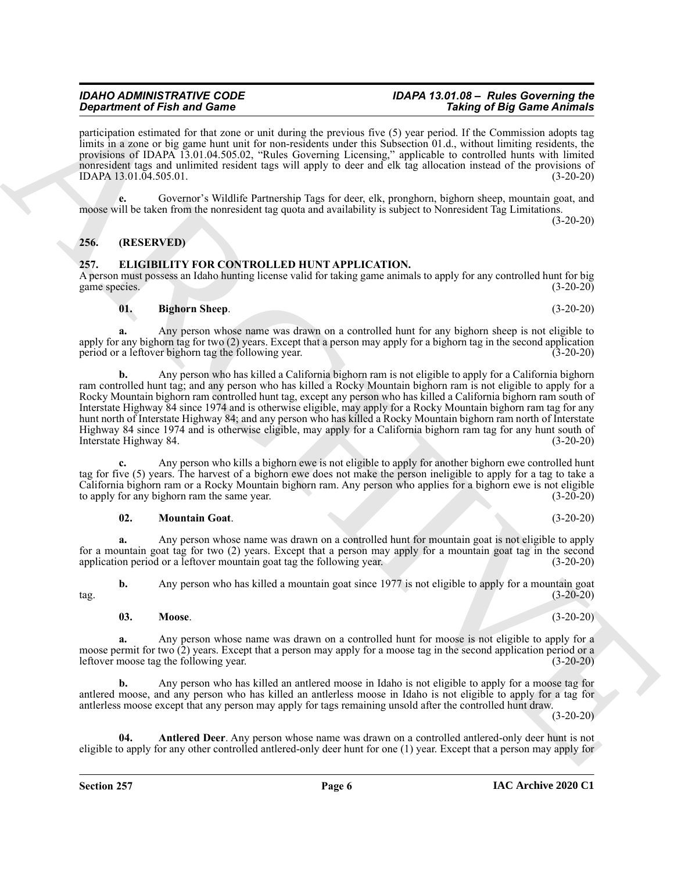*IDAHO ADMINISTRATIVE CODE IDAPA 13.01.08 – Rules Governing the*

participation estimated for that zone or unit during the previous five (5) year period. If the Commission adopts tag limits in a zone or big game hunt unit for non-residents under this Subsection 01.d., without limiting residents, the provisions of IDAPA 13.01.04.505.02, "Rules Governing Licensing," applicable to controlled hunts with limited nonresident tags and unlimited resident tags will apply to deer and elk tag allocation instead of the provisions of IDAPA 13.01.04.505.01. (3-20-20)

**e.** Governor's Wildlife Partnership Tags for deer, elk, pronghorn, bighorn sheep, mountain goat, and moose will be taken from the nonresident tag quota and availability is subject to Nonresident Tag Limitations.

 $(3-20-20)$ 

#### <span id="page-5-0"></span>**256. (RESERVED)**

#### <span id="page-5-2"></span><span id="page-5-1"></span>**257. ELIGIBILITY FOR CONTROLLED HUNT APPLICATION.**

A person must possess an Idaho hunting license valid for taking game animals to apply for any controlled hunt for big game species. (3-20-20)

#### <span id="page-5-4"></span>**01. Bighorn Sheep**. (3-20-20)

**a.** Any person whose name was drawn on a controlled hunt for any bighorn sheep is not eligible to apply for any bighorn tag for two (2) years. Except that a person may apply for a bighorn tag in the second application period or a leftover bighorn tag the following year. (3-20-20)

**Signation of Finish and Gone Control dentishing the projection and Like the Singary Control denta in the Singary Control dentishing the singary of Figure 2013 (and Control dentishing the Singary Control denta in the Sin b.** Any person who has killed a California bighorn ram is not eligible to apply for a California bighorn ram controlled hunt tag; and any person who has killed a Rocky Mountain bighorn ram is not eligible to apply for a Rocky Mountain bighorn ram controlled hunt tag, except any person who has killed a California bighorn ram south of Interstate Highway 84 since 1974 and is otherwise eligible, may apply for a Rocky Mountain bighorn ram tag for any hunt north of Interstate Highway 84; and any person who has killed a Rocky Mountain bighorn ram north of Interstate Highway 84 since 1974 and is otherwise eligible, may apply for a California bighorn ram tag for any hunt south of Interstate Highway 84. (3-20-20)

**c.** Any person who kills a bighorn ewe is not eligible to apply for another bighorn ewe controlled hunt tag for five (5) years. The harvest of a bighorn ewe does not make the person ineligible to apply for a tag to take a California bighorn ram or a Rocky Mountain bighorn ram. Any person who applies for a bighorn ewe is not eligible to apply for any bighorn ram the same year. (3-20-20)

#### <span id="page-5-6"></span>**02. Mountain Goat**. (3-20-20)

**a.** Any person whose name was drawn on a controlled hunt for mountain goat is not eligible to apply for a mountain goat tag for two (2) years. Except that a person may apply for a mountain goat tag in the second application period or a leftover mountain goat tag the following year. (3-20-20) application period or a leftover mountain goat tag the following year.

**b.** Any person who has killed a mountain goat since 1977 is not eligible to apply for a mountain goat  $\text{tag.} (3-20-20)$ 

#### <span id="page-5-5"></span>**03. Moose**. (3-20-20)

**a.** Any person whose name was drawn on a controlled hunt for moose is not eligible to apply for a moose permit for two (2) years. Except that a person may apply for a moose tag in the second application period or a leftover moose tag the following year. (3-20-20)

**b.** Any person who has killed an antlered moose in Idaho is not eligible to apply for a moose tag for antlered moose, and any person who has killed an antlerless moose in Idaho is not eligible to apply for a tag for antlerless moose except that any person may apply for tags remaining unsold after the controlled hunt draw.

(3-20-20)

<span id="page-5-3"></span>**04. Antlered Deer**. Any person whose name was drawn on a controlled antlered-only deer hunt is not eligible to apply for any other controlled antlered-only deer hunt for one (1) year. Except that a person may apply for

#### **IAC Archive 2020 C1**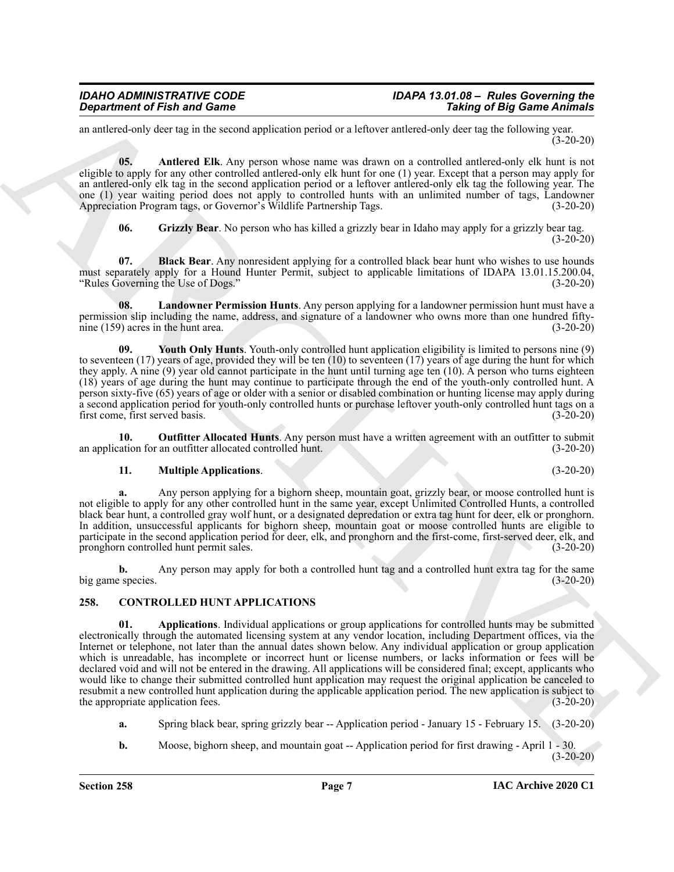an antlered-only deer tag in the second application period or a leftover antlered-only deer tag the following year.  $(3-20-20)$ 

<span id="page-6-3"></span>**05. Antlered Elk**. Any person whose name was drawn on a controlled antlered-only elk hunt is not eligible to apply for any other controlled antlered-only elk hunt for one (1) year. Except that a person may apply for an antlered-only elk tag in the second application period or a leftover antlered-only elk tag the following year. The one (1) year waiting period does not apply to controlled hunts with an unlimited number of tags, Landowner Appreciation Program tags, or Governor's Wildlife Partnership Tags. (3-20-20) Appreciation Program tags, or Governor's Wildlife Partnership Tags.

<span id="page-6-6"></span><span id="page-6-5"></span><span id="page-6-4"></span>**06. Grizzly Bear**. No person who has killed a grizzly bear in Idaho may apply for a grizzly bear tag. (3-20-20)

**07. Black Bear**. Any nonresident applying for a controlled black bear hunt who wishes to use hounds must separately apply for a Hound Hunter Permit, subject to applicable limitations of IDAPA 13.01.15.200.04,<br>"Rules Governing the Use of Dogs." (3-20-20) "Rules Governing the Use of Dogs."

**08. Landowner Permission Hunts**. Any person applying for a landowner permission hunt must have a permission slip including the name, address, and signature of a landowner who owns more than one hundred fiftynine (159) acres in the hunt area. (3-20-20)

<span id="page-6-9"></span>**09. Youth Only Hunts**. Youth-only controlled hunt application eligibility is limited to persons nine (9) to seventeen  $(17)$  years of age, provided they will be ten  $(10)$  to seventeen  $(17)$  years of age during the hunt for which they apply. A nine (9) year old cannot participate in the hunt until turning age ten (10). A person who turns eighteen (18) years of age during the hunt may continue to participate through the end of the youth-only controlled hunt. A person sixty-five (65) years of age or older with a senior or disabled combination or hunting license may apply during a second application period for youth-only controlled hunts or purchase leftover youth-only controlled hunt tags on a first come, first served basis. (3-20-20)

**10. Outfitter Allocated Hunts**. Any person must have a written agreement with an outfitter to submit ation for an outfitter allocated controlled hunt. (3-20-20) an application for an outfitter allocated controlled hunt.

#### <span id="page-6-8"></span><span id="page-6-7"></span>**11. Multiple Applications**. (3-20-20)

**a.** Any person applying for a bighorn sheep, mountain goat, grizzly bear, or moose controlled hunt is not eligible to apply for any other controlled hunt in the same year, except Unlimited Controlled Hunts, a controlled black bear hunt, a controlled gray wolf hunt, or a designated depredation or extra tag hunt for deer, elk or pronghorn. In addition, unsuccessful applicants for bighorn sheep, mountain goat or moose controlled hunts are eligible to participate in the second application period for deer, elk, and pronghorn and the first-come, first-served deer, elk, and pronghorn controlled hunt permit sales. (3-20-20)

**b.** Any person may apply for both a controlled hunt tag and a controlled hunt extra tag for the same big game species. (3-20-20)

#### <span id="page-6-2"></span><span id="page-6-1"></span><span id="page-6-0"></span>**258. CONTROLLED HUNT APPLICATIONS**

**Singurized Finds and Connective Systems** and the two states and the state is the state of the state of the state of the state of the state of the state of the state of the state of the state of the state of the state of **01. Applications**. Individual applications or group applications for controlled hunts may be submitted electronically through the automated licensing system at any vendor location, including Department offices, via the Internet or telephone, not later than the annual dates shown below. Any individual application or group application which is unreadable, has incomplete or incorrect hunt or license numbers, or lacks information or fees will be declared void and will not be entered in the drawing. All applications will be considered final; except, applicants who would like to change their submitted controlled hunt application may request the original application be canceled to resubmit a new controlled hunt application during the applicable application period. The new application is subject to the appropriate application fees. (3-20-20) the appropriate application fees.

- **a.** Spring black bear, spring grizzly bear -- Application period January 15 February 15. (3-20-20)
- **b.** Moose, bighorn sheep, and mountain goat -- Application period for first drawing April 1 30. (3-20-20)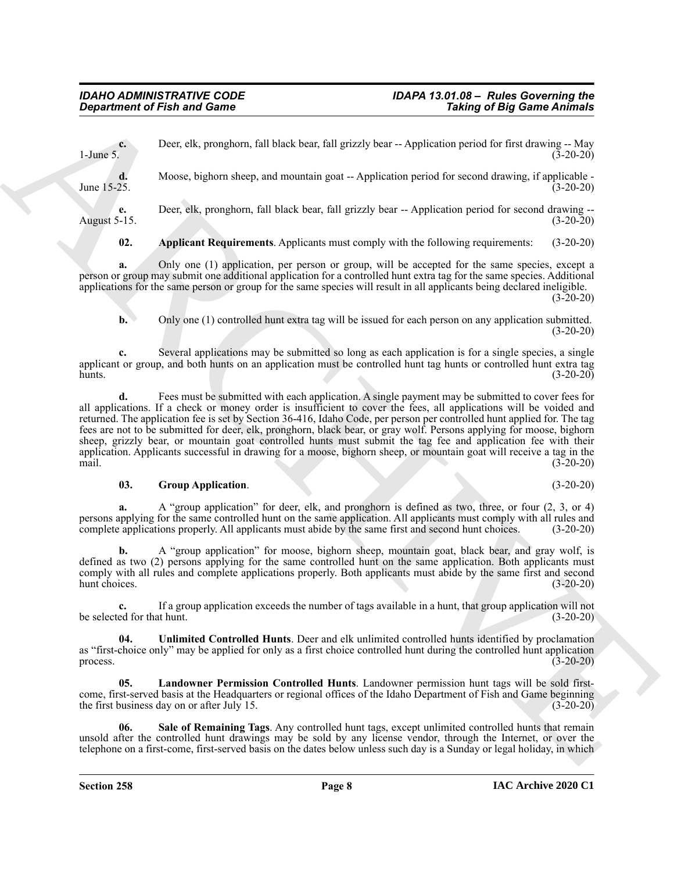**c.** Deer, elk, pronghorn, fall black bear, fall grizzly bear -- Application period for first drawing -- May 1-June 5.  $(3-20-20)$ 

**d.** Moose, bighorn sheep, and mountain goat -- Application period for second drawing, if applicable -June 15-25. (3-20-20)

**e.** Deer, elk, pronghorn, fall black bear, fall grizzly bear -- Application period for second drawing --August 5-15. (3-20-20)

<span id="page-7-0"></span>**02. Applicant Requirements**. Applicants must comply with the following requirements: (3-20-20)

**a.** Only one (1) application, per person or group, will be accepted for the same species, except a person or group may submit one additional application for a controlled hunt extra tag for the same species. Additional applications for the same person or group for the same species will result in all applicants being declared ineligible. (3-20-20)

**b.** Only one (1) controlled hunt extra tag will be issued for each person on any application submitted.  $(3-20-20)$ 

**c.** Several applications may be submitted so long as each application is for a single species, a single applicant or group, and both hunts on an application must be controlled hunt tag hunts or controlled hunt extra tag  $h$ unts.  $(3-20-20)$ 

*Department of Finith and Comes*<br>
Devel, the proximites and block boats fail grided been - Application period for faise and the spin of Big Game Andrease ( $\frac{1}{2}$  Moon, the particular and held been also the spin of th **d.** Fees must be submitted with each application. A single payment may be submitted to cover fees for all applications. If a check or money order is insufficient to cover the fees, all applications will be voided and returned. The application fee is set by Section 36-416, Idaho Code, per person per controlled hunt applied for. The tag fees are not to be submitted for deer, elk, pronghorn, black bear, or gray wolf. Persons applying for moose, bighorn sheep, grizzly bear, or mountain goat controlled hunts must submit the tag fee and application fee with their application. Applicants successful in drawing for a moose, bighorn sheep, or mountain goat will receive a tag in the mail. (3-20-20)

#### <span id="page-7-1"></span>**03. Group Application**. (3-20-20)

**a.** A "group application" for deer, elk, and pronghorn is defined as two, three, or four  $(2, 3, 0r 4)$ persons applying for the same controlled hunt on the same application. All applicants must comply with all rules and complete applications properly. All applicants must abide by the same first and second hunt choices. (3-20-20)

**b.** A "group application" for moose, bighorn sheep, mountain goat, black bear, and gray wolf, is defined as two (2) persons applying for the same controlled hunt on the same application. Both applicants must comply with all rules and complete applications properly. Both applicants must abide by the same first and second hunt choices. (3-20-20)

**c.** If a group application exceeds the number of tags available in a hunt, that group application will not be selected for that hunt. (3-20-20)

<span id="page-7-3"></span>**04. Unlimited Controlled Hunts**. Deer and elk unlimited controlled hunts identified by proclamation as "first-choice only" may be applied for only as a first choice controlled hunt during the controlled hunt application process. (3-20-20) process.  $(3-20-20)$ 

**05. Landowner Permission Controlled Hunts**. Landowner permission hunt tags will be sold firstcome, first-served basis at the Headquarters or regional offices of the Idaho Department of Fish and Game beginning the first business day on or after July 15. (3-20-20)

<span id="page-7-2"></span>**06. Sale of Remaining Tags**. Any controlled hunt tags, except unlimited controlled hunts that remain unsold after the controlled hunt drawings may be sold by any license vendor, through the Internet, or over the telephone on a first-come, first-served basis on the dates below unless such day is a Sunday or legal holiday, in which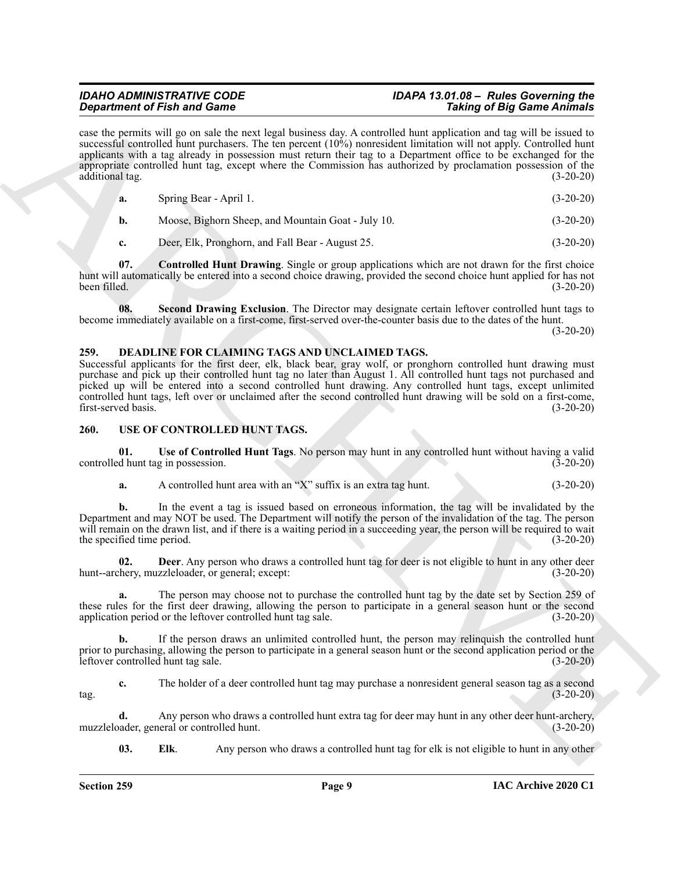## *IDAHO ADMINISTRATIVE CODE IDAPA 13.01.08 – Rules Governing the*

Graduation of Fits and Granus text, and Granus text, A particles is an explicitely and Fig. Eq. 2018 and Granus text, and the set of Fig. 2018 and Schwarz in the set of Fig. 2018 and Schwarz in the set of Fig. 2018 and Sc case the permits will go on sale the next legal business day. A controlled hunt application and tag will be issued to successful controlled hunt purchasers. The ten percent (10%) nonresident limitation will not apply. Controlled hunt applicants with a tag already in possession must return their tag to a Department office to be exchanged for the appropriate controlled hunt tag, except where the Commission has authorized by proclamation possession of the additional tag. (3-20-20)

<span id="page-8-2"></span>

| а. | Spring Bear - April 1.                             | $(3-20-20)$ |
|----|----------------------------------------------------|-------------|
|    | Moose, Bighorn Sheep, and Mountain Goat - July 10. | $(3-20-20)$ |
|    | Deer, Elk, Pronghorn, and Fall Bear - August 25.   | $(3-20-20)$ |

**07. Controlled Hunt Drawing**. Single or group applications which are not drawn for the first choice hunt will automatically be entered into a second choice drawing, provided the second choice hunt applied for has not been filled. (3-20-20)

<span id="page-8-3"></span>**08. Second Drawing Exclusion**. The Director may designate certain leftover controlled hunt tags to become immediately available on a first-come, first-served over-the-counter basis due to the dates of the hunt.

(3-20-20)

#### <span id="page-8-4"></span><span id="page-8-0"></span>**259. DEADLINE FOR CLAIMING TAGS AND UNCLAIMED TAGS.**

Successful applicants for the first deer, elk, black bear, gray wolf, or pronghorn controlled hunt drawing must purchase and pick up their controlled hunt tag no later than August 1. All controlled hunt tags not purchased and picked up will be entered into a second controlled hunt drawing. Any controlled hunt tags, except unlimited controlled hunt tags, left over or unclaimed after the second controlled hunt drawing will be sold on a first-come, first-served basis.

#### <span id="page-8-5"></span><span id="page-8-1"></span>**260. USE OF CONTROLLED HUNT TAGS.**

**01.** Use of Controlled Hunt Tags. No person may hunt in any controlled hunt without having a valid d hunt tag in possession. (3-20-20) controlled hunt tag in possession.

<span id="page-8-8"></span><span id="page-8-6"></span>**a.** A controlled hunt area with an "X" suffix is an extra tag hunt. (3-20-20)

**b.** In the event a tag is issued based on erroneous information, the tag will be invalidated by the Department and may NOT be used. The Department will notify the person of the invalidation of the tag. The person will remain on the drawn list, and if there is a waiting period in a succeeding year, the person will be required to wait the specified time period. (3-20-20)

**02. Deer**. Any person who draws a controlled hunt tag for deer is not eligible to hunt in any other deer hunt--archery, muzzleloader, or general; except: (3-20-20)

**a.** The person may choose not to purchase the controlled hunt tag by the date set by Section 259 of these rules for the first deer drawing, allowing the person to participate in a general season hunt or the second application period or the leftover controlled hunt tag sale. (3-20-20)

**b.** If the person draws an unlimited controlled hunt, the person may relinquish the controlled hunt prior to purchasing, allowing the person to participate in a general season hunt or the second application period or the leftover controlled hunt tag sale. leftover controlled hunt tag sale.

**c.** The holder of a deer controlled hunt tag may purchase a nonresident general season tag as a second tag. (3-20-20)

**d.** Any person who draws a controlled hunt extra tag for deer may hunt in any other deer hunt-archery, ader, general or controlled hunt. (3-20-20) muzzleloader, general or controlled hunt.

<span id="page-8-7"></span>**03. Elk**. Any person who draws a controlled hunt tag for elk is not eligible to hunt in any other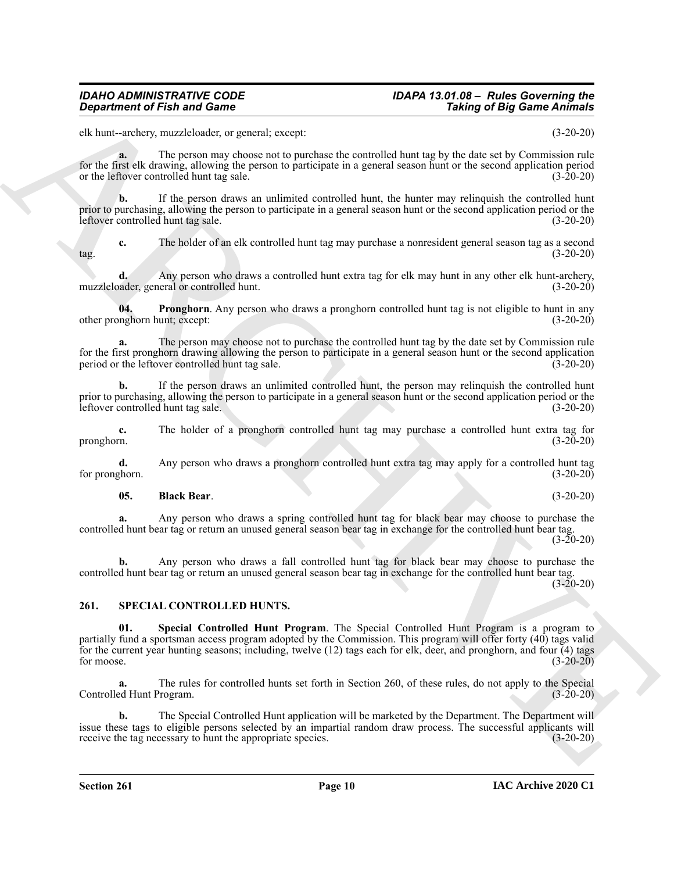## *IDAHO ADMINISTRATIVE CODE IDAPA 13.01.08 – Rules Governing the*

elk hunt--archery, muzzleloader, or general; except: (3-20-20)

**a.** The person may choose not to purchase the controlled hunt tag by the date set by Commission rule for the first elk drawing, allowing the person to participate in a general season hunt or the second application period or the leftover controlled hunt tag sale. (3-20-20)

**b.** If the person draws an unlimited controlled hunt, the hunter may relinquish the controlled hunt prior to purchasing, allowing the person to participate in a general season hunt or the second application period or the leftover controlled hunt tag sale. (3-20-20)

**c.** The holder of an elk controlled hunt tag may purchase a nonresident general season tag as a second tag. (3-20-20)

**d.** Any person who draws a controlled hunt extra tag for elk may hunt in any other elk hunt-archery, muzzleloader, general or controlled hunt. (3-20-20)

<span id="page-9-4"></span>**04. Pronghorn**. Any person who draws a pronghorn controlled hunt tag is not eligible to hunt in any other pronghorn hunt; except: (3-20-20)

**a.** The person may choose not to purchase the controlled hunt tag by the date set by Commission rule for the first pronghorn drawing allowing the person to participate in a general season hunt or the second application period or the leftover controlled hunt tag sale. (3-20-20) period or the leftover controlled hunt tag sale.

**b.** If the person draws an unlimited controlled hunt, the person may relinquish the controlled hunt prior to purchasing, allowing the person to participate in a general season hunt or the second application period or the leftover controlled hunt tag sale. (3-20-20)

**c.** The holder of a pronghorn controlled hunt tag may purchase a controlled hunt extra tag for pronghorn. (3-20-20)

**d.** Any person who draws a pronghorn controlled hunt extra tag may apply for a controlled hunt tag for pronghorn.  $(3-20-20)$ 

#### <span id="page-9-3"></span>**05. Black Bear**. (3-20-20)

**a.** Any person who draws a spring controlled hunt tag for black bear may choose to purchase the controlled hunt bear tag or return an unused general season bear tag in exchange for the controlled hunt bear tag.  $(3 - 20 - 20)$ 

**b.** Any person who draws a fall controlled hunt tag for black bear may choose to purchase the controlled hunt bear tag or return an unused general season bear tag in exchange for the controlled hunt bear tag.

<span id="page-9-2"></span><span id="page-9-1"></span><span id="page-9-0"></span>**261. SPECIAL CONTROLLED HUNTS.**

**Consideration** of Fish and Game<br>
d. the -webset, meantally consider the consideration of the state of the state of the state of the state of the state of the state of the state of the state of the state of the state of t Special Controlled Hunt Program. The Special Controlled Hunt Program is a program to partially fund a sportsman access program adopted by the Commission. This program will offer forty (40) tags valid for the current year hunting seasons; including, twelve (12) tags each for elk, deer, and pronghorn, and four (4) tags for moose.  $(3-20-20)$ 

**a.** The rules for controlled hunts set forth in Section 260, of these rules, do not apply to the Special Controlled Hunt Program. (3-20-20)

**b.** The Special Controlled Hunt application will be marketed by the Department. The Department will issue these tags to eligible persons selected by an impartial random draw process. The successful applicants will receive the tag necessary to hunt the appropriate species. (3-20-20)

(3-20-20)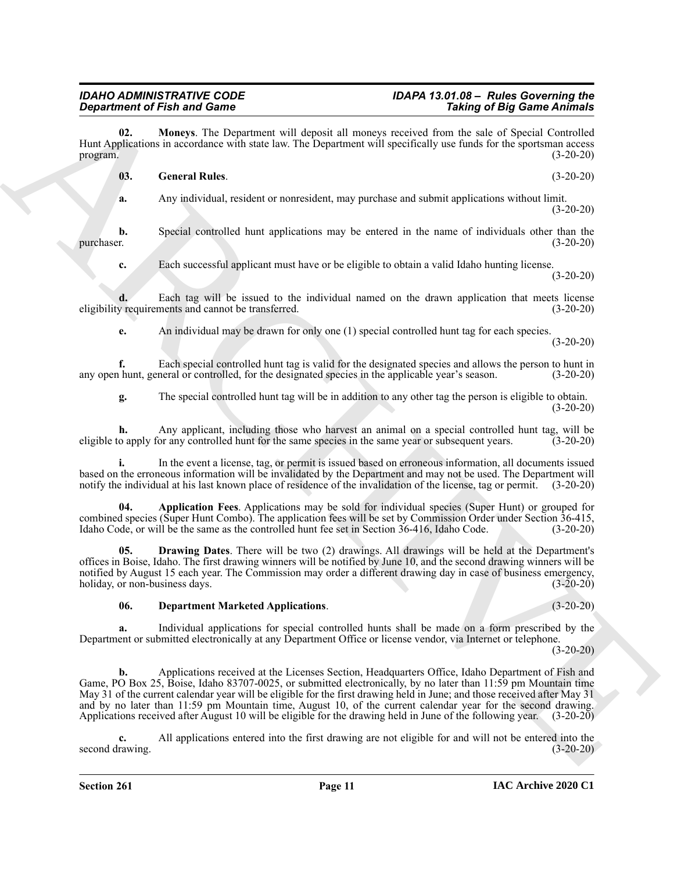**02. Moneys**. The Department will deposit all moneys received from the sale of Special Controlled Hunt Applications in accordance with state law. The Department will specifically use funds for the sportsman access program.  $(3-20-20)$ 

#### <span id="page-10-4"></span><span id="page-10-3"></span>**03. General Rules**. (3-20-20)

**a.** Any individual, resident or nonresident, may purchase and submit applications without limit.  $(3-20-20)$ 

**b.** Special controlled hunt applications may be entered in the name of individuals other than the r. purchaser. (3-20-20)

**c.** Each successful applicant must have or be eligible to obtain a valid Idaho hunting license.  $(3-20-20)$ 

**d.** Each tag will be issued to the individual named on the drawn application that meets license y requirements and cannot be transferred. (3-20-20) eligibility requirements and cannot be transferred.

**e.** An individual may be drawn for only one (1) special controlled hunt tag for each species.

(3-20-20)

**f.** Each special controlled hunt tag is valid for the designated species and allows the person to hunt in hunt, general or controlled, for the designated species in the applicable year's season.  $(3-20-20)$ any open hunt, general or controlled, for the designated species in the applicable year's season.

**g.** The special controlled hunt tag will be in addition to any other tag the person is eligible to obtain. (3-20-20)

**h.** Any applicant, including those who harvest an animal on a special controlled hunt tag, will be eligible to apply for any controlled hunt for the same species in the same year or subsequent years. (3-20-20)

**i.** In the event a license, tag, or permit is issued based on erroneous information, all documents issued based on the erroneous information will be invalidated by the Department and may not be used. The Department will notify the individual at his last known place of residence of the invalidation of the license, tag or permit. (3-20-20)

<span id="page-10-0"></span>**04. Application Fees**. Applications may be sold for individual species (Super Hunt) or grouped for combined species (Super Hunt Combo). The application fees will be set by Commission Order under Section 36-415, Idaho Code, or will be the same as the controlled hunt fee set in Section 36-416, Idaho Code. (3-20-20)

**05. Drawing Dates**. There will be two (2) drawings. All drawings will be held at the Department's offices in Boise, Idaho. The first drawing winners will be notified by June 10, and the second drawing winners will be notified by August 15 each year. The Commission may order a different drawing day in case of business emergency, holiday, or non-business days. (3-20-20)

#### <span id="page-10-2"></span><span id="page-10-1"></span>**06. Department Marketed Applications**. (3-20-20)

**a.** Individual applications for special controlled hunts shall be made on a form prescribed by the Department or submitted electronically at any Department Office or license vendor, via Internet or telephone.

 $(3-20-20)$ 

**Equivalent of Finite and Connective and Connective and Connective and Connective Connective Connective Connective Connective Connective Connective Connective Connective Connective Connective Connective Connective Connect b.** Applications received at the Licenses Section, Headquarters Office, Idaho Department of Fish and Game, PO Box 25, Boise, Idaho 83707-0025, or submitted electronically, by no later than 11:59 pm Mountain time May 31 of the current calendar year will be eligible for the first drawing held in June; and those received after May 31 and by no later than 11:59 pm Mountain time, August 10, of the current calendar year for the second drawing. Applications received after August 10 will be eligible for the drawing held in June of the following year. (3-20-20)

**c.** All applications entered into the first drawing are not eligible for and will not be entered into the second drawing. (3-20-20)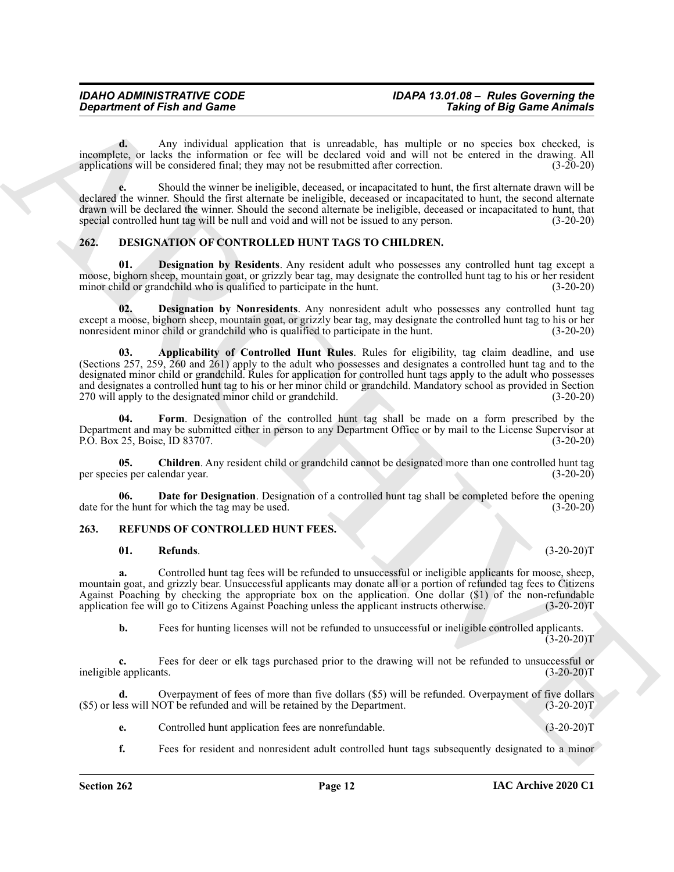**d.** Any individual application that is unreadable, has multiple or no species box checked, is incomplete, or lacks the information or fee will be declared void and will not be entered in the drawing. All applications will be considered final; they may not be resubmitted after correction. (3-20-20) applications will be considered final; they may not be resubmitted after correction.

**e.** Should the winner be ineligible, deceased, or incapacitated to hunt, the first alternate drawn will be declared the winner. Should the first alternate be ineligible, deceased or incapacitated to hunt, the second alternate drawn will be declared the winner. Should the second alternate be ineligible, deceased or incapacitated to hunt, that special controlled hunt tag will be null and void and will not be issued to any person. (3-20-20)

#### <span id="page-11-2"></span><span id="page-11-0"></span>**262. DESIGNATION OF CONTROLLED HUNT TAGS TO CHILDREN.**

<span id="page-11-7"></span>**01. Designation by Residents**. Any resident adult who possesses any controlled hunt tag except a moose, bighorn sheep, mountain goat, or grizzly bear tag, may designate the controlled hunt tag to his or her resident minor child or grandchild who is qualified to participate in the hunt. (3-20-20)

<span id="page-11-6"></span><span id="page-11-3"></span>**02. Designation by Nonresidents**. Any nonresident adult who possesses any controlled hunt tag except a moose, bighorn sheep, mountain goat, or grizzly bear tag, may designate the controlled hunt tag to his or her nonresident minor child or grandchild who is qualified to participate in the hunt. (3-20-20)

*Great free to the latter and General Scholars and Scholars in Scholars in the latter state of Big Scholars in the state of Big Scholars in the latter state of Big Scholars in the state of Big Scholars in the state of Bi* **03. Applicability of Controlled Hunt Rules**. Rules for eligibility, tag claim deadline, and use (Sections 257, 259, 260 and 261) apply to the adult who possesses and designates a controlled hunt tag and to the designated minor child or grandchild. Rules for application for controlled hunt tags apply to the adult who possesses and designates a controlled hunt tag to his or her minor child or grandchild. Mandatory school as provided in Section 270 will apply to the designated minor child or grandchild. (3-20-20)

<span id="page-11-8"></span>**04. Form**. Designation of the controlled hunt tag shall be made on a form prescribed by the Department and may be submitted either in person to any Department Office or by mail to the License Supervisor at P.O. Box 25, Boise, ID 83707. (3-20-20)

<span id="page-11-4"></span>**05. Children**. Any resident child or grandchild cannot be designated more than one controlled hunt tag per species per calendar year. (3-20-20)

**06. Date for Designation**. Designation of a controlled hunt tag shall be completed before the opening the hunt for which the tag may be used. date for the hunt for which the tag may be used.

#### <span id="page-11-1"></span>**263. REFUNDS OF CONTROLLED HUNT FEES.**

#### <span id="page-11-10"></span><span id="page-11-9"></span><span id="page-11-5"></span>**01. Refunds**. (3-20-20)T

**a.** Controlled hunt tag fees will be refunded to unsuccessful or ineligible applicants for moose, sheep, mountain goat, and grizzly bear. Unsuccessful applicants may donate all or a portion of refunded tag fees to Citizens Against Poaching by checking the appropriate box on the application. One dollar (\$1) of the non-refundable application fee will go to Citizens Against Poaching unless the applicant instructs otherwise. (3-20-20)T application fee will go to Citizens Against Poaching unless the applicant instructs otherwise.

**b.** Fees for hunting licenses will not be refunded to unsuccessful or ineligible controlled applicants.  $(3-20-20)T$ 

**c.** Fees for deer or elk tags purchased prior to the drawing will not be refunded to unsuccessful or eapplicants. (3-20-20)T ineligible applicants.

**d.** Overpayment of fees of more than five dollars (\$5) will be refunded. Overpayment of five dollars vill NOT be refunded and will be retained by the Department. (3-20-20)T  $(S5)$  or less will NOT be refunded and will be retained by the Department.

- **e.** Controlled hunt application fees are nonrefundable. (3-20-20)T
- **f.** Fees for resident and nonresident adult controlled hunt tags subsequently designated to a minor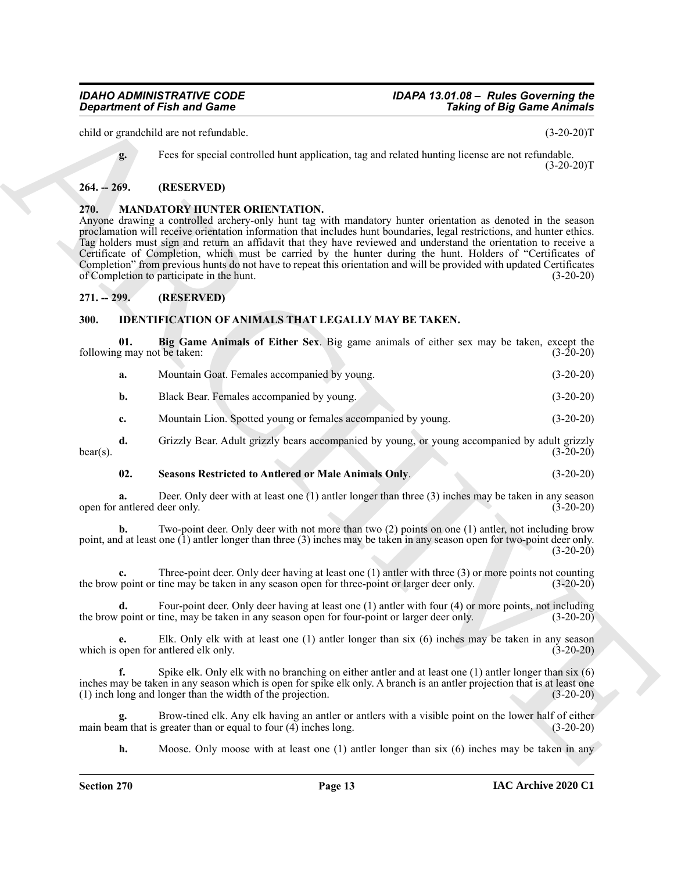child or grandchild are not refundable. (3-20-20)T

**g.** Fees for special controlled hunt application, tag and related hunting license are not refundable.  $(3-20-20)T$ 

#### <span id="page-12-0"></span>**264. -- 269. (RESERVED)**

#### <span id="page-12-7"></span><span id="page-12-1"></span>**270. MANDATORY HUNTER ORIENTATION.**

**Constrained of Fish and Game**<br>
Calle or grandulal and defined that application, the non-transformation of Big Game *Andmaly*<br>
Let  $\vec{R} = 240$ . (189.8 kV121)<br>
24. The constraints of the constraints of the properties the Anyone drawing a controlled archery-only hunt tag with mandatory hunter orientation as denoted in the season proclamation will receive orientation information that includes hunt boundaries, legal restrictions, and hunter ethics. Tag holders must sign and return an affidavit that they have reviewed and understand the orientation to receive a Certificate of Completion, which must be carried by the hunter during the hunt. Holders of "Certificates of Completion" from previous hunts do not have to repeat this orientation and will be provided with updated Certificates of Completion to participate in the hunt. (3-20-20)

#### <span id="page-12-2"></span>**271. -- 299. (RESERVED)**

#### <span id="page-12-4"></span><span id="page-12-3"></span>**300. IDENTIFICATION OF ANIMALS THAT LEGALLY MAY BE TAKEN.**

**01. Big Game Animals of Either Sex**. Big game animals of either sex may be taken, except the following may not be taken: (3-20-20)

<span id="page-12-5"></span>

| а. | Mountain Goat. Females accompanied by young.                  | $(3-20-20)$ |
|----|---------------------------------------------------------------|-------------|
| b. | Black Bear. Females accompanied by young.                     | $(3-20-20)$ |
| c. | Mountain Lion. Spotted young or females accompanied by young. | $(3-20-20)$ |

**d.** Grizzly Bear. Adult grizzly bears accompanied by young, or young accompanied by adult grizzly  $\text{bear(s)}$ . (3-20-20)

#### <span id="page-12-6"></span>**02. Seasons Restricted to Antlered or Male Animals Only**. (3-20-20)

**a.** Deer. Only deer with at least one (1) antler longer than three (3) inches may be taken in any season antlered deer only. (3-20-20) open for antlered deer only.

**b.** Two-point deer. Only deer with not more than two (2) points on one (1) antler, not including brow point, and at least one (1) antler longer than three (3) inches may be taken in any season open for two-point deer only. (3-20-20)

**c.** Three-point deer. Only deer having at least one (1) antler with three (3) or more points not counting the brow point or tine may be taken in any season open for three-point or larger deer only. (3-20-20)

**d.** Four-point deer. Only deer having at least one (1) antler with four (4) or more points, not including the brow point or tine, may be taken in any season open for four-point or larger deer only. (3-20-20)

**e.** Elk. Only elk with at least one (1) antler longer than six (6) inches may be taken in any season which is open for antlered elk only. (3-20-20)

**f.** Spike elk. Only elk with no branching on either antler and at least one (1) antler longer than six (6) inches may be taken in any season which is open for spike elk only. A branch is an antler projection that is at least one (1) inch long and longer than the width of the projection. (3-20-20)

**g.** Brow-tined elk. Any elk having an antler or antlers with a visible point on the lower half of either im that is greater than or equal to four (4) inches long. (3-20-20) main beam that is greater than or equal to four  $(4)$  inches long.

**h.** Moose. Only moose with at least one (1) antler longer than six (6) inches may be taken in any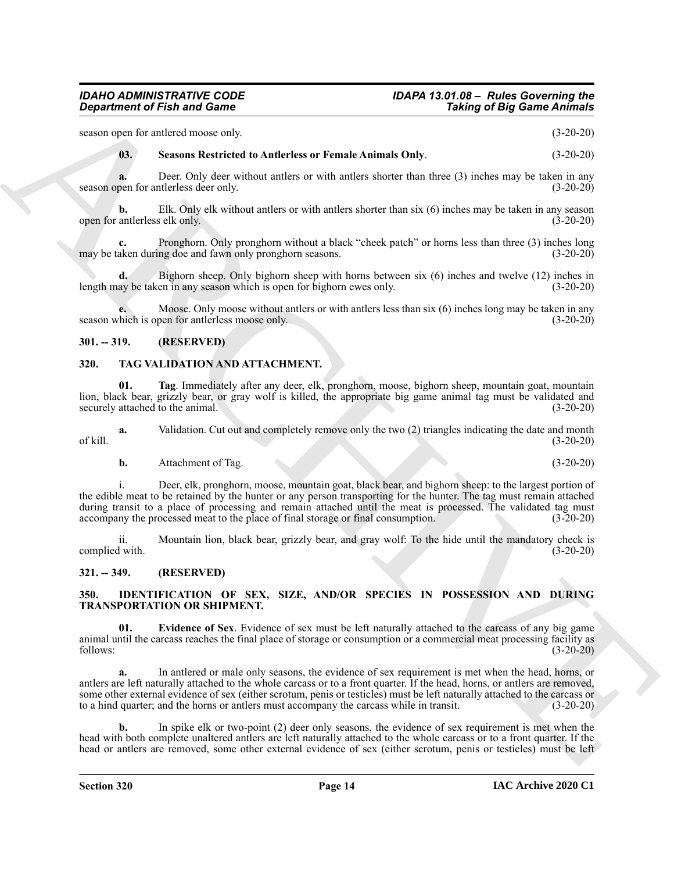season open for antlered moose only. (3-20-20)

#### <span id="page-13-4"></span>**03. Seasons Restricted to Antlerless or Female Animals Only**. (3-20-20)

**a.** Deer. Only deer without antlers or with antlers shorter than three (3) inches may be taken in any season open for antlerless deer only. (3-20-20)

**b.** Elk. Only elk without antlers or with antlers shorter than six (6) inches may be taken in any season open for antlerless elk only. (3-20-20)

**c.** Pronghorn. Only pronghorn without a black "cheek patch" or horns less than three (3) inches long may be taken during doe and fawn only pronghorn seasons. (3-20-20)

**d.** Bighorn sheep. Only bighorn sheep with horns between six (6) inches and twelve (12) inches in length may be taken in any season which is open for bighorn ewes only. (3-20-20)

**e.** Moose. Only moose without antlers or with antlers less than six (6) inches long may be taken in any season which is open for antlerless moose only. (3-20-20)

#### <span id="page-13-0"></span>**301. -- 319. (RESERVED)**

#### <span id="page-13-7"></span><span id="page-13-1"></span>**320. TAG VALIDATION AND ATTACHMENT.**

**01. Tag**. Immediately after any deer, elk, pronghorn, moose, bighorn sheep, mountain goat, mountain lion, black bear, grizzly bear, or gray wolf is killed, the appropriate big game animal tag must be validated and<br>(3-20-20) (3-20-20) securely attached to the animal.

**a.** Validation. Cut out and completely remove only the two (2) triangles indicating the date and month (3-20-20) of kill. (3-20-20)

**b.** Attachment of Tag. (3-20-20)

**Equivariant of Finit and Comes<br>
scours (Exception of Finit and Comes<br>
scours (A. Source Newthered to Andrehes or Female Animals Only<br>
(A. Source Newthered to Andrehes or Female Animals Only<br>
scours (Exception of Finit On** i. Deer, elk, pronghorn, moose, mountain goat, black bear, and bighorn sheep: to the largest portion of the edible meat to be retained by the hunter or any person transporting for the hunter. The tag must remain attached during transit to a place of processing and remain attached until the meat is processed. The validated tag must accompany the processed meat to the place of final storage or final consumption. (3-20-20)

ii. Mountain lion, black bear, grizzly bear, and gray wolf: To the hide until the mandatory check is complied with. (3-20-20)

#### <span id="page-13-2"></span>**321. -- 349. (RESERVED)**

#### <span id="page-13-5"></span><span id="page-13-3"></span>**350. IDENTIFICATION OF SEX, SIZE, AND/OR SPECIES IN POSSESSION AND DURING TRANSPORTATION OR SHIPMENT.**

<span id="page-13-6"></span>**Evidence of Sex.** Evidence of sex must be left naturally attached to the carcass of any big game animal until the carcass reaches the final place of storage or consumption or a commercial meat processing facility as follows: (3-20-20)

**a.** In antlered or male only seasons, the evidence of sex requirement is met when the head, horns, or antlers are left naturally attached to the whole carcass or to a front quarter. If the head, horns, or antlers are removed, some other external evidence of sex (either scrotum, penis or testicles) must be left naturally attached to the carcass or to a hind quarter; and the horns or antlers must accompany the carcass while in transit. (3-20-20)

**b.** In spike elk or two-point (2) deer only seasons, the evidence of sex requirement is met when the head with both complete unaltered antlers are left naturally attached to the whole carcass or to a front quarter. If the head or antlers are removed, some other external evidence of sex (either scrotum, penis or testicles) must be left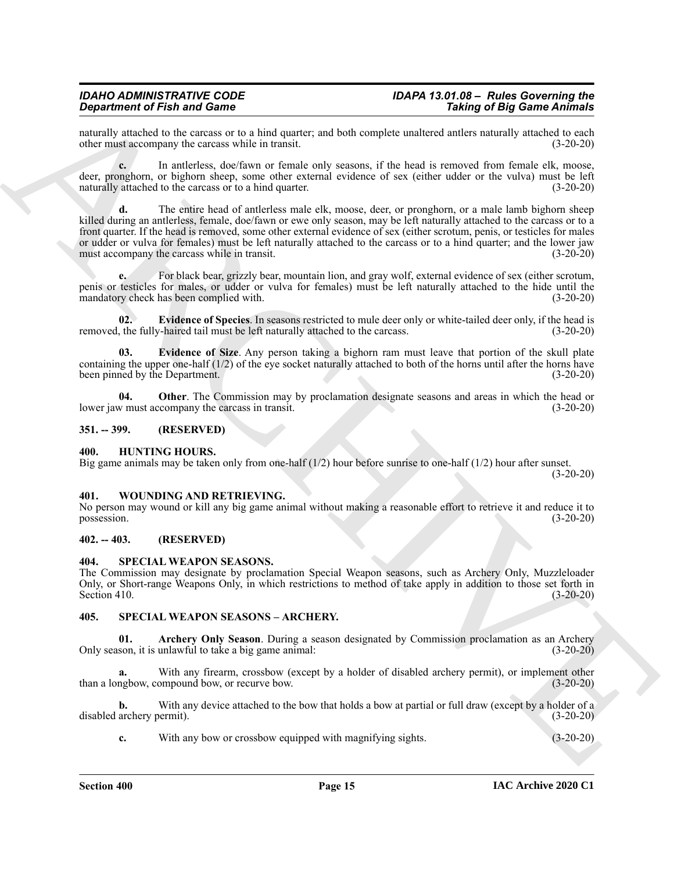naturally attached to the carcass or to a hind quarter; and both complete unaltered antlers naturally attached to each other must accompany the carcass while in transit. (3-20-20) other must accompany the carcass while in transit.

**c.** In antlerless, doe/fawn or female only seasons, if the head is removed from female elk, moose, deer, pronghorn, or bighorn sheep, some other external evidence of sex (either udder or the vulva) must be left naturally attached to the carcass or to a hind quarter. (3-20-20)

**Since the Find and Connective Connective Connective Connective Connective Connective Connective Connective Connective Connective Connective Connective Connective Connective Connective Connective Connective Connective Con d.** The entire head of antlerless male elk, moose, deer, or pronghorn, or a male lamb bighorn sheep killed during an antlerless, female, doe/fawn or ewe only season, may be left naturally attached to the carcass or to a front quarter. If the head is removed, some other external evidence of sex (either scrotum, penis, or testicles for males or udder or vulva for females) must be left naturally attached to the carcass or to a hind quarter; and the lower jaw<br>
(3-20-20) (3-20-20) must accompany the carcass while in transit.

**e.** For black bear, grizzly bear, mountain lion, and gray wolf, external evidence of sex (either scrotum, penis or testicles for males, or udder or vulva for females) must be left naturally attached to the hide until the mandatory check has been complied with. (3-20-20)

<span id="page-14-8"></span>**02. Evidence of Species**. In seasons restricted to mule deer only or white-tailed deer only, if the head is removed, the fully-haired tail must be left naturally attached to the carcass. (3-20-20)

<span id="page-14-7"></span>**03. Evidence of Size**. Any person taking a bighorn ram must leave that portion of the skull plate containing the upper one-half  $(1/2)$  of the eye socket naturally attached to both of the horns until after the horns have been pinned by the Department.  $(3-20-20)$ been pinned by the Department.

<span id="page-14-9"></span>**04.** Other. The Commission may by proclamation designate seasons and areas in which the head or w must accompany the carcass in transit. (3-20-20) lower jaw must accompany the carcass in transit.

#### <span id="page-14-0"></span>**351. -- 399. (RESERVED)**

#### <span id="page-14-6"></span><span id="page-14-1"></span>**400. HUNTING HOURS.**

Big game animals may be taken only from one-half  $(1/2)$  hour before sunrise to one-half  $(1/2)$  hour after sunset.  $(3-20-20)$ 

#### <span id="page-14-13"></span><span id="page-14-2"></span>**401. WOUNDING AND RETRIEVING.**

No person may wound or kill any big game animal without making a reasonable effort to retrieve it and reduce it to possession. (3-20-20)

#### <span id="page-14-3"></span>**402. -- 403. (RESERVED)**

#### <span id="page-14-10"></span><span id="page-14-4"></span>**404. SPECIAL WEAPON SEASONS.**

The Commission may designate by proclamation Special Weapon seasons, such as Archery Only, Muzzleloader Only, or Short-range Weapons Only, in which restrictions to method of take apply in addition to those set forth in Section 410. (3-20-20)

#### <span id="page-14-11"></span><span id="page-14-5"></span>**405. SPECIAL WEAPON SEASONS – ARCHERY.**

<span id="page-14-12"></span>**01. Archery Only Season**. During a season designated by Commission proclamation as an Archery Only season, it is unlawful to take a big game animal: (3-20-20)

With any firearm, crossbow (except by a holder of disabled archery permit), or implement other than a longbow, compound bow, or recurve bow. (3-20-20)

**b.** With any device attached to the bow that holds a bow at partial or full draw (except by a holder of a disabled archery permit). (3-20-20)

**c.** With any bow or crossbow equipped with magnifying sights. (3-20-20)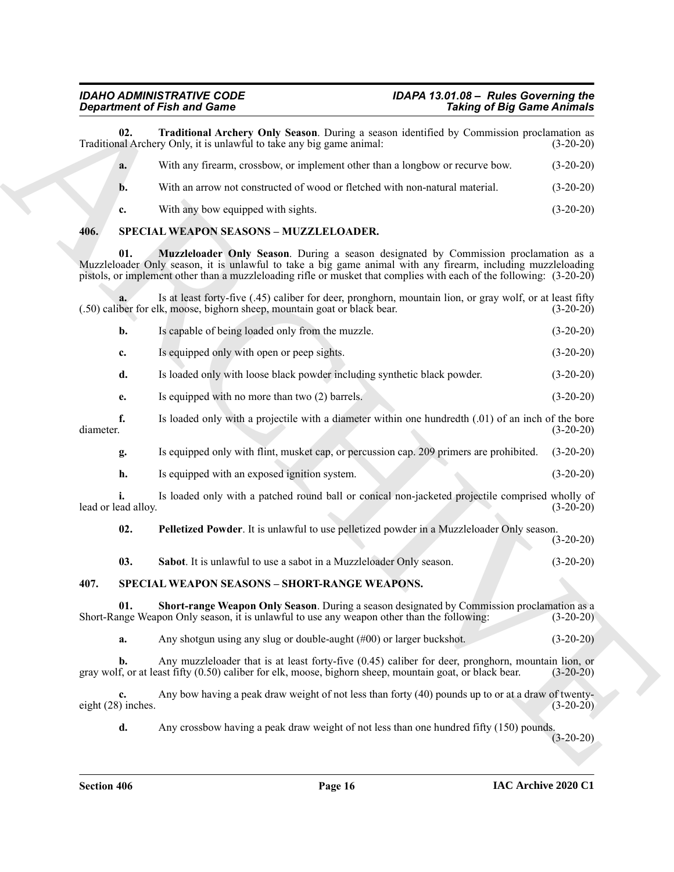<span id="page-15-2"></span>

| 02. | Traditional Archery Only Season. During a season identified by Commission proclamation as<br>Traditional Archery Only, it is unlawful to take any big game animal: | $(3-20-20)$ |
|-----|--------------------------------------------------------------------------------------------------------------------------------------------------------------------|-------------|
| a.  | With any firearm, crossbow, or implement other than a longbow or recurve bow.                                                                                      | $(3-20-20)$ |
| b.  | With an arrow not constructed of wood or fletched with non-natural material.                                                                                       | $(3-20-20)$ |
| c.  | With any bow equipped with sights.                                                                                                                                 | $(3-20-20)$ |

#### <span id="page-15-8"></span><span id="page-15-7"></span><span id="page-15-6"></span><span id="page-15-5"></span><span id="page-15-4"></span><span id="page-15-3"></span><span id="page-15-1"></span><span id="page-15-0"></span>**406. SPECIAL WEAPON SEASONS – MUZZLELOADER.**

|           |                          | <b>Department of Fish and Game</b>                                                                                                                                                                                                                                                                                           | <b>Taking of Big Game Animals</b> |             |
|-----------|--------------------------|------------------------------------------------------------------------------------------------------------------------------------------------------------------------------------------------------------------------------------------------------------------------------------------------------------------------------|-----------------------------------|-------------|
|           | 02.                      | Traditional Archery Only Season. During a season identified by Commission proclamation as<br>Traditional Archery Only, it is unlawful to take any big game animal:                                                                                                                                                           |                                   | $(3-20-20)$ |
|           | a.                       | With any firearm, crossbow, or implement other than a longbow or recurve bow.                                                                                                                                                                                                                                                |                                   | $(3-20-20)$ |
|           | b.                       | With an arrow not constructed of wood or fletched with non-natural material.                                                                                                                                                                                                                                                 |                                   | $(3-20-20)$ |
|           | c.                       | With any bow equipped with sights.                                                                                                                                                                                                                                                                                           |                                   | $(3-20-20)$ |
| 406.      |                          | SPECIAL WEAPON SEASONS - MUZZLELOADER.                                                                                                                                                                                                                                                                                       |                                   |             |
|           | 01.                      | Muzzleloader Only Season. During a season designated by Commission proclamation as a<br>Muzzleloader Only season, it is unlawful to take a big game animal with any firearm, including muzzleloading<br>pistols, or implement other than a muzzleloading rifle or musket that complies with each of the following: (3-20-20) |                                   |             |
|           |                          | Is at least forty-five (.45) caliber for deer, pronghorn, mountain lion, or gray wolf, or at least fifty<br>(.50) caliber for elk, moose, bighorn sheep, mountain goat or black bear.                                                                                                                                        |                                   | $(3-20-20)$ |
|           | b.                       | Is capable of being loaded only from the muzzle.                                                                                                                                                                                                                                                                             |                                   | $(3-20-20)$ |
|           | c.                       | Is equipped only with open or peep sights.                                                                                                                                                                                                                                                                                   |                                   | $(3-20-20)$ |
|           | d.                       | Is loaded only with loose black powder including synthetic black powder.                                                                                                                                                                                                                                                     |                                   | $(3-20-20)$ |
|           | e.                       | Is equipped with no more than two (2) barrels.                                                                                                                                                                                                                                                                               |                                   | $(3-20-20)$ |
| diameter. | f.                       | Is loaded only with a projectile with a diameter within one hundredth (.01) of an inch of the bore                                                                                                                                                                                                                           |                                   | $(3-20-20)$ |
|           | g.                       | Is equipped only with flint, musket cap, or percussion cap. 209 primers are prohibited.                                                                                                                                                                                                                                      |                                   | $(3-20-20)$ |
|           | h.                       | Is equipped with an exposed ignition system.                                                                                                                                                                                                                                                                                 |                                   | $(3-20-20)$ |
|           | lead or lead alloy.      | Is loaded only with a patched round ball or conical non-jacketed projectile comprised wholly of                                                                                                                                                                                                                              |                                   | $(3-20-20)$ |
|           | 02.                      | Pelletized Powder. It is unlawful to use pelletized powder in a Muzzleloader Only season.                                                                                                                                                                                                                                    |                                   | $(3-20-20)$ |
|           | 03.                      | Sabot. It is unlawful to use a sabot in a Muzzleloader Only season.                                                                                                                                                                                                                                                          |                                   | $(3-20-20)$ |
| 407.      |                          | SPECIAL WEAPON SEASONS - SHORT-RANGE WEAPONS.                                                                                                                                                                                                                                                                                |                                   |             |
|           | 01.                      | Short-range Weapon Only Season. During a season designated by Commission proclamation as a<br>Short-Range Weapon Only season, it is unlawful to use any weapon other than the following:                                                                                                                                     |                                   | $(3-20-20)$ |
|           | a.                       | Any shotgun using any slug or double-aught $(\text{\#}00)$ or larger buckshot.                                                                                                                                                                                                                                               |                                   | $(3-20-20)$ |
|           | $\mathbf{b}$ .           | Any muzzleloader that is at least forty-five $(0.45)$ caliber for deer, pronghorn, mountain lion, or<br>gray wolf, or at least fifty (0.50) caliber for elk, moose, bighorn sheep, mountain goat, or black bear.                                                                                                             |                                   | $(3-20-20)$ |
|           | c.<br>eight (28) inches. | Any bow having a peak draw weight of not less than forty (40) pounds up to or at a draw of twenty-                                                                                                                                                                                                                           |                                   | $(3-20-20)$ |
|           | d.                       | Any crossbow having a peak draw weight of not less than one hundred fifty (150) pounds.                                                                                                                                                                                                                                      |                                   | $(3-20-20)$ |
|           |                          |                                                                                                                                                                                                                                                                                                                              |                                   |             |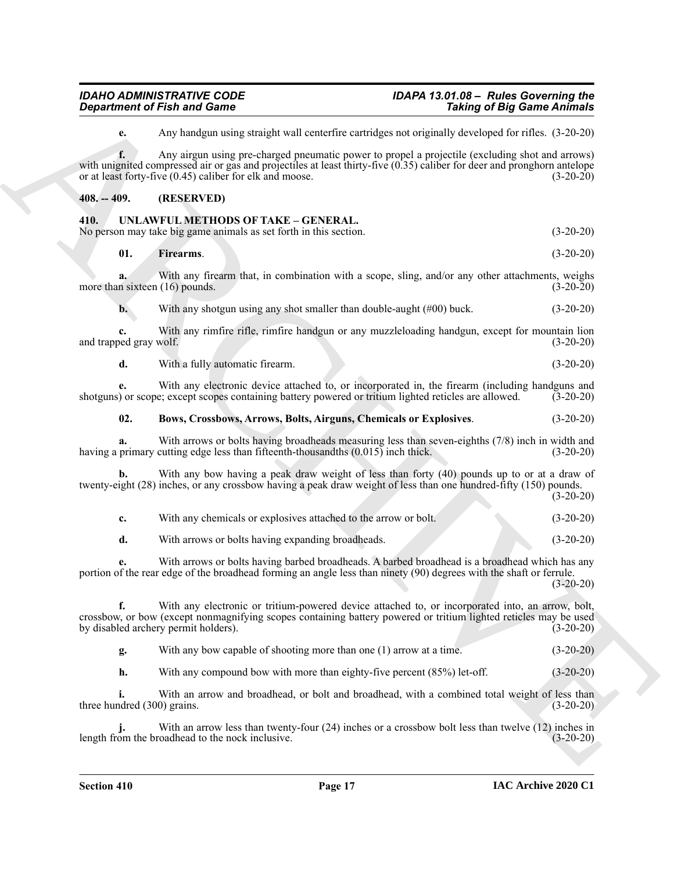**e.** Any handgun using straight wall centerfire cartridges not originally developed for rifles. (3-20-20)

**f.** Any airgun using pre-charged pneumatic power to propel a projectile (excluding shot and arrows) with unignited compressed air or gas and projectiles at least thirty-five (0.35) caliber for deer and pronghorn antelope<br>or at least forty-five (0.45) caliber for elk and moose. (3-20-20) or at least forty-five  $(0.45)$  caliber for elk and moose.

#### <span id="page-16-0"></span>**408. -- 409. (RESERVED)**

#### <span id="page-16-2"></span><span id="page-16-1"></span>**410. UNLAWFUL METHODS OF TAKE – GENERAL.**

No person may take big game animals as set forth in this section. (3-20-20)

**01. Firearms**. (3-20-20)

**a.** With any firearm that, in combination with a scope, sling, and/or any other attachments, weighs more than sixteen (16) pounds. (3-20-20)

**b.** With any shotgun using any shot smaller than double-aught (#00) buck. (3-20-20)

**c.** With any rimfire rifle, rimfire handgun or any muzzleloading handgun, except for mountain lion and trapped gray wolf. (3-20-20)

**d.** With a fully automatic firearm. (3-20-20)

**e.** With any electronic device attached to, or incorporated in, the firearm (including handguns and shotguns) or scope; except scopes containing battery powered or tritium lighted reticles are allowed. (3-20-20)

#### **02. Bows, Crossbows, Arrows, Bolts, Airguns, Chemicals or Explosives**. (3-20-20)

**a.** With arrows or bolts having broadheads measuring less than seven-eighths (7/8) inch in width and having a primary cutting edge less than fifteenth-thousandths  $(0.015)$  inch thick. (3-20-20)

**b.** With any bow having a peak draw weight of less than forty (40) pounds up to or at a draw of twenty-eight (28) inches, or any crossbow having a peak draw weight of less than one hundred-fifty (150) pounds. (3-20-20)

| With any chemicals or explosives attached to the arrow or bolt. | $(3-20-20)$ |
|-----------------------------------------------------------------|-------------|
| With arrows or bolts having expanding broadheads.               | $(3-20-20)$ |

**e.** With arrows or bolts having barbed broadheads. A barbed broadhead is a broadhead which has any portion of the rear edge of the broadhead forming an angle less than ninety (90) degrees with the shaft or ferrule.  $(3-20-20)$ 

**Considered Fish and Game**<br>
ARCHIVE with the state of the state of the state of the state of the state of the state of the state of the state<br>
set and the state of the state of the state of the state of the state of the s **f.** With any electronic or tritium-powered device attached to, or incorporated into, an arrow, bolt, crossbow, or bow (except nonmagnifying scopes containing battery powered or tritium lighted reticles may be used<br>by disabled archery permit holders). (3-20-20) by disabled archery permit holders).

**g.** With any bow capable of shooting more than one (1) arrow at a time. (3-20-20)

**h.** With any compound bow with more than eighty-five percent (85%) let-off. (3-20-20)

**i.** With an arrow and broadhead, or bolt and broadhead, with a combined total weight of less than three hundred  $(300)$  grains.  $(3-20-20)$ 

With an arrow less than twenty-four (24) inches or a crossbow bolt less than twelve (12) inches in oadhead to the nock inclusive. (34) oadhead to the nock inclusive. **j.** With an arrow less than twenty length from the broadhead to the nock inclusive.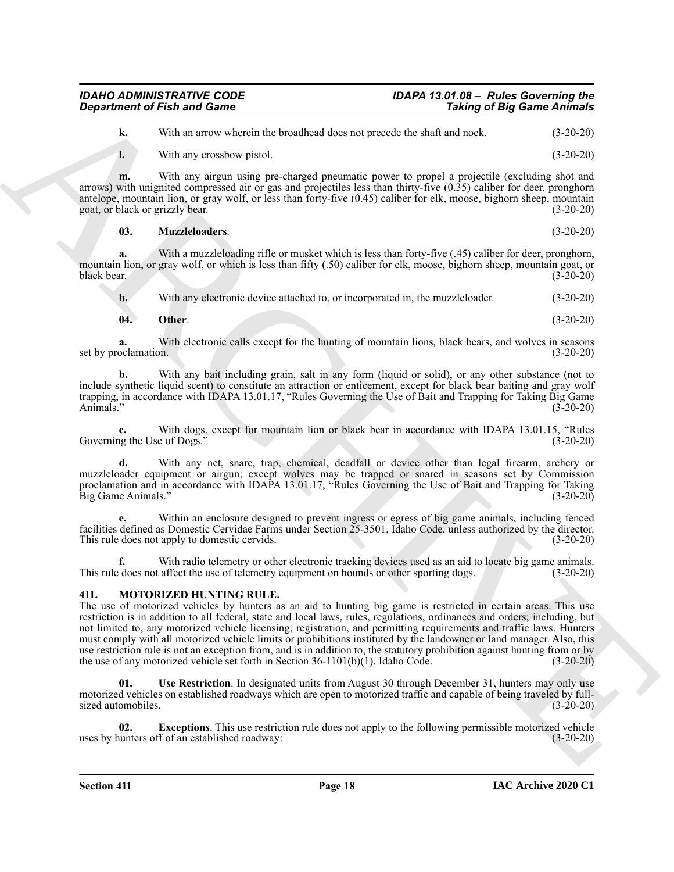#### *IDAHO ADMINISTRATIVE CODE IDAPA 13.01.08 – Rules Governing the Department of Fish and Game*

**k.** With an arrow wherein the broadhead does not precede the shaft and nock. (3-20-20)

**l.** With any crossbow pistol. (3-20-20)

**m.** With any airgun using pre-charged pneumatic power to propel a projectile (excluding shot and arrows) with unignited compressed air or gas and projectiles less than thirty-five (0.35) caliber for deer, pronghorn antelope, mountain lion, or gray wolf, or less than forty-five (0.45) caliber for elk, moose, bighorn sheep, mountain goat, or black or grizzly bear. (3-20-20)

| 03. | <b>Muzzleloaders.</b> | $(3-20-20)$ |
|-----|-----------------------|-------------|
|     |                       |             |

**a.** With a muzzleloading rifle or musket which is less than forty-five (.45) caliber for deer, pronghorn, mountain lion, or gray wolf, or which is less than fifty (.50) caliber for elk, moose, bighorn sheep, mountain goat, or black bear. (3-20-20)

**b.** With any electronic device attached to, or incorporated in, the muzzleloader. (3-20-20)

**04. Other**. (3-20-20)

**a.** With electronic calls except for the hunting of mountain lions, black bears, and wolves in seasons set by proclamation. (3-20-20)

**b.** With any bait including grain, salt in any form (liquid or solid), or any other substance (not to include synthetic liquid scent) to constitute an attraction or enticement, except for black bear baiting and gray wolf trapping, in accordance with IDAPA 13.01.17, "Rules Governing the Use of Bait and Trapping for Taking Big Game Animals." (3-20-20)

**c.** With dogs, except for mountain lion or black bear in accordance with IDAPA 13.01.15, "Rules up the Use of Dogs." (3-20-20) Governing the Use of Dogs."

With any net, snare, trap, chemical, deadfall or device other than legal firearm, archery or muzzleloader equipment or airgun; except wolves may be trapped or snared in seasons set by Commission proclamation and in accordance with IDAPA 13.01.17, "Rules Governing the Use of Bait and Trapping for Taking Big Game Animals." (3-20-20)

**e.** Within an enclosure designed to prevent ingress or egress of big game animals, including fenced facilities defined as Domestic Cervidae Farms under Section 25-3501, Idaho Code, unless authorized by the director. This rule does not apply to domestic cervids. (3-20-20)

**f.** With radio telemetry or other electronic tracking devices used as an aid to locate big game animals. This rule does not affect the use of telemetry equipment on hounds or other sporting dogs. (3-20-20)

#### <span id="page-17-1"></span><span id="page-17-0"></span>**411. MOTORIZED HUNTING RULE.**

**Expariment of Finit and Game**<br>
Will as a norm-whence the boostness of the state of the state of the state of the state of the state of the state of the state of the state of the state of the state of the state of the sta The use of motorized vehicles by hunters as an aid to hunting big game is restricted in certain areas. This use restriction is in addition to all federal, state and local laws, rules, regulations, ordinances and orders; including, but not limited to, any motorized vehicle licensing, registration, and permitting requirements and traffic laws. Hunters must comply with all motorized vehicle limits or prohibitions instituted by the landowner or land manager. Also, this use restriction rule is not an exception from, and is in addition to, the statutory prohibition against hunting from or by the use of any motorized vehicle set forth in Section 36-1101(b)(1), Idaho Code. (3-20-20)

<span id="page-17-3"></span>**01. Use Restriction**. In designated units from August 30 through December 31, hunters may only use motorized vehicles on established roadways which are open to motorized traffic and capable of being traveled by fullsized automobiles. (3-20-20)

<span id="page-17-2"></span>**02. Exceptions**. This use restriction rule does not apply to the following permissible motorized vehicle uses by hunters off of an established roadway: (3-20-20)

**Section 411 Page 18**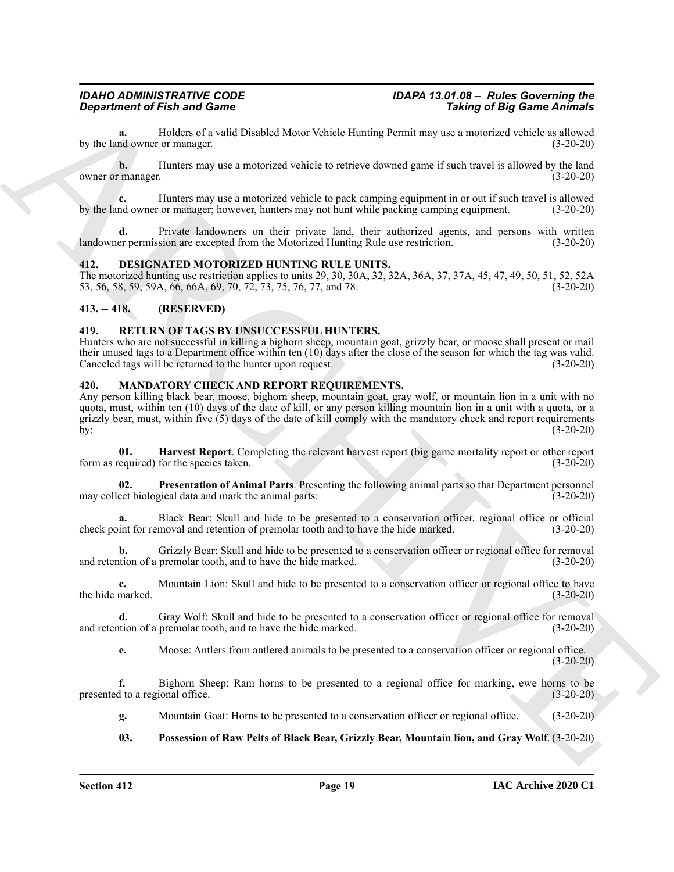Holders of a valid Disabled Motor Vehicle Hunting Permit may use a motorized vehicle as allowed<br>
or manager. (3-20-20) by the land owner or manager.

**b.** Hunters may use a motorized vehicle to retrieve downed game if such travel is allowed by the land owner or manager. (3-20-20)

**c.** Hunters may use a motorized vehicle to pack camping equipment in or out if such travel is allowed by the land owner or manager; however, hunters may not hunt while packing camping equipment. (3-20-20)

**d.** Private landowners on their private land, their authorized agents, and persons with written landowner permission are excepted from the Motorized Hunting Rule use restriction. (3-20-20)

#### <span id="page-18-4"></span><span id="page-18-0"></span>**412. DESIGNATED MOTORIZED HUNTING RULE UNITS.**

The motorized hunting use restriction applies to units 29, 30, 30A, 32, 32A, 36A, 37, 37A, 45, 47, 49, 50, 51, 52, 52A 53, 56, 58, 59, 59A, 66, 66A, 69, 70, 72, 73, 75, 76, 77, and 78. (3-20-20)

#### <span id="page-18-1"></span>**413. -- 418. (RESERVED)**

#### <span id="page-18-9"></span><span id="page-18-2"></span>**419. RETURN OF TAGS BY UNSUCCESSFUL HUNTERS.**

Hunters who are not successful in killing a bighorn sheep, mountain goat, grizzly bear, or moose shall present or mail their unused tags to a Department office within ten (10) days after the close of the season for which the tag was valid.<br>Canceled tags will be returned to the hunter upon request. (3-20-20) Canceled tags will be returned to the hunter upon request.

#### <span id="page-18-5"></span><span id="page-18-3"></span>**420. MANDATORY CHECK AND REPORT REQUIREMENTS.**

**Equivariant of Fish and Some Towards** Now Velicle Human provisions of Big Saint Zarbudge 19<br>
by the line of the said of November 19 and Saint Schwarz (19 and 19 and 19 and 19 and 19 and 19 and 19 and 19 and 19 and 19 and Any person killing black bear, moose, bighorn sheep, mountain goat, gray wolf, or mountain lion in a unit with no quota, must, within ten (10) days of the date of kill, or any person killing mountain lion in a unit with a quota, or a grizzly bear, must, within five  $(5)$  days of the date of kill comply with the mandatory check and report requirements by:<br>(3-20-20) by: (3-20-20)

<span id="page-18-6"></span>**01. Harvest Report**. Completing the relevant harvest report (big game mortality report or other report form as required) for the species taken. (3-20-20)

<span id="page-18-8"></span>**02. Presentation of Animal Parts**. Presenting the following animal parts so that Department personnel may collect biological data and mark the animal parts: (3-20-20)

**a.** Black Bear: Skull and hide to be presented to a conservation officer, regional office or official check point for removal and retention of premolar tooth and to have the hide marked. (3-20-20)

**b.** Grizzly Bear: Skull and hide to be presented to a conservation officer or regional office for removal and retention of a premolar tooth, and to have the hide marked.

**c.** Mountain Lion: Skull and hide to be presented to a conservation officer or regional office to have the hide marked. (3-20-20)

**d.** Gray Wolf: Skull and hide to be presented to a conservation officer or regional office for removal tion of a premolar tooth, and to have the hide marked. (3-20-20) and retention of a premolar tooth, and to have the hide marked.

**e.** Moose: Antlers from antlered animals to be presented to a conservation officer or regional office.  $(3-20-20)$ 

**f.** Bighorn Sheep: Ram horns to be presented to a regional office for marking, ewe horns to be presented to a regional office. (3-20-20)

**g.** Mountain Goat: Horns to be presented to a conservation officer or regional office. (3-20-20)

<span id="page-18-7"></span>**03. Possession of Raw Pelts of Black Bear, Grizzly Bear, Mountain lion, and Gray Wolf**. (3-20-20)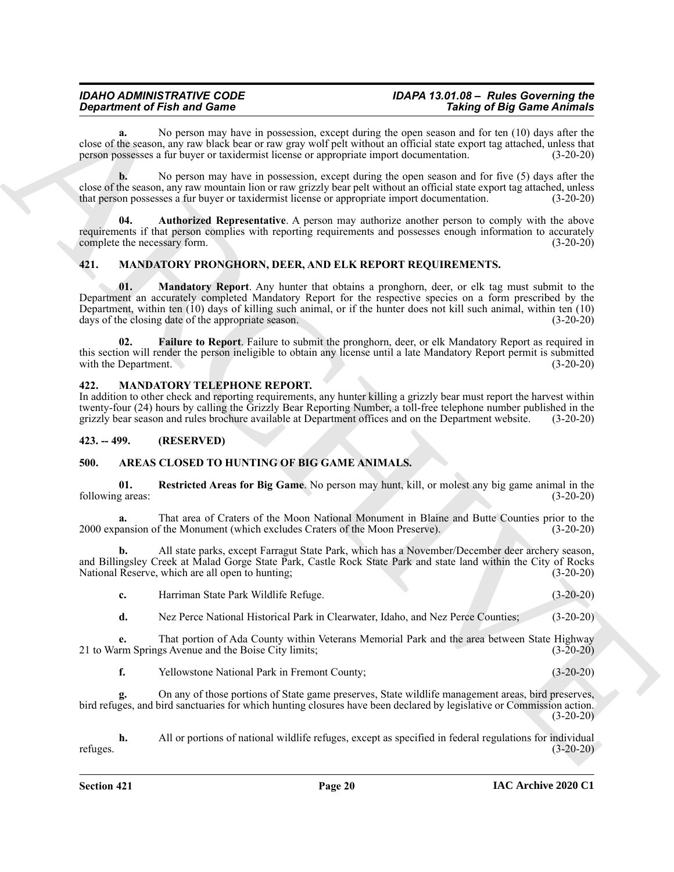#### *IDAHO ADMINISTRATIVE CODE IDAPA 13.01.08 – Rules Governing the Department of Fish and Game*

**a.** No person may have in possession, except during the open season and for ten (10) days after the close of the season, any raw black bear or raw gray wolf pelt without an official state export tag attached, unless that person possesses a fur buyer or taxidermist license or appropriate import documentation. (3-20-20)

**b.** No person may have in possession, except during the open season and for five (5) days after the close of the season, any raw mountain lion or raw grizzly bear pelt without an official state export tag attached, unless<br>that person possesses a fur buver or taxidermist license or appropriate import documentation. (3-20that person possesses a fur buyer or taxidermist license or appropriate import documentation.

<span id="page-19-6"></span>**04. Authorized Representative**. A person may authorize another person to comply with the above requirements if that person complies with reporting requirements and possesses enough information to accurately<br>complete the necessary form. (3-20-20) complete the necessary form.

#### <span id="page-19-9"></span><span id="page-19-7"></span><span id="page-19-0"></span>**421. MANDATORY PRONGHORN, DEER, AND ELK REPORT REQUIREMENTS.**

**Construent of Finitial Construent Solemn External Construent Construent Construent Construent Construent Construent Construent Construent Construent Construent Construent Construent Construent Construct Construct Constru 01. Mandatory Report**. Any hunter that obtains a pronghorn, deer, or elk tag must submit to the Department an accurately completed Mandatory Report for the respective species on a form prescribed by the Department, within ten (10) days of killing such animal, or if the hunter does not kill such animal, within ten (10) days of the closing date of the appropriate season. (3-20-20)

<span id="page-19-8"></span>**02. Failure to Report**. Failure to submit the pronghorn, deer, or elk Mandatory Report as required in this section will render the person ineligible to obtain any license until a late Mandatory Report permit is submitted with the Department. (3-20-20) with the Department.

#### <span id="page-19-10"></span><span id="page-19-1"></span>**422. MANDATORY TELEPHONE REPORT.**

In addition to other check and reporting requirements, any hunter killing a grizzly bear must report the harvest within twenty-four (24) hours by calling the Grizzly Bear Reporting Number, a toll-free telephone number published in the grizzly bear season and rules brochure available at Department offices and on the Department website. (3-20-20)

#### <span id="page-19-2"></span>**423. -- 499. (RESERVED)**

#### <span id="page-19-4"></span><span id="page-19-3"></span>**500. AREAS CLOSED TO HUNTING OF BIG GAME ANIMALS.**

<span id="page-19-5"></span>**01. Restricted Areas for Big Game**. No person may hunt, kill, or molest any big game animal in the following areas: (3-20-20)

**a.** That area of Craters of the Moon National Monument in Blaine and Butte Counties prior to the 2000 expansion of the Monument (which excludes Craters of the Moon Preserve). (3-20-20)

**b.** All state parks, except Farragut State Park, which has a November/December deer archery season, and Billingsley Creek at Malad Gorge State Park, Castle Rock State Park and state land within the City of Rocks National Reserve, which are all open to hunting; (3-20-20)

| Harriman State Park Wildlife Refuge.<br> | $(3-20-20)$ |
|------------------------------------------|-------------|
|------------------------------------------|-------------|

**d.** Nez Perce National Historical Park in Clearwater, Idaho, and Nez Perce Counties; (3-20-20)

**e.** That portion of Ada County within Veterans Memorial Park and the area between State Highway 21 to Warm Springs Avenue and the Boise City limits; (3-20-20)

**f.** Yellowstone National Park in Fremont County; (3-20-20)

**g.** On any of those portions of State game preserves, State wildlife management areas, bird preserves, bird refuges, and bird sanctuaries for which hunting closures have been declared by legislative or Commission action.  $(3-20-20)$ 

**h.** All or portions of national wildlife refuges, except as specified in federal regulations for individual refuges. (3-20-20)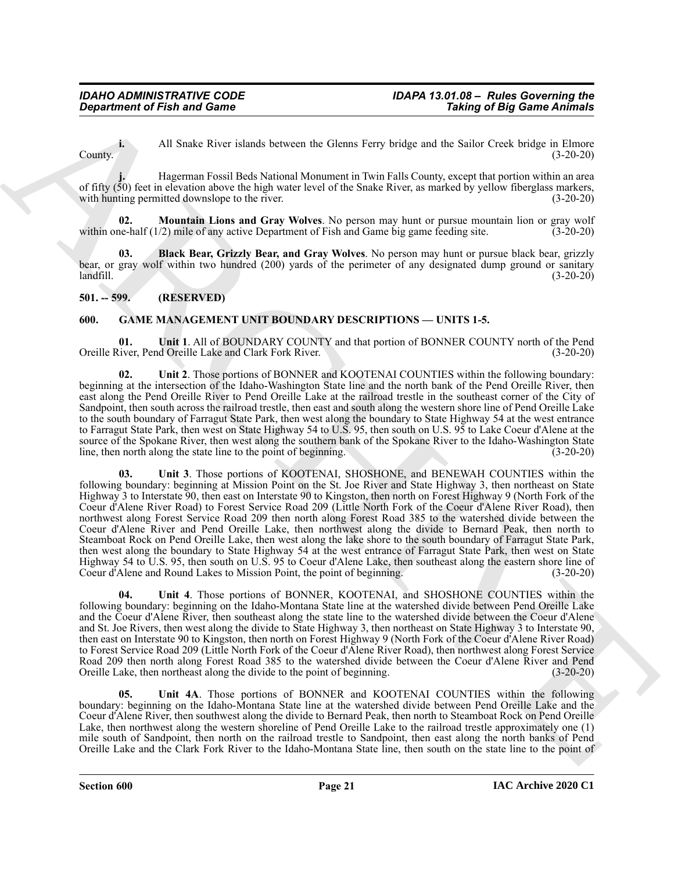**i.** All Snake River islands between the Glenns Ferry bridge and the Sailor Creek bridge in Elmore County. (3-20-20)

**j.** Hagerman Fossil Beds National Monument in Twin Falls County, except that portion within an area of fifty (50) feet in elevation above the high water level of the Snake River, as marked by yellow fiberglass markers, with hunting permitted downslope to the river.  $(3-20-20)$ with hunting permitted downslope to the river.

<span id="page-20-3"></span>**02. Mountain Lions and Gray Wolves**. No person may hunt or pursue mountain lion or gray wolf within one-half (1/2) mile of any active Department of Fish and Game big game feeding site. (3-20-20)

<span id="page-20-2"></span>**03. Black Bear, Grizzly Bear, and Gray Wolves**. No person may hunt or pursue black bear, grizzly bear, or gray wolf within two hundred (200) yards of the perimeter of any designated dump ground or sanitary landfill. (3-20-20)

#### <span id="page-20-0"></span>**501. -- 599. (RESERVED)**

#### <span id="page-20-4"></span><span id="page-20-1"></span>**600. GAME MANAGEMENT UNIT BOUNDARY DESCRIPTIONS — UNITS 1-5.**

<span id="page-20-5"></span>**01. Unit 1**. All of BOUNDARY COUNTY and that portion of BONNER COUNTY north of the Pend Oreille River, Pend Oreille Lake and Clark Fork River. (3-20-20)

<span id="page-20-7"></span><span id="page-20-6"></span>**02. Unit 2**. Those portions of BONNER and KOOTENAI COUNTIES within the following boundary: beginning at the intersection of the Idaho-Washington State line and the north bank of the Pend Oreille River, then east along the Pend Oreille River to Pend Oreille Lake at the railroad trestle in the southeast corner of the City of Sandpoint, then south across the railroad trestle, then east and south along the western shore line of Pend Oreille Lake to the south boundary of Farragut State Park, then west along the boundary to State Highway 54 at the west entrance to Farragut State Park, then west on State Highway 54 to U.S. 95, then south on U.S. 95 to Lake Coeur d'Alene at the source of the Spokane River, then west along the southern bank of the Spokane River to the Idaho-Washington State line, then north along the state line to the point of beginning. (3-20-20)

**Considered of Finit and Game**<br>
ARCHIVENT and Game<br>
ARCHIVENT and Game<br>
Considered and Game External and Game External and Game External and Game External and Game External and Game External and Game External and Game Ext **03. Unit 3**. Those portions of KOOTENAI, SHOSHONE, and BENEWAH COUNTIES within the following boundary: beginning at Mission Point on the St. Joe River and State Highway 3, then northeast on State Highway 3 to Interstate 90, then east on Interstate 90 to Kingston, then north on Forest Highway 9 (North Fork of the Coeur d'Alene River Road) to Forest Service Road 209 (Little North Fork of the Coeur d'Alene River Road), then northwest along Forest Service Road 209 then north along Forest Road 385 to the watershed divide between the Coeur d'Alene River and Pend Oreille Lake, then northwest along the divide to Bernard Peak, then north to Steamboat Rock on Pend Oreille Lake, then west along the lake shore to the south boundary of Farragut State Park, then west along the boundary to State Highway 54 at the west entrance of Farragut State Park, then west on State Highway 54 to U.S. 95, then south on U.S. 95 to Coeur d'Alene Lake, then southeast along the eastern shore line of Coeur d'Alene and Round Lakes to Mission Point, the point of beginning. (3-20-20)

<span id="page-20-8"></span>**04. Unit 4**. Those portions of BONNER, KOOTENAI, and SHOSHONE COUNTIES within the following boundary: beginning on the Idaho-Montana State line at the watershed divide between Pend Oreille Lake and the Coeur d'Alene River, then southeast along the state line to the watershed divide between the Coeur d'Alene and St. Joe Rivers, then west along the divide to State Highway 3, then northeast on State Highway 3 to Interstate 90, then east on Interstate 90 to Kingston, then north on Forest Highway 9 (North Fork of the Coeur d'Alene River Road) to Forest Service Road 209 (Little North Fork of the Coeur d'Alene River Road), then northwest along Forest Service Road 209 then north along Forest Road 385 to the watershed divide between the Coeur d'Alene River and Pend Oreille Lake, then northeast along the divide to the point of beginning. (3-20-20) Oreille Lake, then northeast along the divide to the point of beginning.

<span id="page-20-9"></span>**05. Unit 4A**. Those portions of BONNER and KOOTENAI COUNTIES within the following boundary: beginning on the Idaho-Montana State line at the watershed divide between Pend Oreille Lake and the Coeur d'Alene River, then southwest along the divide to Bernard Peak, then north to Steamboat Rock on Pend Oreille Lake, then northwest along the western shoreline of Pend Oreille Lake to the railroad trestle approximately one (1) mile south of Sandpoint, then north on the railroad trestle to Sandpoint, then east along the north banks of Pend Oreille Lake and the Clark Fork River to the Idaho-Montana State line, then south on the state line to the point of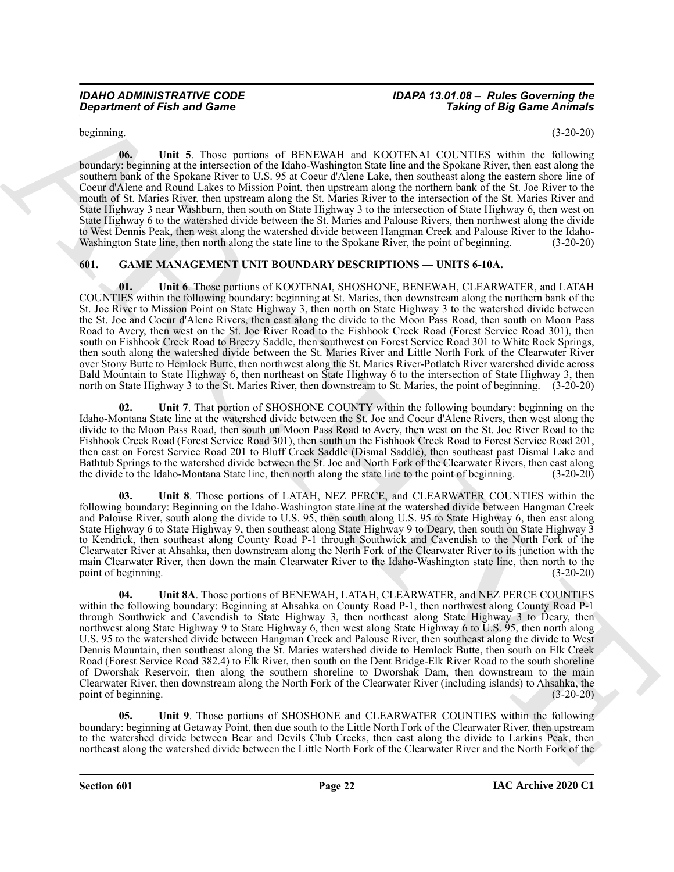## *IDAHO ADMINISTRATIVE CODE IDAPA 13.01.08 – Rules Governing the*

<span id="page-21-2"></span>beginning. (3-20-20)

**06. Unit 5**. Those portions of BENEWAH and KOOTENAI COUNTIES within the following boundary: beginning at the intersection of the Idaho-Washington State line and the Spokane River, then east along the southern bank of the Spokane River to U.S. 95 at Coeur d'Alene Lake, then southeast along the eastern shore line of Coeur d'Alene and Round Lakes to Mission Point, then upstream along the northern bank of the St. Joe River to the mouth of St. Maries River, then upstream along the St. Maries River to the intersection of the St. Maries River and State Highway 3 near Washburn, then south on State Highway 3 to the intersection of State Highway 6, then west on State Highway 6 to the watershed divide between the St. Maries and Palouse Rivers, then northwest along the divide to West Dennis Peak, then west along the watershed divide between Hangman Creek and Palouse River to the Idaho-Washington State line, then north along the state line to the Spokane River, the point of beginning. (3-20-20)

#### <span id="page-21-1"></span><span id="page-21-0"></span>**601. GAME MANAGEMENT UNIT BOUNDARY DESCRIPTIONS — UNITS 6-10A.**

<span id="page-21-3"></span>**01. Unit 6**. Those portions of KOOTENAI, SHOSHONE, BENEWAH, CLEARWATER, and LATAH COUNTIES within the following boundary: beginning at St. Maries, then downstream along the northern bank of the St. Joe River to Mission Point on State Highway 3, then north on State Highway 3 to the watershed divide between the St. Joe and Coeur d'Alene Rivers, then east along the divide to the Moon Pass Road, then south on Moon Pass Road to Avery, then west on the St. Joe River Road to the Fishhook Creek Road (Forest Service Road 301), then south on Fishhook Creek Road to Breezy Saddle, then southwest on Forest Service Road 301 to White Rock Springs, then south along the watershed divide between the St. Maries River and Little North Fork of the Clearwater River over Stony Butte to Hemlock Butte, then northwest along the St. Maries River-Potlatch River watershed divide across Bald Mountain to State Highway 6, then northeast on State Highway 6 to the intersection of State Highway 3, then north on State Highway 3 to the St. Maries River, then downstream to St. Maries, the point of beginning. (3-20-20)

<span id="page-21-4"></span>**02. Unit 7**. That portion of SHOSHONE COUNTY within the following boundary: beginning on the Idaho-Montana State line at the watershed divide between the St. Joe and Coeur d'Alene Rivers, then west along the divide to the Moon Pass Road, then south on Moon Pass Road to Avery, then west on the St. Joe River Road to the Fishhook Creek Road (Forest Service Road 301), then south on the Fishhook Creek Road to Forest Service Road 201, then east on Forest Service Road 201 to Bluff Creek Saddle (Dismal Saddle), then southeast past Dismal Lake and Bathtub Springs to the watershed divide between the St. Joe and North Fork of the Clearwater Rivers, then east along the divide to the Idaho-Montana State line, then north along the state line to the point of beginning. (3-20-20)

<span id="page-21-6"></span><span id="page-21-5"></span>**03. Unit 8**. Those portions of LATAH, NEZ PERCE, and CLEARWATER COUNTIES within the following boundary: Beginning on the Idaho-Washington state line at the watershed divide between Hangman Creek and Palouse River, south along the divide to U.S. 95, then south along U.S. 95 to State Highway 6, then east along State Highway 6 to State Highway 9, then southeast along State Highway 9 to Deary, then south on State Highway 3 to Kendrick, then southeast along County Road P-1 through Southwick and Cavendish to the North Fork of the Clearwater River at Ahsahka, then downstream along the North Fork of the Clearwater River to its junction with the main Clearwater River, then down the main Clearwater River to the Idaho-Washington state line, then north to the point of beginning. (3-20-20)

**Conservance of Finite and General Conservation** of RNVINN 1 and KO/ITN-1 CONSERVATION Solution of Big Saim Andministration of Big Saim Andrea Conservation of Big Saim Andrea Conservation of Big Saim Andrea Conservation o **04. Unit 8A**. Those portions of BENEWAH, LATAH, CLEARWATER, and NEZ PERCE COUNTIES within the following boundary: Beginning at Ahsahka on County Road P-1, then northwest along County Road P-1 through Southwick and Cavendish to State Highway 3, then northeast along State Highway 3 to Deary, then northwest along State Highway 9 to State Highway 6, then west along State Highway 6 to U.S. 95, then north along U.S. 95 to the watershed divide between Hangman Creek and Palouse River, then southeast along the divide to West Dennis Mountain, then southeast along the St. Maries watershed divide to Hemlock Butte, then south on Elk Creek Road (Forest Service Road 382.4) to Elk River, then south on the Dent Bridge-Elk River Road to the south shoreline of Dworshak Reservoir, then along the southern shoreline to Dworshak Dam, then downstream to the main Clearwater River, then downstream along the North Fork of the Clearwater River (including islands) to Ahsahka, the point of beginning. (3-20-20)

<span id="page-21-7"></span>**05. Unit 9**. Those portions of SHOSHONE and CLEARWATER COUNTIES within the following boundary: beginning at Getaway Point, then due south to the Little North Fork of the Clearwater River, then upstream to the watershed divide between Bear and Devils Club Creeks, then east along the divide to Larkins Peak, then northeast along the watershed divide between the Little North Fork of the Clearwater River and the North Fork of the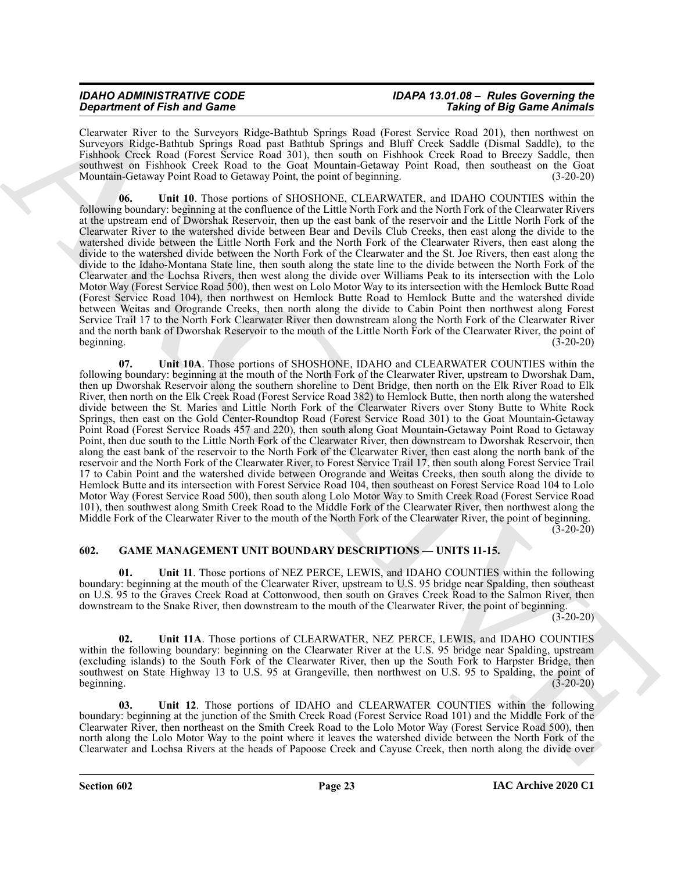| <b>IDAHO ADMINISTRATIVE CODE</b>   | IDAPA 13.01.08 - Rules Governing the |
|------------------------------------|--------------------------------------|
| <b>Department of Fish and Game</b> | <b>Taking of Big Game Animals</b>    |

Clearwater River to the Surveyors Ridge-Bathtub Springs Road (Forest Service Road 201), then northwest on Surveyors Ridge-Bathtub Springs Road past Bathtub Springs and Bluff Creek Saddle (Dismal Saddle), to the Fishhook Creek Road (Forest Service Road 301), then south on Fishhook Creek Road to Breezy Saddle, then southwest on Fishhook Creek Road to the Goat Mountain-Getaway Point Road, then southeast on the Goat Mountain-Getaway Point Road to Getaway Point, the point of beginning. (3-20-20)

<span id="page-22-6"></span><span id="page-22-5"></span>**06. Unit 10**. Those portions of SHOSHONE, CLEARWATER, and IDAHO COUNTIES within the following boundary: beginning at the confluence of the Little North Fork and the North Fork of the Clearwater Rivers at the upstream end of Dworshak Reservoir, then up the east bank of the reservoir and the Little North Fork of the Clearwater River to the watershed divide between Bear and Devils Club Creeks, then east along the divide to the watershed divide between the Little North Fork and the North Fork of the Clearwater Rivers, then east along the divide to the watershed divide between the North Fork of the Clearwater and the St. Joe Rivers, then east along the divide to the Idaho-Montana State line, then south along the state line to the divide between the North Fork of the Clearwater and the Lochsa Rivers, then west along the divide over Williams Peak to its intersection with the Lolo Motor Way (Forest Service Road 500), then west on Lolo Motor Way to its intersection with the Hemlock Butte Road (Forest Service Road 104), then northwest on Hemlock Butte Road to Hemlock Butte and the watershed divide between Weitas and Orogrande Creeks, then north along the divide to Cabin Point then northwest along Forest Service Trail 17 to the North Fork Clearwater River then downstream along the North Fork of the Clearwater River and the north bank of Dworshak Reservoir to the mouth of the Little North Fork of the Clearwater River, the point of beginning.  $(3-20-20)$ 

**Growth of Find and Gross Construction** Service, Real dynamic Service Construction Construction Construction Service Construction Service Construction Service Construction Service Construction Service Construction Service **07. Unit 10A**. Those portions of SHOSHONE, IDAHO and CLEARWATER COUNTIES within the following boundary: beginning at the mouth of the North Fork of the Clearwater River, upstream to Dworshak Dam, then up Dworshak Reservoir along the southern shoreline to Dent Bridge, then north on the Elk River Road to Elk River, then north on the Elk Creek Road (Forest Service Road 382) to Hemlock Butte, then north along the watershed divide between the St. Maries and Little North Fork of the Clearwater Rivers over Stony Butte to White Rock Springs, then east on the Gold Center-Roundtop Road (Forest Service Road 301) to the Goat Mountain-Getaway Point Road (Forest Service Roads 457 and 220), then south along Goat Mountain-Getaway Point Road to Getaway Point, then due south to the Little North Fork of the Clearwater River, then downstream to Dworshak Reservoir, then along the east bank of the reservoir to the North Fork of the Clearwater River, then east along the north bank of the reservoir and the North Fork of the Clearwater River, to Forest Service Trail 17, then south along Forest Service Trail 17 to Cabin Point and the watershed divide between Orogrande and Weitas Creeks, then south along the divide to Hemlock Butte and its intersection with Forest Service Road 104, then southeast on Forest Service Road 104 to Lolo Motor Way (Forest Service Road 500), then south along Lolo Motor Way to Smith Creek Road (Forest Service Road 101), then southwest along Smith Creek Road to the Middle Fork of the Clearwater River, then northwest along the Middle Fork of the Clearwater River to the mouth of the North Fork of the Clearwater River, the point of beginning.  $(3-20-20)$ 

#### <span id="page-22-1"></span><span id="page-22-0"></span>**602. GAME MANAGEMENT UNIT BOUNDARY DESCRIPTIONS — UNITS 11-15.**

<span id="page-22-2"></span>**01. Unit 11**. Those portions of NEZ PERCE, LEWIS, and IDAHO COUNTIES within the following boundary: beginning at the mouth of the Clearwater River, upstream to U.S. 95 bridge near Spalding, then southeast on U.S. 95 to the Graves Creek Road at Cottonwood, then south on Graves Creek Road to the Salmon River, then downstream to the Snake River, then downstream to the mouth of the Clearwater River, the point of beginning.

 $(3-20-20)$ 

<span id="page-22-3"></span>**02. Unit 11A**. Those portions of CLEARWATER, NEZ PERCE, LEWIS, and IDAHO COUNTIES within the following boundary: beginning on the Clearwater River at the U.S. 95 bridge near Spalding, upstream (excluding islands) to the South Fork of the Clearwater River, then up the South Fork to Harpster Bridge, then southwest on State Highway 13 to U.S. 95 at Grangeville, then northwest on U.S. 95 to Spalding, the point of beginning. (3-20-20)

<span id="page-22-4"></span>**03. Unit 12**. Those portions of IDAHO and CLEARWATER COUNTIES within the following boundary: beginning at the junction of the Smith Creek Road (Forest Service Road 101) and the Middle Fork of the Clearwater River, then northeast on the Smith Creek Road to the Lolo Motor Way (Forest Service Road 500), then north along the Lolo Motor Way to the point where it leaves the watershed divide between the North Fork of the Clearwater and Lochsa Rivers at the heads of Papoose Creek and Cayuse Creek, then north along the divide over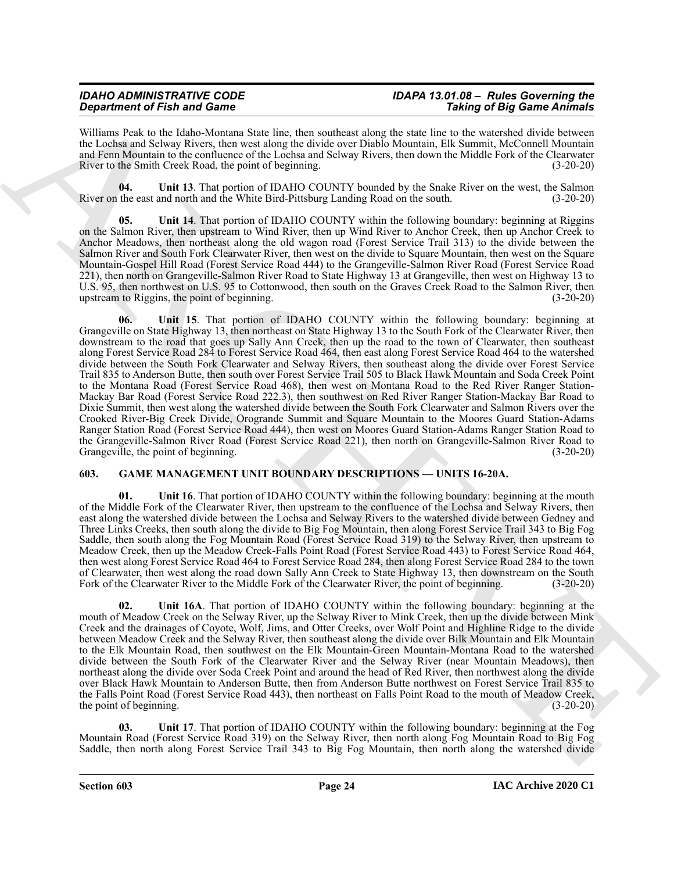### *IDAHO ADMINISTRATIVE CODE IDAPA 13.01.08 – Rules Governing the Department of Fish and Game*

Williams Peak to the Idaho-Montana State line, then southeast along the state line to the watershed divide between the Lochsa and Selway Rivers, then west along the divide over Diablo Mountain, Elk Summit, McConnell Mountain and Fenn Mountain to the confluence of the Lochsa and Selway Rivers, then down the Middle Fork of the Clearwater River to the Smith Creek Road, the point of beginning. (3-20-20)

<span id="page-23-2"></span>**04.** Unit 13. That portion of IDAHO COUNTY bounded by the Snake River on the west, the Salmon the east and north and the White Bird-Pittsburg Landing Road on the south. (3-20-20) River on the east and north and the White Bird-Pittsburg Landing Road on the south.

<span id="page-23-4"></span><span id="page-23-3"></span>**05. Unit 14**. That portion of IDAHO COUNTY within the following boundary: beginning at Riggins on the Salmon River, then upstream to Wind River, then up Wind River to Anchor Creek, then up Anchor Creek to Anchor Meadows, then northeast along the old wagon road (Forest Service Trail 313) to the divide between the Salmon River and South Fork Clearwater River, then west on the divide to Square Mountain, then west on the Square Mountain-Gospel Hill Road (Forest Service Road 444) to the Grangeville-Salmon River Road (Forest Service Road 221), then north on Grangeville-Salmon River Road to State Highway 13 at Grangeville, then west on Highway 13 to U.S. 95, then northwest on U.S. 95 to Cottonwood, then south on the Graves Creek Road to the Salmon River, then upstream to Riggins, the point of beginning.

**Original for Entry and Some 20** Constraints of the same of the same of Entry and Entry and Entry and Entry and Entry and Entry and Entry and Some 200 Constraints of the same of the same of the same of the same of the sam **06. Unit 15**. That portion of IDAHO COUNTY within the following boundary: beginning at Grangeville on State Highway 13, then northeast on State Highway 13 to the South Fork of the Clearwater River, then downstream to the road that goes up Sally Ann Creek, then up the road to the town of Clearwater, then southeast along Forest Service Road 284 to Forest Service Road 464, then east along Forest Service Road 464 to the watershed divide between the South Fork Clearwater and Selway Rivers, then southeast along the divide over Forest Service Trail 835 to Anderson Butte, then south over Forest Service Trail 505 to Black Hawk Mountain and Soda Creek Point to the Montana Road (Forest Service Road 468), then west on Montana Road to the Red River Ranger Station-Mackay Bar Road (Forest Service Road 222.3), then southwest on Red River Ranger Station-Mackay Bar Road to Dixie Summit, then west along the watershed divide between the South Fork Clearwater and Salmon Rivers over the Crooked River-Big Creek Divide, Orogrande Summit and Square Mountain to the Moores Guard Station-Adams Ranger Station Road (Forest Service Road 444), then west on Moores Guard Station-Adams Ranger Station Road to the Grangeville-Salmon River Road (Forest Service Road 221), then north on Grangeville-Salmon River Road to Grangeville, the point of beginning. (3-20-20)

#### <span id="page-23-1"></span><span id="page-23-0"></span>**603. GAME MANAGEMENT UNIT BOUNDARY DESCRIPTIONS — UNITS 16-20A.**

<span id="page-23-5"></span>**01.** Unit 16. That portion of IDAHO COUNTY within the following boundary: beginning at the mouth of the Middle Fork of the Clearwater River, then upstream to the confluence of the Lochsa and Selway Rivers, then east along the watershed divide between the Lochsa and Selway Rivers to the watershed divide between Gedney and Three Links Creeks, then south along the divide to Big Fog Mountain, then along Forest Service Trail 343 to Big Fog Saddle, then south along the Fog Mountain Road (Forest Service Road 319) to the Selway River, then upstream to Meadow Creek, then up the Meadow Creek-Falls Point Road (Forest Service Road 443) to Forest Service Road 464, then west along Forest Service Road 464 to Forest Service Road 284, then along Forest Service Road 284 to the town of Clearwater, then west along the road down Sally Ann Creek to State Highway 13, then downstream on the South Fork of the Clearwater River to the Middle Fork of the Clearwater River, the point of beginning. (3-20-20)

<span id="page-23-6"></span>**02. Unit 16A**. That portion of IDAHO COUNTY within the following boundary: beginning at the mouth of Meadow Creek on the Selway River, up the Selway River to Mink Creek, then up the divide between Mink Creek and the drainages of Coyote, Wolf, Jims, and Otter Creeks, over Wolf Point and Highline Ridge to the divide between Meadow Creek and the Selway River, then southeast along the divide over Bilk Mountain and Elk Mountain to the Elk Mountain Road, then southwest on the Elk Mountain-Green Mountain-Montana Road to the watershed divide between the South Fork of the Clearwater River and the Selway River (near Mountain Meadows), then northeast along the divide over Soda Creek Point and around the head of Red River, then northwest along the divide over Black Hawk Mountain to Anderson Butte, then from Anderson Butte northwest on Forest Service Trail 835 to the Falls Point Road (Forest Service Road 443), then northeast on Falls Point Road to the mouth of Meadow Creek, the point of beginning. (3-20-20)

<span id="page-23-7"></span>**03. Unit 17**. That portion of IDAHO COUNTY within the following boundary: beginning at the Fog Mountain Road (Forest Service Road 319) on the Selway River, then north along Fog Mountain Road to Big Fog Saddle, then north along Forest Service Trail 343 to Big Fog Mountain, then north along the watershed divide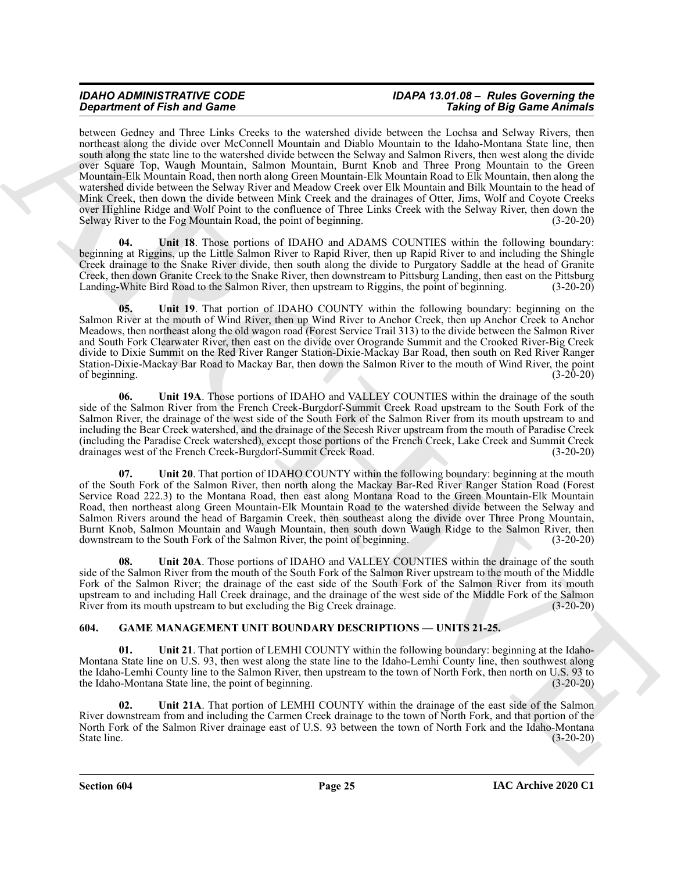# *IDAHO ADMINISTRATIVE CODE IDAPA 13.01.08 – Rules Governing the*

**State for State and Constraints of Architecture in State 1988 (and 200 State 1988) and 200 State 1988 (and 200 State 1988) and 200 State 1988 (and 200 State 1988) and 200 State 1988 (and 200 State 1988) and 200 State 198** between Gedney and Three Links Creeks to the watershed divide between the Lochsa and Selway Rivers, then northeast along the divide over McConnell Mountain and Diablo Mountain to the Idaho-Montana State line, then south along the state line to the watershed divide between the Selway and Salmon Rivers, then west along the divide over Square Top, Waugh Mountain, Salmon Mountain, Burnt Knob and Three Prong Mountain to the Green Mountain-Elk Mountain Road, then north along Green Mountain-Elk Mountain Road to Elk Mountain, then along the watershed divide between the Selway River and Meadow Creek over Elk Mountain and Bilk Mountain to the head of Mink Creek, then down the divide between Mink Creek and the drainages of Otter, Jims, Wolf and Coyote Creeks over Highline Ridge and Wolf Point to the confluence of Three Links Creek with the Selway River, then down the Selway River to the Fog Mountain Road, the point of beginning. (3-20-20)

<span id="page-24-2"></span>**04. Unit 18**. Those portions of IDAHO and ADAMS COUNTIES within the following boundary: beginning at Riggins, up the Little Salmon River to Rapid River, then up Rapid River to and including the Shingle Creek drainage to the Snake River divide, then south along the divide to Purgatory Saddle at the head of Granite Creek, then down Granite Creek to the Snake River, then downstream to Pittsburg Landing, then east on the Pittsburg Landing-White Bird Road to the Salmon River, then upstream to Riggins, the point of beginning. (3-20-20)

<span id="page-24-3"></span>**05. Unit 19**. That portion of IDAHO COUNTY within the following boundary: beginning on the Salmon River at the mouth of Wind River, then up Wind River to Anchor Creek, then up Anchor Creek to Anchor Meadows, then northeast along the old wagon road (Forest Service Trail 313) to the divide between the Salmon River and South Fork Clearwater River, then east on the divide over Orogrande Summit and the Crooked River-Big Creek divide to Dixie Summit on the Red River Ranger Station-Dixie-Mackay Bar Road, then south on Red River Ranger Station-Dixie-Mackay Bar Road to Mackay Bar, then down the Salmon River to the mouth of Wind River, the point of beginning. (3-20-20)

<span id="page-24-4"></span>**06. Unit 19A**. Those portions of IDAHO and VALLEY COUNTIES within the drainage of the south side of the Salmon River from the French Creek-Burgdorf-Summit Creek Road upstream to the South Fork of the Salmon River, the drainage of the west side of the South Fork of the Salmon River from its mouth upstream to and including the Bear Creek watershed, and the drainage of the Secesh River upstream from the mouth of Paradise Creek (including the Paradise Creek watershed), except those portions of the French Creek, Lake Creek and Summit Creek drainages west of the French Creek-Burgdorf-Summit Creek Road. (3-20-20)

<span id="page-24-5"></span>**07.** Unit 20. That portion of IDAHO COUNTY within the following boundary: beginning at the mouth of the South Fork of the Salmon River, then north along the Mackay Bar-Red River Ranger Station Road (Forest Service Road 222.3) to the Montana Road, then east along Montana Road to the Green Mountain-Elk Mountain Road, then northeast along Green Mountain-Elk Mountain Road to the watershed divide between the Selway and Salmon Rivers around the head of Bargamin Creek, then southeast along the divide over Three Prong Mountain, Burnt Knob, Salmon Mountain and Waugh Mountain, then south down Waugh Ridge to the Salmon River, then downstream to the South Fork of the Salmon River, the point of beginning. (3-20-20)

<span id="page-24-6"></span>**08. Unit 20A**. Those portions of IDAHO and VALLEY COUNTIES within the drainage of the south side of the Salmon River from the mouth of the South Fork of the Salmon River upstream to the mouth of the Middle Fork of the Salmon River; the drainage of the east side of the South Fork of the Salmon River from its mouth upstream to and including Hall Creek drainage, and the drainage of the west side of the Middle Fork of the Salmon River from its mouth upstream to but excluding the Big Creek drainage. (3-20-20)

#### <span id="page-24-1"></span><span id="page-24-0"></span>**604. GAME MANAGEMENT UNIT BOUNDARY DESCRIPTIONS — UNITS 21-25.**

<span id="page-24-7"></span>**01. Unit 21**. That portion of LEMHI COUNTY within the following boundary: beginning at the Idaho-Montana State line on U.S. 93, then west along the state line to the Idaho-Lemhi County line, then southwest along the Idaho-Lemhi County line to the Salmon River, then upstream to the town of North Fork, then north on U.S. 93 to the Idaho-Montana State line, the point of beginning. (3-20-20)

<span id="page-24-8"></span>**02. Unit 21A**. That portion of LEMHI COUNTY within the drainage of the east side of the Salmon River downstream from and including the Carmen Creek drainage to the town of North Fork, and that portion of the North Fork of the Salmon River drainage east of U.S. 93 between the town of North Fork and the Idaho-Montana State line. (3-20-20)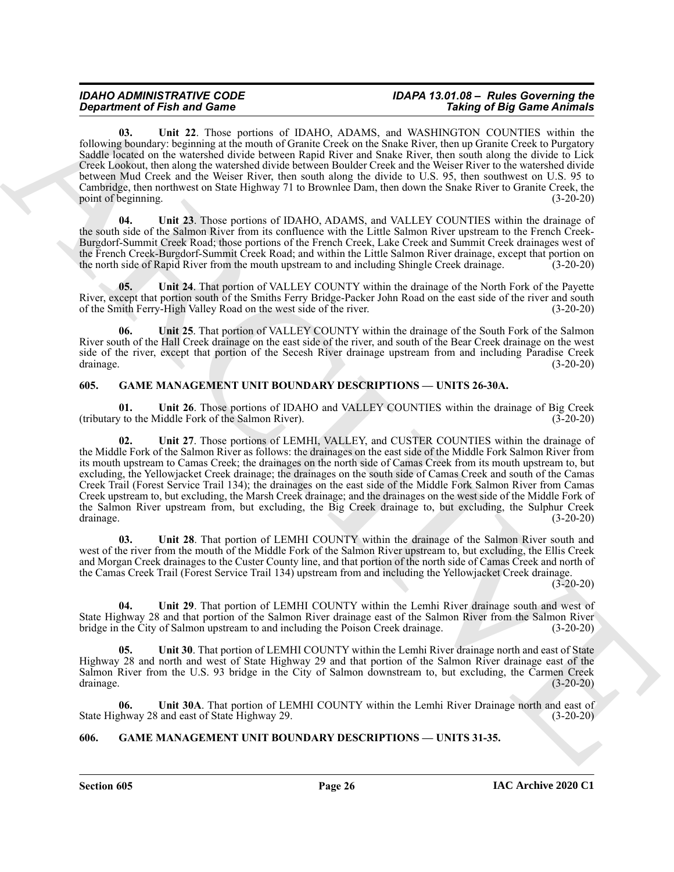#### *IDAHO ADMINISTRATIVE CODE IDAPA 13.01.08 – Rules Governing the Taking of Big Game Animals*

<span id="page-25-4"></span>**03. Unit 22**. Those portions of IDAHO, ADAMS, and WASHINGTON COUNTIES within the following boundary: beginning at the mouth of Granite Creek on the Snake River, then up Granite Creek to Purgatory Saddle located on the watershed divide between Rapid River and Snake River, then south along the divide to Lick Creek Lookout, then along the watershed divide between Boulder Creek and the Weiser River to the watershed divide between Mud Creek and the Weiser River, then south along the divide to U.S. 95, then southwest on U.S. 95 to Cambridge, then northwest on State Highway 71 to Brownlee Dam, then down the Snake River to Granite Creek, the point of beginning.

<span id="page-25-5"></span>**04. Unit 23**. Those portions of IDAHO, ADAMS, and VALLEY COUNTIES within the drainage of the south side of the Salmon River from its confluence with the Little Salmon River upstream to the French Creek-Burgdorf-Summit Creek Road; those portions of the French Creek, Lake Creek and Summit Creek drainages west of the French Creek-Burgdorf-Summit Creek Road; and within the Little Salmon River drainage, except that portion on<br>the north side of Rapid River from the mouth upstream to and including Shingle Creek drainage. (3-20-20) the north side of Rapid River from the mouth upstream to and including Shingle Creek drainage.

<span id="page-25-6"></span>**05.** Unit 24. That portion of VALLEY COUNTY within the drainage of the North Fork of the Payette River, except that portion south of the Smiths Ferry Bridge-Packer John Road on the east side of the river and south of the Smith Ferry-High Valley Road on the west side of the river. (3-20-20) of the Smith Ferry-High Valley Road on the west side of the river.

<span id="page-25-7"></span>**06. Unit 25**. That portion of VALLEY COUNTY within the drainage of the South Fork of the Salmon River south of the Hall Creek drainage on the east side of the river, and south of the Bear Creek drainage on the west side of the river, except that portion of the Secesh River drainage upstream from and including Paradise Creek<br>(3-20-20) drainage. (3-20-20)

#### <span id="page-25-2"></span><span id="page-25-0"></span>**605. GAME MANAGEMENT UNIT BOUNDARY DESCRIPTIONS — UNITS 26-30A.**

<span id="page-25-9"></span><span id="page-25-8"></span>**01. Unit 26**. Those portions of IDAHO and VALLEY COUNTIES within the drainage of Big Creek (tributary to the Middle Fork of the Salmon River). (3-20-20)

**Expansion of Finite and Connective Connective Connective Connective Connective Connective Connective Connective Connective Connective Connective Connective Connective Connective Connective Connective Connective Connectiv 02. Unit 27**. Those portions of LEMHI, VALLEY, and CUSTER COUNTIES within the drainage of the Middle Fork of the Salmon River as follows: the drainages on the east side of the Middle Fork Salmon River from its mouth upstream to Camas Creek; the drainages on the north side of Camas Creek from its mouth upstream to, but excluding, the Yellowjacket Creek drainage; the drainages on the south side of Camas Creek and south of the Camas Creek Trail (Forest Service Trail 134); the drainages on the east side of the Middle Fork Salmon River from Camas Creek upstream to, but excluding, the Marsh Creek drainage; and the drainages on the west side of the Middle Fork of the Salmon River upstream from, but excluding, the Big Creek drainage to, but excluding, the Sulphur Creek drainage. (3-20-20) drainage. (3-20-20)

<span id="page-25-10"></span>**03. Unit 28**. That portion of LEMHI COUNTY within the drainage of the Salmon River south and west of the river from the mouth of the Middle Fork of the Salmon River upstream to, but excluding, the Ellis Creek and Morgan Creek drainages to the Custer County line, and that portion of the north side of Camas Creek and north of the Camas Creek Trail (Forest Service Trail 134) upstream from and including the Yellowjacket Creek drainage.

 $(3-20-20)$ 

<span id="page-25-11"></span>**04. Unit 29**. That portion of LEMHI COUNTY within the Lemhi River drainage south and west of State Highway 28 and that portion of the Salmon River drainage east of the Salmon River from the Salmon River bridge in the City of Salmon upstream to and including the Poison Creek drainage. (3-20-20) bridge in the City of Salmon upstream to and including the Poison Creek drainage.

<span id="page-25-12"></span>**05. Unit 30**. That portion of LEMHI COUNTY within the Lemhi River drainage north and east of State Highway 28 and north and west of State Highway 29 and that portion of the Salmon River drainage east of the Salmon River from the U.S. 93 bridge in the City of Salmon downstream to, but excluding, the Carmen Creek drainage. (3-20-20)

<span id="page-25-13"></span>**06. Unit 30A**. That portion of LEMHI COUNTY within the Lemhi River Drainage north and east of State Highway 28 and east of State Highway 29. (3-20-20)

#### <span id="page-25-3"></span><span id="page-25-1"></span>**606. GAME MANAGEMENT UNIT BOUNDARY DESCRIPTIONS — UNITS 31-35.**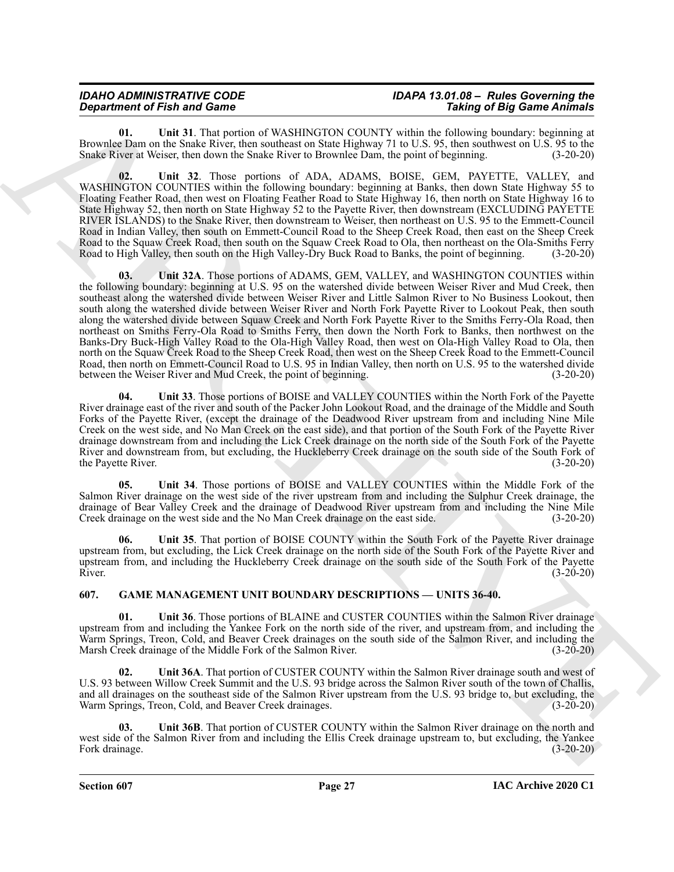#### *IDAHO ADMINISTRATIVE CODE IDAPA 13.01.08 – Rules Governing the Department of Fish and Game*

<span id="page-26-2"></span>**01. Unit 31**. That portion of WASHINGTON COUNTY within the following boundary: beginning at Brownlee Dam on the Snake River, then southeast on State Highway 71 to U.S. 95, then southwest on U.S. 95 to the Snake River at Weiser, then down the Snake River to Brownlee Dam, the point of beginning. (3-20-20)

<span id="page-26-4"></span><span id="page-26-3"></span>**02. Unit 32**. Those portions of ADA, ADAMS, BOISE, GEM, PAYETTE, VALLEY, and WASHINGTON COUNTIES within the following boundary: beginning at Banks, then down State Highway 55 to Floating Feather Road, then west on Floating Feather Road to State Highway 16, then north on State Highway 16 to State Highway 52, then north on State Highway 52 to the Payette River, then downstream (EXCLUDING PAYETTE RIVER ISLANDS) to the Snake River, then downstream to Weiser, then northeast on U.S. 95 to the Emmett-Council Road in Indian Valley, then south on Emmett-Council Road to the Sheep Creek Road, then east on the Sheep Creek Road to the Squaw Creek Road, then south on the Squaw Creek Road to Ola, then northeast on the Ola-Smiths Ferry Road to High Valley, then south on the High Valley-Dry Buck Road to Banks, the point of beginning. (3-20-20)

**Department of Finite and Constraints of ASSIBANCION COUNTY since the Existence of Fig. 2014 (Fig. 2014) and Existence of Fig. 2014) and Existence of Constraints of Fig. 2014 (Fig. 2014) and Constraints of Fig. 2014) and 03. Unit 32A**. Those portions of ADAMS, GEM, VALLEY, and WASHINGTON COUNTIES within the following boundary: beginning at U.S. 95 on the watershed divide between Weiser River and Mud Creek, then southeast along the watershed divide between Weiser River and Little Salmon River to No Business Lookout, then south along the watershed divide between Weiser River and North Fork Payette River to Lookout Peak, then south along the watershed divide between Squaw Creek and North Fork Payette River to the Smiths Ferry-Ola Road, then northeast on Smiths Ferry-Ola Road to Smiths Ferry, then down the North Fork to Banks, then northwest on the Banks-Dry Buck-High Valley Road to the Ola-High Valley Road, then west on Ola-High Valley Road to Ola, then north on the Squaw Creek Road to the Sheep Creek Road, then west on the Sheep Creek Road to the Emmett-Council Road, then north on Emmett-Council Road to U.S. 95 in Indian Valley, then north on U.S. 95 to the watershed divide between the Weiser River and Mud Creek, the point of beginning. (3-20-20)

<span id="page-26-5"></span>**04. Unit 33**. Those portions of BOISE and VALLEY COUNTIES within the North Fork of the Payette River drainage east of the river and south of the Packer John Lookout Road, and the drainage of the Middle and South Forks of the Payette River, (except the drainage of the Deadwood River upstream from and including Nine Mile Creek on the west side, and No Man Creek on the east side), and that portion of the South Fork of the Payette River drainage downstream from and including the Lick Creek drainage on the north side of the South Fork of the Payette River and downstream from, but excluding, the Huckleberry Creek drainage on the south side of the South Fork of the Payette River. (3-20-20)

<span id="page-26-6"></span>**05. Unit 34**. Those portions of BOISE and VALLEY COUNTIES within the Middle Fork of the Salmon River drainage on the west side of the river upstream from and including the Sulphur Creek drainage, the drainage of Bear Valley Creek and the drainage of Deadwood River upstream from and including the Nine Mile Creek drainage on the west side and the No Man Creek drainage on the east side. (3-20-20)

<span id="page-26-7"></span>**06. Unit 35**. That portion of BOISE COUNTY within the South Fork of the Payette River drainage upstream from, but excluding, the Lick Creek drainage on the north side of the South Fork of the Payette River and upstream from, and including the Huckleberry Creek drainage on the south side of the South Fork of the Payette River.  $(3-20-20)$ 

#### <span id="page-26-1"></span><span id="page-26-0"></span>**607. GAME MANAGEMENT UNIT BOUNDARY DESCRIPTIONS — UNITS 36-40.**

<span id="page-26-8"></span>**01. Unit 36**. Those portions of BLAINE and CUSTER COUNTIES within the Salmon River drainage upstream from and including the Yankee Fork on the north side of the river, and upstream from, and including the Warm Springs, Treon, Cold, and Beaver Creek drainages on the south side of the Salmon River, and including the Marsh Creek drainage of the Middle Fork of the Salmon River. (3-20-20)

<span id="page-26-9"></span>**02. Unit 36A**. That portion of CUSTER COUNTY within the Salmon River drainage south and west of U.S. 93 between Willow Creek Summit and the U.S. 93 bridge across the Salmon River south of the town of Challis, and all drainages on the southeast side of the Salmon River upstream from the U.S. 93 bridge to, but excluding, the Warm Springs, Treon, Cold, and Beaver Creek drainages. (3-20-20)

<span id="page-26-10"></span>**03. Unit 36B**. That portion of CUSTER COUNTY within the Salmon River drainage on the north and west side of the Salmon River from and including the Ellis Creek drainage upstream to, but excluding, the Yankee Fork drainage. (3-20-20)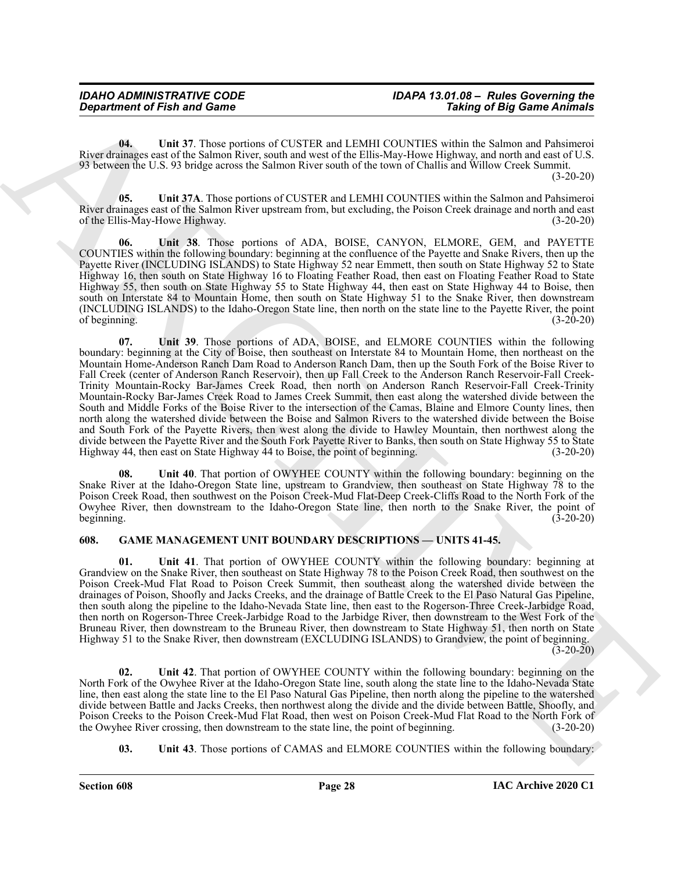<span id="page-27-2"></span>**04. Unit 37**. Those portions of CUSTER and LEMHI COUNTIES within the Salmon and Pahsimeroi River drainages east of the Salmon River, south and west of the Ellis-May-Howe Highway, and north and east of U.S. 93 between the U.S. 93 bridge across the Salmon River south of the town of Challis and Willow Creek Summit.  $(3-20-20)$ 

<span id="page-27-3"></span>**05. Unit 37A**. Those portions of CUSTER and LEMHI COUNTIES within the Salmon and Pahsimeroi River drainages east of the Salmon River upstream from, but excluding, the Poison Creek drainage and north and east of the Ellis-May-Howe Highway. (3-20-20)

<span id="page-27-5"></span><span id="page-27-4"></span>**06. Unit 38**. Those portions of ADA, BOISE, CANYON, ELMORE, GEM, and PAYETTE COUNTIES within the following boundary: beginning at the confluence of the Payette and Snake Rivers, then up the Payette River (INCLUDING ISLANDS) to State Highway 52 near Emmett, then south on State Highway 52 to State Highway 16, then south on State Highway 16 to Floating Feather Road, then east on Floating Feather Road to State Highway 55, then south on State Highway 55 to State Highway 44, then east on State Highway 44 to Boise, then south on Interstate 84 to Mountain Home, then south on State Highway 51 to the Snake River, then downstream (INCLUDING ISLANDS) to the Idaho-Oregon State line, then north on the state line to the Payette River, the point of beginning. (3-20-20)

**Constrained of Finite and General Constrained Constrained Constrained in the signal constrained of Fig. (a)**  $\theta$  **and 37 These persons of Fig. 2018). The signal constrained in the signal constrained in the signal constrai 07. Unit 39**. Those portions of ADA, BOISE, and ELMORE COUNTIES within the following boundary: beginning at the City of Boise, then southeast on Interstate 84 to Mountain Home, then northeast on the Mountain Home-Anderson Ranch Dam Road to Anderson Ranch Dam, then up the South Fork of the Boise River to Fall Creek (center of Anderson Ranch Reservoir), then up Fall Creek to the Anderson Ranch Reservoir-Fall Creek-Trinity Mountain-Rocky Bar-James Creek Road, then north on Anderson Ranch Reservoir-Fall Creek-Trinity Mountain-Rocky Bar-James Creek Road to James Creek Summit, then east along the watershed divide between the South and Middle Forks of the Boise River to the intersection of the Camas, Blaine and Elmore County lines, then north along the watershed divide between the Boise and Salmon Rivers to the watershed divide between the Boise and South Fork of the Payette Rivers, then west along the divide to Hawley Mountain, then northwest along the divide between the Payette River and the South Fork Payette River to Banks, then south on State Highway 55 to State Highway 44, then east on State Highway 44 to Boise, the point of beginning. (3-20-20)

<span id="page-27-6"></span>**08. Unit 40**. That portion of OWYHEE COUNTY within the following boundary: beginning on the Snake River at the Idaho-Oregon State line, upstream to Grandview, then southeast on State Highway 78 to the Poison Creek Road, then southwest on the Poison Creek-Mud Flat-Deep Creek-Cliffs Road to the North Fork of the Owyhee River, then downstream to the Idaho-Oregon State line, then north to the Snake River, the point of beginning.  $(3-20-20)$ 

#### <span id="page-27-1"></span><span id="page-27-0"></span>**608. GAME MANAGEMENT UNIT BOUNDARY DESCRIPTIONS — UNITS 41-45.**

<span id="page-27-7"></span>**01. Unit 41**. That portion of OWYHEE COUNTY within the following boundary: beginning at Grandview on the Snake River, then southeast on State Highway 78 to the Poison Creek Road, then southwest on the Poison Creek-Mud Flat Road to Poison Creek Summit, then southeast along the watershed divide between the drainages of Poison, Shoofly and Jacks Creeks, and the drainage of Battle Creek to the El Paso Natural Gas Pipeline, then south along the pipeline to the Idaho-Nevada State line, then east to the Rogerson-Three Creek-Jarbidge Road, then north on Rogerson-Three Creek-Jarbidge Road to the Jarbidge River, then downstream to the West Fork of the Bruneau River, then downstream to the Bruneau River, then downstream to State Highway 51, then north on State Highway 51 to the Snake River, then downstream (EXCLUDING ISLANDS) to Grandview, the point of beginning.  $(3-20-20)$ 

<span id="page-27-8"></span>**02. Unit 42**. That portion of OWYHEE COUNTY within the following boundary: beginning on the North Fork of the Owyhee River at the Idaho-Oregon State line, south along the state line to the Idaho-Nevada State line, then east along the state line to the El Paso Natural Gas Pipeline, then north along the pipeline to the watershed divide between Battle and Jacks Creeks, then northwest along the divide and the divide between Battle, Shoofly, and Poison Creeks to the Poison Creek-Mud Flat Road, then west on Poison Creek-Mud Flat Road to the North Fork of the Owyhee River crossing, then downstream to the state line, the point of beginning. (3-20-20) the Owyhee River crossing, then downstream to the state line, the point of beginning.

<span id="page-27-9"></span>**03.** Unit 43. Those portions of CAMAS and ELMORE COUNTIES within the following boundary: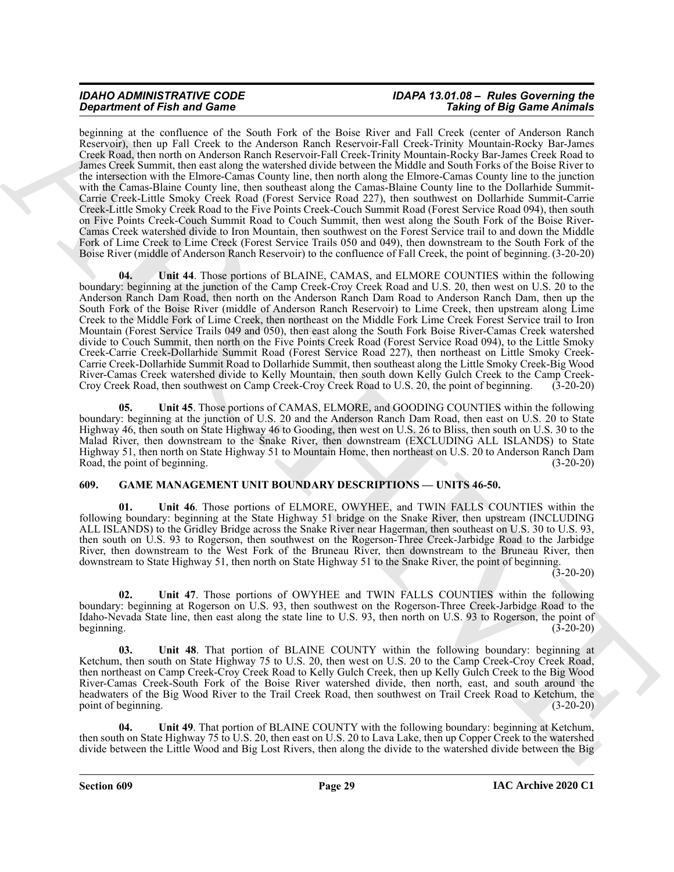# *IDAHO ADMINISTRATIVE CODE IDAPA 13.01.08 – Rules Governing the*

**Experiment of Find and Toward School Association** (the Bene-Jeron and H.Company of Big Same Radio Research Control in the Same Radio Research Control in the Same Radio Research Control in the Same Radio Research Control beginning at the confluence of the South Fork of the Boise River and Fall Creek (center of Anderson Ranch Reservoir), then up Fall Creek to the Anderson Ranch Reservoir-Fall Creek-Trinity Mountain-Rocky Bar-James Creek Road, then north on Anderson Ranch Reservoir-Fall Creek-Trinity Mountain-Rocky Bar-James Creek Road to James Creek Summit, then east along the watershed divide between the Middle and South Forks of the Boise River to the intersection with the Elmore-Camas County line, then north along the Elmore-Camas County line to the junction with the Camas-Blaine County line, then southeast along the Camas-Blaine County line to the Dollarhide Summit-Carrie Creek-Little Smoky Creek Road (Forest Service Road 227), then southwest on Dollarhide Summit-Carrie Creek-Little Smoky Creek Road to the Five Points Creek-Couch Summit Road (Forest Service Road 094), then south on Five Points Creek-Couch Summit Road to Couch Summit, then west along the South Fork of the Boise River-Camas Creek watershed divide to Iron Mountain, then southwest on the Forest Service trail to and down the Middle Fork of Lime Creek to Lime Creek (Forest Service Trails 050 and 049), then downstream to the South Fork of the Boise River (middle of Anderson Ranch Reservoir) to the confluence of Fall Creek, the point of beginning. (3-20-20)

<span id="page-28-2"></span>Unit 44. Those portions of BLAINE, CAMAS, and ELMORE COUNTIES within the following boundary: beginning at the junction of the Camp Creek-Croy Creek Road and U.S. 20, then west on U.S. 20 to the Anderson Ranch Dam Road, then north on the Anderson Ranch Dam Road to Anderson Ranch Dam, then up the South Fork of the Boise River (middle of Anderson Ranch Reservoir) to Lime Creek, then upstream along Lime Creek to the Middle Fork of Lime Creek, then northeast on the Middle Fork Lime Creek Forest Service trail to Iron Mountain (Forest Service Trails 049 and 050), then east along the South Fork Boise River-Camas Creek watershed divide to Couch Summit, then north on the Five Points Creek Road (Forest Service Road 094), to the Little Smoky Creek-Carrie Creek-Dollarhide Summit Road (Forest Service Road 227), then northeast on Little Smoky Creek-Carrie Creek-Dollarhide Summit Road to Dollarhide Summit, then southeast along the Little Smoky Creek-Big Wood River-Camas Creek watershed divide to Kelly Mountain, then south down Kelly Gulch Creek to the Camp Creek-Croy Creek Road, then southwest on Camp Creek-Croy Creek Road to U.S. 20, the point of beginning. (3-20-20)

<span id="page-28-3"></span>**05. Unit 45**. Those portions of CAMAS, ELMORE, and GOODING COUNTIES within the following boundary: beginning at the junction of U.S. 20 and the Anderson Ranch Dam Road, then east on U.S. 20 to State Highway 46, then south on State Highway 46 to Gooding, then west on U.S. 26 to Bliss, then south on U.S. 30 to the Malad River, then downstream to the Snake River, then downstream (EXCLUDING ALL ISLANDS) to State Highway 51, then north on State Highway 51 to Mountain Home, then northeast on U.S. 20 to Anderson Ranch Dam Road, the point of beginning. (3-20-20)

#### <span id="page-28-1"></span><span id="page-28-0"></span>**609. GAME MANAGEMENT UNIT BOUNDARY DESCRIPTIONS — UNITS 46-50.**

<span id="page-28-4"></span>**01. Unit 46**. Those portions of ELMORE, OWYHEE, and TWIN FALLS COUNTIES within the following boundary: beginning at the State Highway 51 bridge on the Snake River, then upstream (INCLUDING ALL ISLANDS) to the Gridley Bridge across the Snake River near Hagerman, then southeast on U.S. 30 to U.S. 93, then south on U.S. 93 to Rogerson, then southwest on the Rogerson-Three Creek-Jarbidge Road to the Jarbidge River, then downstream to the West Fork of the Bruneau River, then downstream to the Bruneau River, then downstream to State Highway 51, then north on State Highway 51 to the Snake River, the point of beginning.

 $(3-20-20)$ 

<span id="page-28-5"></span>**02. Unit 47**. Those portions of OWYHEE and TWIN FALLS COUNTIES within the following boundary: beginning at Rogerson on U.S. 93, then southwest on the Rogerson-Three Creek-Jarbidge Road to the Idaho-Nevada State line, then east along the state line to U.S. 93, then north on U.S. 93 to Rogerson, the point of beginning. (3-20-20) beginning.  $(3-20-20)$ 

<span id="page-28-6"></span>**03. Unit 48**. That portion of BLAINE COUNTY within the following boundary: beginning at Ketchum, then south on State Highway 75 to U.S. 20, then west on U.S. 20 to the Camp Creek-Croy Creek Road, then northeast on Camp Creek-Croy Creek Road to Kelly Gulch Creek, then up Kelly Gulch Creek to the Big Wood River-Camas Creek-South Fork of the Boise River watershed divide, then north, east, and south around the headwaters of the Big Wood River to the Trail Creek Road, then southwest on Trail Creek Road to Ketchum, the point of beginning. (3-20-20)

<span id="page-28-7"></span>**04. Unit 49**. That portion of BLAINE COUNTY with the following boundary: beginning at Ketchum, then south on State Highway 75 to U.S. 20, then east on U.S. 20 to Lava Lake, then up Copper Creek to the watershed divide between the Little Wood and Big Lost Rivers, then along the divide to the watershed divide between the Big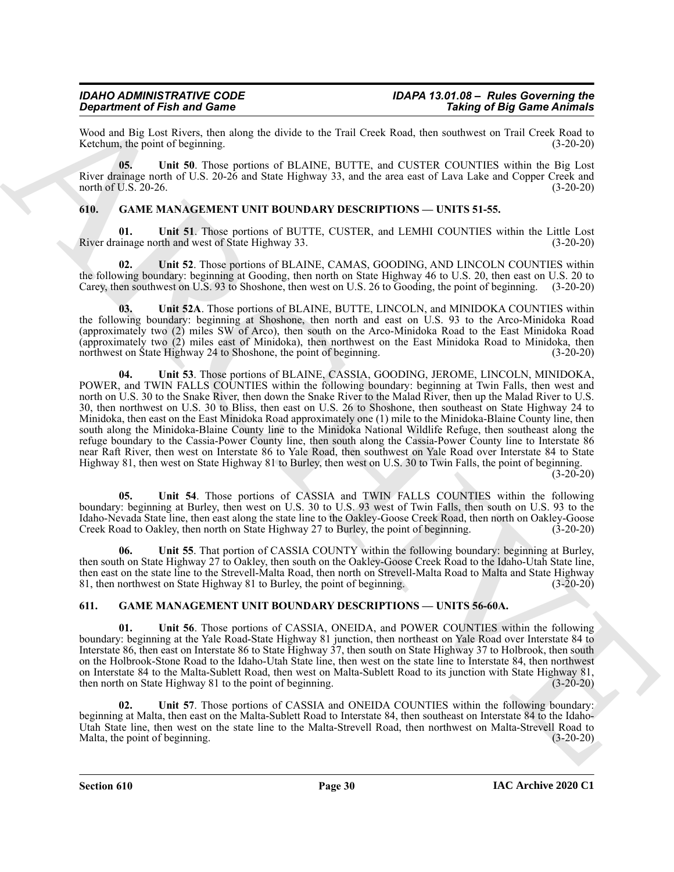Wood and Big Lost Rivers, then along the divide to the Trail Creek Road, then southwest on Trail Creek Road to Ketchum, the point of beginning.

<span id="page-29-4"></span>**05. Unit 50**. Those portions of BLAINE, BUTTE, and CUSTER COUNTIES within the Big Lost River drainage north of U.S. 20-26 and State Highway 33, and the area east of Lava Lake and Copper Creek and north of U.S. 20-26. (3-20-20)

#### <span id="page-29-2"></span><span id="page-29-0"></span>**610. GAME MANAGEMENT UNIT BOUNDARY DESCRIPTIONS — UNITS 51-55.**

<span id="page-29-5"></span>**Unit 51**. Those portions of BUTTE, CUSTER, and LEMHI COUNTIES within the Little Lost rth and west of State Highway 33. (3-20-20) River drainage north and west of State Highway 33.

<span id="page-29-6"></span>**02. Unit 52**. Those portions of BLAINE, CAMAS, GOODING, AND LINCOLN COUNTIES within the following boundary: beginning at Gooding, then north on State Highway 46 to U.S. 20, then east on U.S. 20 to Carey, then southwest on U.S. 93 to Shoshone, then west on U.S. 26 to Gooding, the point of beginning. (3-20-20)

<span id="page-29-8"></span><span id="page-29-7"></span>**03. Unit 52A**. Those portions of BLAINE, BUTTE, LINCOLN, and MINIDOKA COUNTIES within the following boundary: beginning at Shoshone, then north and east on U.S. 93 to the Arco-Minidoka Road (approximately two (2) miles SW of Arco), then south on the Arco-Minidoka Road to the East Minidoka Road (approximately two (2) miles east of Minidoka), then northwest on the East Minidoka Road to Minidoka, then northwest on State Highway 24 to Shoshone, the point of beginning. (3-20-20)

**Experiment of Finite and Some Taxas (A)** APV, Burning and C-131. Contained the same of Big Same Zame<br>
Now and Big Leve Reno, since the United States (MCTLE, and C-131. COVIDES with the United States (MCTLE)<br>
Now an Equip **04. Unit 53**. Those portions of BLAINE, CASSIA, GOODING, JEROME, LINCOLN, MINIDOKA, POWER, and TWIN FALLS COUNTIES within the following boundary: beginning at Twin Falls, then west and north on U.S. 30 to the Snake River, then down the Snake River to the Malad River, then up the Malad River to U.S. 30, then northwest on U.S. 30 to Bliss, then east on U.S. 26 to Shoshone, then southeast on State Highway 24 to Minidoka, then east on the East Minidoka Road approximately one (1) mile to the Minidoka-Blaine County line, then south along the Minidoka-Blaine County line to the Minidoka National Wildlife Refuge, then southeast along the refuge boundary to the Cassia-Power County line, then south along the Cassia-Power County line to Interstate 86 near Raft River, then west on Interstate 86 to Yale Road, then southwest on Yale Road over Interstate 84 to State Highway 81, then west on State Highway 81 to Burley, then west on U.S. 30 to Twin Falls, the point of beginning. (3-20-20)

<span id="page-29-9"></span>**05. Unit 54**. Those portions of CASSIA and TWIN FALLS COUNTIES within the following boundary: beginning at Burley, then west on U.S. 30 to U.S. 93 west of Twin Falls, then south on U.S. 93 to the Idaho-Nevada State line, then east along the state line to the Oakley-Goose Creek Road, then north on Oakley-Goose Creek Road to Oakley, then north on State Highway 27 to Burley, the point of beginning. (3-20-20)

<span id="page-29-10"></span>**06. Unit 55**. That portion of CASSIA COUNTY within the following boundary: beginning at Burley, then south on State Highway 27 to Oakley, then south on the Oakley-Goose Creek Road to the Idaho-Utah State line, then east on the state line to the Strevell-Malta Road, then north on Strevell-Malta Road to Malta and State Highway 81, then northwest on State Highway 81 to Burley, the point of beginning. (3-20-20)

#### <span id="page-29-3"></span><span id="page-29-1"></span>**611. GAME MANAGEMENT UNIT BOUNDARY DESCRIPTIONS — UNITS 56-60A.**

<span id="page-29-11"></span>Unit 56. Those portions of CASSIA, ONEIDA, and POWER COUNTIES within the following boundary: beginning at the Yale Road-State Highway 81 junction, then northeast on Yale Road over Interstate 84 to Interstate 86, then east on Interstate 86 to State Highway 37, then south on State Highway 37 to Holbrook, then south on the Holbrook-Stone Road to the Idaho-Utah State line, then west on the state line to Interstate 84, then northwest on Interstate 84 to the Malta-Sublett Road, then west on Malta-Sublett Road to its junction with State Highway 81, then north on State Highway 81 to the point of beginning. (3-20-20)

<span id="page-29-12"></span>**02. Unit 57**. Those portions of CASSIA and ONEIDA COUNTIES within the following boundary: beginning at Malta, then east on the Malta-Sublett Road to Interstate 84, then southeast on Interstate 84 to the Idaho-Utah State line, then west on the state line to the Malta-Strevell Road, then northwest on Malta-Strevell Road to Malta, the point of beginning.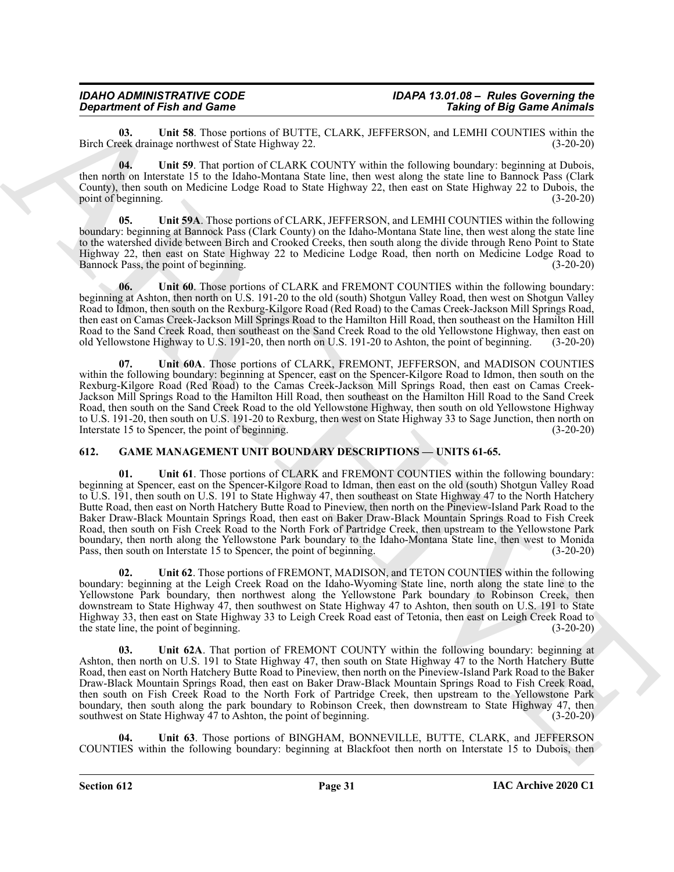#### *IDAHO ADMINISTRATIVE CODE IDAPA 13.01.08 – Rules Governing the Department of Fish and Game*

<span id="page-30-2"></span>**03.** Unit 58. Those portions of BUTTE, CLARK, JEFFERSON, and LEMHI COUNTIES within the eek drainage northwest of State Highway 22. (3-20-20) Birch Creek drainage northwest of State Highway 22.

<span id="page-30-3"></span>**04. Unit 59**. That portion of CLARK COUNTY within the following boundary: beginning at Dubois, then north on Interstate 15 to the Idaho-Montana State line, then west along the state line to Bannock Pass (Clark County), then south on Medicine Lodge Road to State Highway 22, then east on State Highway 22 to Dubois, the point of beginning.

<span id="page-30-4"></span>**05. Unit 59A**. Those portions of CLARK, JEFFERSON, and LEMHI COUNTIES within the following boundary: beginning at Bannock Pass (Clark County) on the Idaho-Montana State line, then west along the state line to the watershed divide between Birch and Crooked Creeks, then south along the divide through Reno Point to State Highway 22, then east on State Highway 22 to Medicine Lodge Road, then north on Medicine Lodge Road to Bannock Pass, the point of beginning.

<span id="page-30-5"></span>**06. Unit 60**. Those portions of CLARK and FREMONT COUNTIES within the following boundary: beginning at Ashton, then north on U.S. 191-20 to the old (south) Shotgun Valley Road, then west on Shotgun Valley Road to Idmon, then south on the Rexburg-Kilgore Road (Red Road) to the Camas Creek-Jackson Mill Springs Road, then east on Camas Creek-Jackson Mill Springs Road to the Hamilton Hill Road, then southeast on the Hamilton Hill Road to the Sand Creek Road, then southeast on the Sand Creek Road to the old Yellowstone Highway, then east on old Yellowstone Highway to U.S. 191-20, then north on U.S. 191-20 to Ashton, the point of beginning. (3-20-20) old Yellowstone Highway to U.S. 191-20, then north on U.S. 191-20 to Ashton, the point of beginning.

<span id="page-30-6"></span>**07. Unit 60A**. Those portions of CLARK, FREMONT, JEFFERSON, and MADISON COUNTIES within the following boundary: beginning at Spencer, east on the Spencer-Kilgore Road to Idmon, then south on the Rexburg-Kilgore Road (Red Road) to the Camas Creek-Jackson Mill Springs Road, then east on Camas Creek-Jackson Mill Springs Road to the Hamilton Hill Road, then southeast on the Hamilton Hill Road to the Sand Creek Road, then south on the Sand Creek Road to the old Yellowstone Highway, then south on old Yellowstone Highway to U.S. 191-20, then south on U.S. 191-20 to Rexburg, then west on State Highway 33 to Sage Junction, then north on Interstate 15 to Spencer, the point of beginning. (3-20-20) Interstate 15 to Spencer, the point of beginning.

#### <span id="page-30-7"></span><span id="page-30-1"></span><span id="page-30-0"></span>**612. GAME MANAGEMENT UNIT BOUNDARY DESCRIPTIONS — UNITS 61-65.**

**Department of Find and Construction** (EUTIE: CLAIM, JPPERSON, mixtures in the construction of English construction (Section 2002)<br>
Back Construction (Euris 2002) and the construction of EUTIE: CLAIM, JPPERSON, mixtures i **01. Unit 61**. Those portions of CLARK and FREMONT COUNTIES within the following boundary: beginning at Spencer, east on the Spencer-Kilgore Road to Idman, then east on the old (south) Shotgun Valley Road to U.S. 191, then south on U.S. 191 to State Highway 47, then southeast on State Highway 47 to the North Hatchery Butte Road, then east on North Hatchery Butte Road to Pineview, then north on the Pineview-Island Park Road to the Baker Draw-Black Mountain Springs Road, then east on Baker Draw-Black Mountain Springs Road to Fish Creek Road, then south on Fish Creek Road to the North Fork of Partridge Creek, then upstream to the Yellowstone Park boundary, then north along the Yellowstone Park boundary to the Idaho-Montana State line, then west to Monida Pass, then south on Interstate 15 to Spencer, the point of beginning. (3-20-20)

<span id="page-30-8"></span>**02. Unit 62**. Those portions of FREMONT, MADISON, and TETON COUNTIES within the following boundary: beginning at the Leigh Creek Road on the Idaho-Wyoming State line, north along the state line to the Yellowstone Park boundary, then northwest along the Yellowstone Park boundary to Robinson Creek, then downstream to State Highway 47, then southwest on State Highway 47 to Ashton, then south on U.S. 191 to State Highway 33, then east on State Highway 33 to Leigh Creek Road east of Tetonia, then east on Leigh Creek Road to the state line, the point of beginning.

<span id="page-30-9"></span>**03. Unit 62A**. That portion of FREMONT COUNTY within the following boundary: beginning at Ashton, then north on U.S. 191 to State Highway 47, then south on State Highway 47 to the North Hatchery Butte Road, then east on North Hatchery Butte Road to Pineview, then north on the Pineview-Island Park Road to the Baker Draw-Black Mountain Springs Road, then east on Baker Draw-Black Mountain Springs Road to Fish Creek Road, then south on Fish Creek Road to the North Fork of Partridge Creek, then upstream to the Yellowstone Park boundary, then south along the park boundary to Robinson Creek, then downstream to State Highway 47, then southwest on State Highway 47 to Ashton, the point of beginning. (3-20-20)

<span id="page-30-10"></span>**04. Unit 63**. Those portions of BINGHAM, BONNEVILLE, BUTTE, CLARK, and JEFFERSON COUNTIES within the following boundary: beginning at Blackfoot then north on Interstate 15 to Dubois, then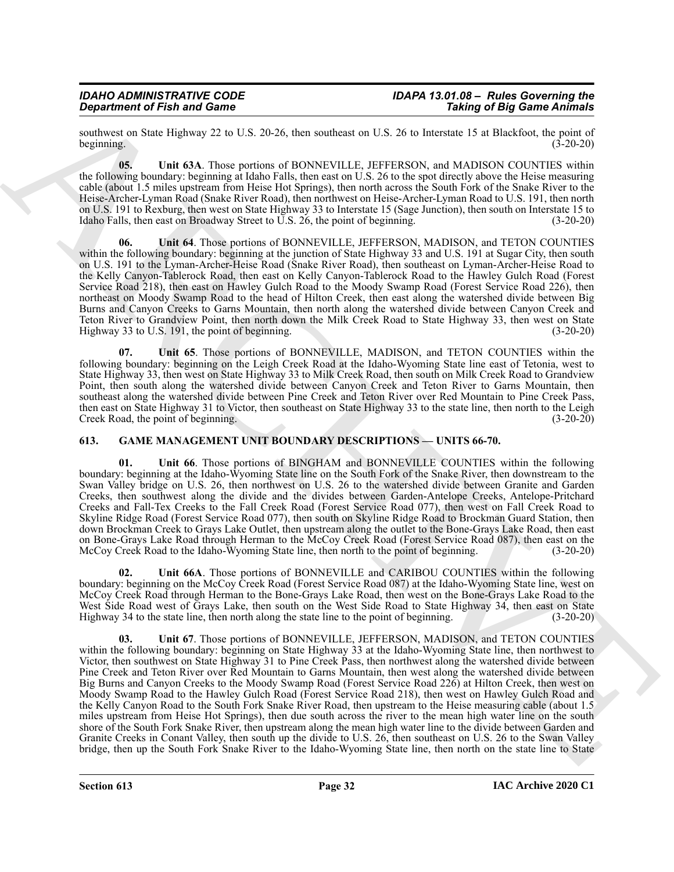southwest on State Highway 22 to U.S. 20-26, then southeast on U.S. 26 to Interstate 15 at Blackfoot, the point of beginning. (3-20-20) beginning.  $(3-20-20)$ 

<span id="page-31-2"></span>**05. Unit 63A**. Those portions of BONNEVILLE, JEFFERSON, and MADISON COUNTIES within the following boundary: beginning at Idaho Falls, then east on U.S. 26 to the spot directly above the Heise measuring cable (about 1.5 miles upstream from Heise Hot Springs), then north across the South Fork of the Snake River to the Heise-Archer-Lyman Road (Snake River Road), then northwest on Heise-Archer-Lyman Road to U.S. 191, then north on U.S. 191 to Rexburg, then west on State Highway 33 to Interstate 15 (Sage Junction), then south on Interstate 15 to Idaho Falls, then east on Broadway Street to U.S. 26, the point of beginning. (3-20-20)

<span id="page-31-3"></span>**06. Unit 64**. Those portions of BONNEVILLE, JEFFERSON, MADISON, and TETON COUNTIES within the following boundary: beginning at the junction of State Highway 33 and U.S. 191 at Sugar City, then south on U.S. 191 to the Lyman-Archer-Heise Road (Snake River Road), then southeast on Lyman-Archer-Heise Road to the Kelly Canyon-Tablerock Road, then east on Kelly Canyon-Tablerock Road to the Hawley Gulch Road (Forest Service Road 218), then east on Hawley Gulch Road to the Moody Swamp Road (Forest Service Road 226), then northeast on Moody Swamp Road to the head of Hilton Creek, then east along the watershed divide between Big Burns and Canyon Creeks to Garns Mountain, then north along the watershed divide between Canyon Creek and Teton River to Grandview Point, then north down the Milk Creek Road to State Highway 33, then west on State Highway 33 to U.S. 191, the point of beginning. (3-20-20)

<span id="page-31-4"></span>**07. Unit 65**. Those portions of BONNEVILLE, MADISON, and TETON COUNTIES within the following boundary: beginning on the Leigh Creek Road at the Idaho-Wyoming State line east of Tetonia, west to State Highway 33, then west on State Highway 33 to Milk Creek Road, then south on Milk Creek Road to Grandview Point, then south along the watershed divide between Canyon Creek and Teton River to Garns Mountain, then southeast along the watershed divide between Pine Creek and Teton River over Red Mountain to Pine Creek Pass, then east on State Highway 31 to Victor, then southeast on State Highway 33 to the state line, then north to the Leigh Creek Road, the point of beginning. (3-20-20)

#### <span id="page-31-1"></span><span id="page-31-0"></span>**613. GAME MANAGEMENT UNIT BOUNDARY DESCRIPTIONS — UNITS 66-70.**

<span id="page-31-5"></span>Unit 66. Those portions of BINGHAM and BONNEVILLE COUNTIES within the following boundary: beginning at the Idaho-Wyoming State line on the South Fork of the Snake River, then downstream to the Swan Valley bridge on U.S. 26, then northwest on U.S. 26 to the watershed divide between Granite and Garden Creeks, then southwest along the divide and the divides between Garden-Antelope Creeks, Antelope-Pritchard Creeks and Fall-Tex Creeks to the Fall Creek Road (Forest Service Road 077), then west on Fall Creek Road to Skyline Ridge Road (Forest Service Road 077), then south on Skyline Ridge Road to Brockman Guard Station, then down Brockman Creek to Grays Lake Outlet, then upstream along the outlet to the Bone-Grays Lake Road, then east on Bone-Grays Lake Road through Herman to the McCoy Creek Road (Forest Service Road 087), then east on the McCoy Creek Road to the Idaho-Wyoming State line, then north to the point of beginning. (3-20-20)

<span id="page-31-7"></span><span id="page-31-6"></span>**02. Unit 66A**. Those portions of BONNEVILLE and CARIBOU COUNTIES within the following boundary: beginning on the McCoy Creek Road (Forest Service Road 087) at the Idaho-Wyoming State line, west on McCoy Creek Road through Herman to the Bone-Grays Lake Road, then west on the Bone-Grays Lake Road to the West Side Road west of Grays Lake, then south on the West Side Road to State Highway 34, then east on State Highway 34 to the state line, then north along the state line to the point of beginning. (3-20-20)

Graduation of Finit and Granus C. 15 Co-26, the southern we U.S. 26 Granus C. 16 Granus C. 16 Granus C. 16 Granus C. 16 Granus C. 16 Granus C. 16 Granus C. 16 Granus C. 16 Granus C. 16 Granus C. 16 Granus C. 16 Granus C. **03. Unit 67**. Those portions of BONNEVILLE, JEFFERSON, MADISON, and TETON COUNTIES within the following boundary: beginning on State Highway 33 at the Idaho-Wyoming State line, then northwest to Victor, then southwest on State Highway 31 to Pine Creek Pass, then northwest along the watershed divide between Pine Creek and Teton River over Red Mountain to Garns Mountain, then west along the watershed divide between Big Burns and Canyon Creeks to the Moody Swamp Road (Forest Service Road 226) at Hilton Creek, then west on Moody Swamp Road to the Hawley Gulch Road (Forest Service Road 218), then west on Hawley Gulch Road and the Kelly Canyon Road to the South Fork Snake River Road, then upstream to the Heise measuring cable (about 1.5 miles upstream from Heise Hot Springs), then due south across the river to the mean high water line on the south shore of the South Fork Snake River, then upstream along the mean high water line to the divide between Garden and Granite Creeks in Conant Valley, then south up the divide to U.S. 26, then southeast on U.S. 26 to the Swan Valley bridge, then up the South Fork Snake River to the Idaho-Wyoming State line, then north on the state line to State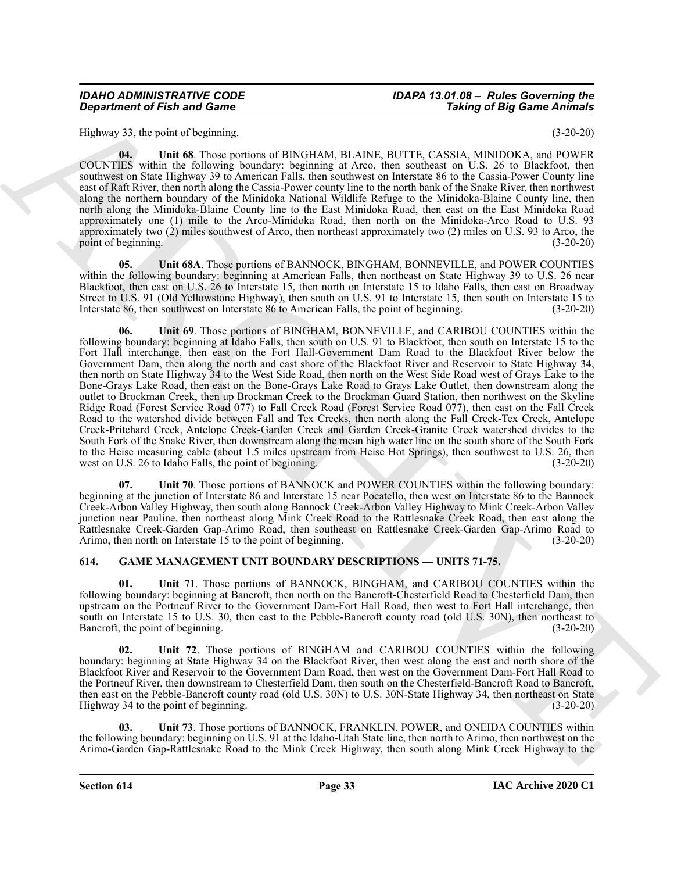## *IDAHO ADMINISTRATIVE CODE IDAPA 13.01.08 – Rules Governing the*

Highway 33, the point of beginning. (3-20-20)

<span id="page-32-2"></span>**04. Unit 68**. Those portions of BINGHAM, BLAINE, BUTTE, CASSIA, MINIDOKA, and POWER COUNTIES within the following boundary: beginning at Arco, then southeast on U.S. 26 to Blackfoot, then southwest on State Highway 39 to American Falls, then southwest on Interstate 86 to the Cassia-Power County line east of Raft River, then north along the Cassia-Power county line to the north bank of the Snake River, then northwest along the northern boundary of the Minidoka National Wildlife Refuge to the Minidoka-Blaine County line, then north along the Minidoka-Blaine County line to the East Minidoka Road, then east on the East Minidoka Road approximately one (1) mile to the Arco-Minidoka Road, then north on the Minidoka-Arco Road to U.S. 93 approximately two (2) miles southwest of Arco, then northeast approximately two (2) miles on U.S. 93 to Arco, the point of beginning.

<span id="page-32-4"></span><span id="page-32-3"></span>**05. Unit 68A**. Those portions of BANNOCK, BINGHAM, BONNEVILLE, and POWER COUNTIES within the following boundary: beginning at American Falls, then northeast on State Highway 39 to U.S. 26 near Blackfoot, then east on U.S. 26 to Interstate 15, then north on Interstate 15 to Idaho Falls, then east on Broadway Street to U.S. 91 (Old Yellowstone Highway), then south on U.S. 91 to Interstate 15, then south on Interstate 15 to Interstate 86, then southwest on Interstate 86 to American Falls, the point of beginning. (3-20-20) Interstate 86, then southwest on Interstate 86 to American Falls, the point of beginning.

**Conserve of Fish and Games Conserver Higgs and ACT in the set of Big Saim Cardinal Higgs and Eq. 23.** Leg paint de la set of Big Saim Cardinal Higgs and Conserver in the set of Conserver in the set of Conserver in the se **06. Unit 69**. Those portions of BINGHAM, BONNEVILLE, and CARIBOU COUNTIES within the following boundary: beginning at Idaho Falls, then south on U.S. 91 to Blackfoot, then south on Interstate 15 to the Fort Hall interchange, then east on the Fort Hall-Government Dam Road to the Blackfoot River below the Government Dam, then along the north and east shore of the Blackfoot River and Reservoir to State Highway 34, then north on State Highway 34 to the West Side Road, then north on the West Side Road west of Grays Lake to the Bone-Grays Lake Road, then east on the Bone-Grays Lake Road to Grays Lake Outlet, then downstream along the outlet to Brockman Creek, then up Brockman Creek to the Brockman Guard Station, then northwest on the Skyline Ridge Road (Forest Service Road 077) to Fall Creek Road (Forest Service Road 077), then east on the Fall Creek Road to the watershed divide between Fall and Tex Creeks, then north along the Fall Creek-Tex Creek, Antelope Creek-Pritchard Creek, Antelope Creek-Garden Creek and Garden Creek-Granite Creek watershed divides to the South Fork of the Snake River, then downstream along the mean high water line on the south shore of the South Fork to the Heise measuring cable (about 1.5 miles upstream from Heise Hot Springs), then southwest to U.S. 26, then west on U.S. 26 to Idaho Falls, the point of beginning. (3-20-20) west on U.S. 26 to Idaho Falls, the point of beginning.

<span id="page-32-5"></span>Unit 70. Those portions of BANNOCK and POWER COUNTIES within the following boundary: beginning at the junction of Interstate 86 and Interstate 15 near Pocatello, then west on Interstate 86 to the Bannock Creek-Arbon Valley Highway, then south along Bannock Creek-Arbon Valley Highway to Mink Creek-Arbon Valley junction near Pauline, then northeast along Mink Creek Road to the Rattlesnake Creek Road, then east along the Rattlesnake Creek-Garden Gap-Arimo Road, then southeast on Rattlesnake Creek-Garden Gap-Arimo Road to Arimo, then north on Interstate 15 to the point of beginning.

#### <span id="page-32-1"></span><span id="page-32-0"></span>**614. GAME MANAGEMENT UNIT BOUNDARY DESCRIPTIONS — UNITS 71-75.**

<span id="page-32-6"></span>**01. Unit 71**. Those portions of BANNOCK, BINGHAM, and CARIBOU COUNTIES within the following boundary: beginning at Bancroft, then north on the Bancroft-Chesterfield Road to Chesterfield Dam, then upstream on the Portneuf River to the Government Dam-Fort Hall Road, then west to Fort Hall interchange, then south on Interstate 15 to U.S. 30, then east to the Pebble-Bancroft county road (old U.S. 30N), then northeast to Bancroft, the point of beginning. (3-20-20) Bancroft, the point of beginning.

<span id="page-32-7"></span>**02. Unit 72**. Those portions of BINGHAM and CARIBOU COUNTIES within the following boundary: beginning at State Highway 34 on the Blackfoot River, then west along the east and north shore of the Blackfoot River and Reservoir to the Government Dam Road, then west on the Government Dam-Fort Hall Road to the Portneuf River, then downstream to Chesterfield Dam, then south on the Chesterfield-Bancroft Road to Bancroft, then east on the Pebble-Bancroft county road (old U.S. 30N) to U.S. 30N-State Highway 34, then northeast on State Highway 34 to the point of beginning. (3-20-20)

<span id="page-32-8"></span>**03. Unit 73**. Those portions of BANNOCK, FRANKLIN, POWER, and ONEIDA COUNTIES within the following boundary: beginning on U.S. 91 at the Idaho-Utah State line, then north to Arimo, then northwest on the Arimo-Garden Gap-Rattlesnake Road to the Mink Creek Highway, then south along Mink Creek Highway to the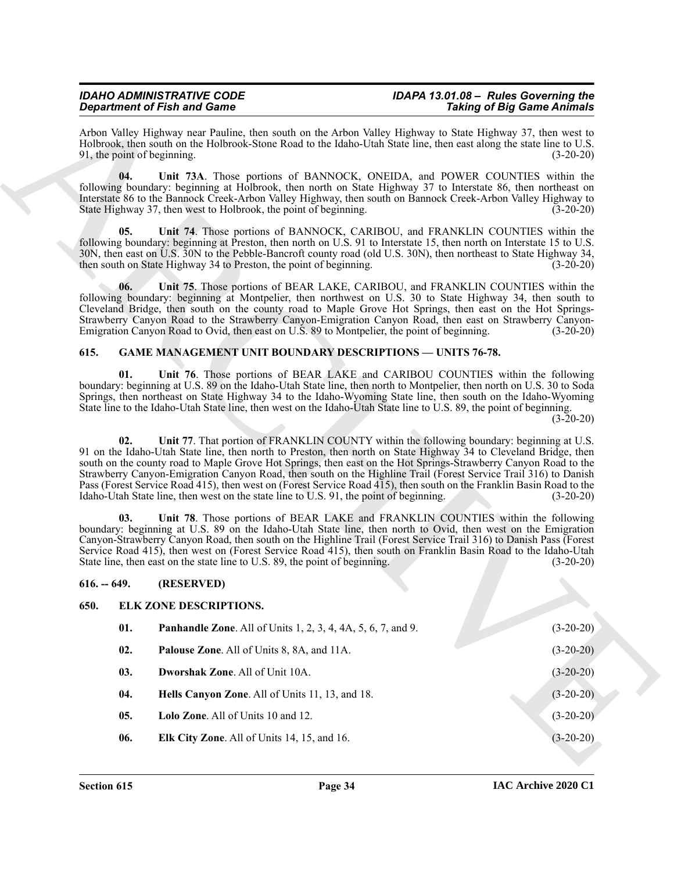#### *IDAHO ADMINISTRATIVE CODE IDAPA 13.01.08 – Rules Governing the Department of Fish and Game*

Arbon Valley Highway near Pauline, then south on the Arbon Valley Highway to State Highway 37, then west to Holbrook, then south on the Holbrook-Stone Road to the Idaho-Utah State line, then east along the state line to U.S. 91, the point of beginning. (3-20-20)

<span id="page-33-11"></span>**04. Unit 73A**. Those portions of BANNOCK, ONEIDA, and POWER COUNTIES within the following boundary: beginning at Holbrook, then north on State Highway 37 to Interstate 86, then northeast on Interstate 86 to the Bannock Creek-Arbon Valley Highway, then south on Bannock Creek-Arbon Valley Highway to State Highway 37, then west to Holbrook, the point of beginning. (3-20-20)

<span id="page-33-12"></span>**05. Unit 74**. Those portions of BANNOCK, CARIBOU, and FRANKLIN COUNTIES within the following boundary: beginning at Preston, then north on U.S. 91 to Interstate 15, then north on Interstate 15 to U.S. 30N, then east on U.S. 30N to the Pebble-Bancroft county road (old U.S. 30N), then northeast to State Highway 34, then south on State Highway 34 to Preston, the point of beginning. (3-20-20) then south on State Highway 34 to Preston, the point of beginning.

<span id="page-33-13"></span>**06. Unit 75**. Those portions of BEAR LAKE, CARIBOU, and FRANKLIN COUNTIES within the following boundary: beginning at Montpelier, then northwest on U.S. 30 to State Highway 34, then south to Cleveland Bridge, then south on the county road to Maple Grove Hot Springs, then east on the Hot Springs-Strawberry Canyon Road to the Strawberry Canyon-Emigration Canyon Road, then east on Strawberry Canyon-Emigration Canyon Road to Ovid, then east on U.S. 89 to Montpelier, the point of beginning. (3-20-20)

#### <span id="page-33-10"></span><span id="page-33-0"></span>**615. GAME MANAGEMENT UNIT BOUNDARY DESCRIPTIONS — UNITS 76-78.**

<span id="page-33-14"></span>**01. Unit 76**. Those portions of BEAR LAKE and CARIBOU COUNTIES within the following boundary: beginning at U.S. 89 on the Idaho-Utah State line, then north to Montpelier, then north on U.S. 30 to Soda Springs, then northeast on State Highway 34 to the Idaho-Wyoming State line, then south on the Idaho-Wyoming State line to the Idaho-Utah State line, then west on the Idaho-Utah State line to U.S. 89, the point of beginning.

(3-20-20)

<span id="page-33-15"></span>**02.** Unit 77. That portion of FRANKLIN COUNTY within the following boundary: beginning at U.S. 91 on the Idaho-Utah State line, then north to Preston, then north on State Highway 34 to Cleveland Bridge, then south on the county road to Maple Grove Hot Springs, then east on the Hot Springs-Strawberry Canyon Road to the Strawberry Canyon-Emigration Canyon Road, then south on the Highline Trail (Forest Service Trail 316) to Danish Pass (Forest Service Road 415), then west on (Forest Service Road 415), then south on the Franklin Basin Road to the Idaho-Utah State line, then west on the state line to U.S. 91, the point of beginning. (3-20-20)

<span id="page-33-16"></span>**03. Unit 78**. Those portions of BEAR LAKE and FRANKLIN COUNTIES within the following boundary: beginning at U.S. 89 on the Idaho-Utah State line, then north to Ovid, then west on the Emigration Canyon-Strawberry Canyon Road, then south on the Highline Trail (Forest Service Trail 316) to Danish Pass (Forest Service Road 415), then west on (Forest Service Road 415), then south on Franklin Basin Road to the Idaho-Utah State line, then east on the state line to U.S. 89, the point of beginning. (3-20-20) State line, then east on the state line to U.S. 89, the point of beginning.

#### <span id="page-33-9"></span><span id="page-33-8"></span><span id="page-33-7"></span><span id="page-33-6"></span><span id="page-33-5"></span><span id="page-33-4"></span><span id="page-33-3"></span><span id="page-33-2"></span><span id="page-33-1"></span>**616. -- 649. (RESERVED)**

# **Sparkers of Fair and Connect System.** The finite of the state of Fair Connect System Connect System Connect System Connect System Connect System Connect System Connect System Connect System Connect System Connect System **650. ELK ZONE DESCRIPTIONS. 01. Panhandle Zone**. All of Units 1, 2, 3, 4, 4A, 5, 6, 7, and 9. (3-20-20) **02. Palouse Zone**. All of Units 8, 8A, and 11A. (3-20-20) **03. Dworshak Zone**. All of Unit 10A. (3-20-20) **04. Hells Canyon Zone**. All of Units 11, 13, and 18. **Can be able to all of Units 11, 13, and 18. <b>(3-20-20) 05. Lolo Zone**. All of Units 10 and 12. (3-20-20) **06. Elk City Zone**. All of Units 14, 15, and 16. (3-20-20)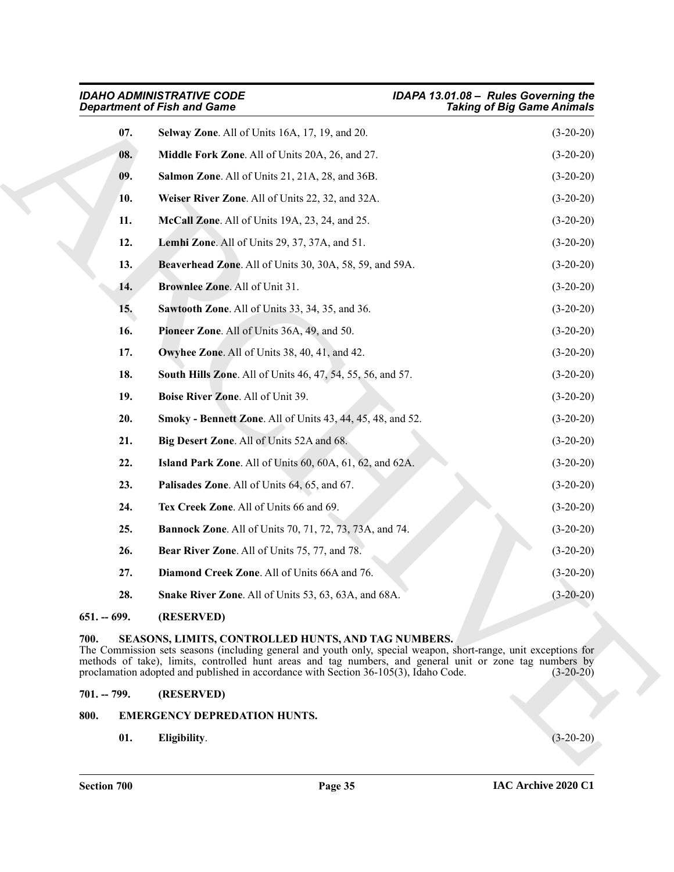<span id="page-34-25"></span><span id="page-34-20"></span><span id="page-34-19"></span><span id="page-34-18"></span><span id="page-34-17"></span><span id="page-34-15"></span><span id="page-34-14"></span><span id="page-34-13"></span><span id="page-34-12"></span><span id="page-34-9"></span><span id="page-34-6"></span>

|               | <b>IDAHO ADMINISTRATIVE CODE</b><br><b>Department of Fish and Game</b>                                                                                                                                                                                                                                                                                                     | IDAPA 13.01.08 - Rules Governing the<br><b>Taking of Big Game Animals</b> |
|---------------|----------------------------------------------------------------------------------------------------------------------------------------------------------------------------------------------------------------------------------------------------------------------------------------------------------------------------------------------------------------------------|---------------------------------------------------------------------------|
| 07.           | Selway Zone. All of Units 16A, 17, 19, and 20.                                                                                                                                                                                                                                                                                                                             | $(3-20-20)$                                                               |
| 08.           | Middle Fork Zone. All of Units 20A, 26, and 27.                                                                                                                                                                                                                                                                                                                            | $(3-20-20)$                                                               |
| 09.           | Salmon Zone. All of Units 21, 21A, 28, and 36B.                                                                                                                                                                                                                                                                                                                            | $(3-20-20)$                                                               |
| 10.           | Weiser River Zone. All of Units 22, 32, and 32A.                                                                                                                                                                                                                                                                                                                           | $(3-20-20)$                                                               |
| 11.           | McCall Zone. All of Units 19A, 23, 24, and 25.                                                                                                                                                                                                                                                                                                                             | $(3-20-20)$                                                               |
| 12.           | Lemhi Zone. All of Units 29, 37, 37A, and 51.                                                                                                                                                                                                                                                                                                                              | $(3-20-20)$                                                               |
| 13.           | Beaverhead Zone. All of Units 30, 30A, 58, 59, and 59A.                                                                                                                                                                                                                                                                                                                    | $(3-20-20)$                                                               |
| 14.           | Brownlee Zone. All of Unit 31.                                                                                                                                                                                                                                                                                                                                             | $(3-20-20)$                                                               |
| 15.           | Sawtooth Zone. All of Units 33, 34, 35, and 36.                                                                                                                                                                                                                                                                                                                            | $(3-20-20)$                                                               |
| 16.           | Pioneer Zone. All of Units 36A, 49, and 50.                                                                                                                                                                                                                                                                                                                                | $(3-20-20)$                                                               |
| 17.           | Owyhee Zone. All of Units 38, 40, 41, and 42.                                                                                                                                                                                                                                                                                                                              | $(3-20-20)$                                                               |
| 18.           | <b>South Hills Zone.</b> All of Units 46, 47, 54, 55, 56, and 57.                                                                                                                                                                                                                                                                                                          | $(3-20-20)$                                                               |
| 19.           | Boise River Zone. All of Unit 39.                                                                                                                                                                                                                                                                                                                                          | $(3-20-20)$                                                               |
| 20.           | Smoky - Bennett Zone. All of Units 43, 44, 45, 48, and 52.                                                                                                                                                                                                                                                                                                                 | $(3-20-20)$                                                               |
| 21.           | Big Desert Zone. All of Units 52A and 68.                                                                                                                                                                                                                                                                                                                                  | $(3-20-20)$                                                               |
| 22.           | Island Park Zone. All of Units 60, 60A, 61, 62, and 62A.                                                                                                                                                                                                                                                                                                                   | $(3-20-20)$                                                               |
| 23.           | Palisades Zone. All of Units 64, 65, and 67.                                                                                                                                                                                                                                                                                                                               | $(3-20-20)$                                                               |
| 24.           | Tex Creek Zone. All of Units 66 and 69.                                                                                                                                                                                                                                                                                                                                    | $(3-20-20)$                                                               |
| 25.           | <b>Bannock Zone.</b> All of Units 70, 71, 72, 73, 73A, and 74.                                                                                                                                                                                                                                                                                                             | $(3-20-20)$                                                               |
| 26.           | Bear River Zone. All of Units 75, 77, and 78.                                                                                                                                                                                                                                                                                                                              | $(3-20-20)$                                                               |
| 27.           | Diamond Creek Zone. All of Units 66A and 76.                                                                                                                                                                                                                                                                                                                               | $(3-20-20)$                                                               |
| 28.           | Snake River Zone. All of Units 53, 63, 63A, and 68A.                                                                                                                                                                                                                                                                                                                       | $(3-20-20)$                                                               |
| $651 - 699.$  | (RESERVED)                                                                                                                                                                                                                                                                                                                                                                 |                                                                           |
| 700.          | SEASONS, LIMITS, CONTROLLED HUNTS, AND TAG NUMBERS.<br>The Commission sets seasons (including general and youth only, special weapon, short-range, unit exceptions for<br>methods of take), limits, controlled hunt areas and tag numbers, and general unit or zone tag numbers by<br>proclamation adopted and published in accordance with Section 36-105(3), Idaho Code. | $(3-20-20)$                                                               |
| $701. - 799.$ | (RESERVED)                                                                                                                                                                                                                                                                                                                                                                 |                                                                           |
| 800.          | <b>EMERGENCY DEPREDATION HUNTS.</b>                                                                                                                                                                                                                                                                                                                                        |                                                                           |
| 01.           | Eligibility.                                                                                                                                                                                                                                                                                                                                                               | $(3-20-20)$                                                               |

## <span id="page-34-28"></span><span id="page-34-24"></span><span id="page-34-23"></span><span id="page-34-22"></span><span id="page-34-21"></span><span id="page-34-16"></span><span id="page-34-11"></span><span id="page-34-10"></span><span id="page-34-8"></span><span id="page-34-7"></span><span id="page-34-5"></span><span id="page-34-4"></span><span id="page-34-1"></span><span id="page-34-0"></span>**700. SEASONS, LIMITS, CONTROLLED HUNTS, AND TAG NUMBERS.**

#### <span id="page-34-2"></span>**701. -- 799. (RESERVED)**

- <span id="page-34-27"></span><span id="page-34-26"></span><span id="page-34-3"></span>**800. EMERGENCY DEPREDATION HUNTS.**
	- **01. Eligibility**. (3-20-20)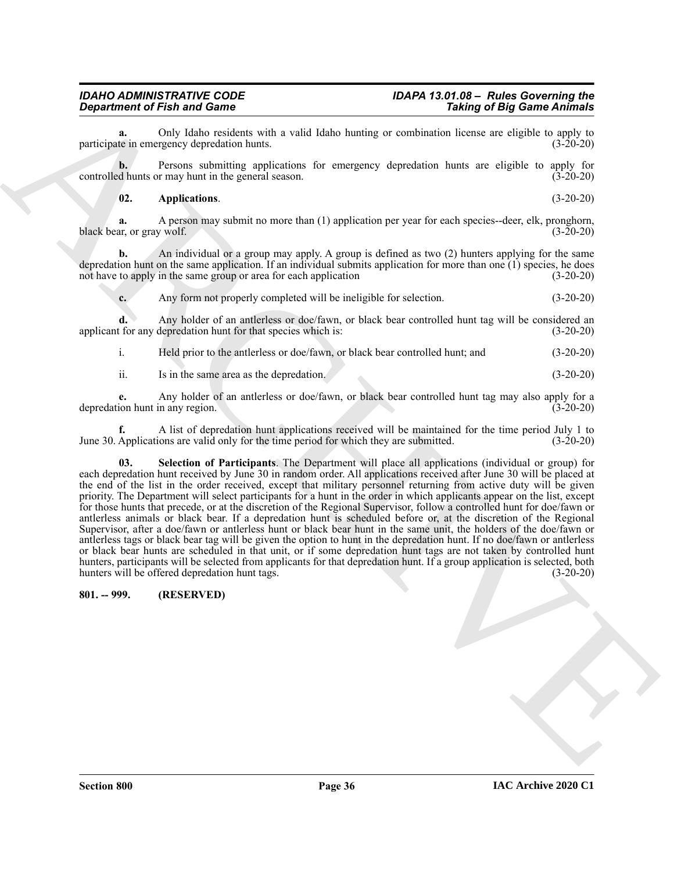Only Idaho residents with a valid Idaho hunting or combination license are eligible to apply to regncy depredation hunts. (3-20-20) participate in emergency depredation hunts.

**b.** Persons submitting applications for emergency depredation hunts are eligible to apply for controlled hunts or may hunt in the general season. (3-20-20)

#### <span id="page-35-1"></span>**02. Applications**. (3-20-20)

**a.** A person may submit no more than (1) application per year for each species--deer, elk, pronghorn, black bear, or gray wolf. (3-20-20)

**b.** An individual or a group may apply. A group is defined as two (2) hunters applying for the same depredation hunt on the same application. If an individual submits application for more than one (1) species, he does not have to apply in the same group or area for each application (3-20-20)

**c.** Any form not properly completed will be ineligible for selection. (3-20-20)

**d.** Any holder of an antlerless or doe/fawn, or black bear controlled hunt tag will be considered an applicant for any depredation hunt for that species which is: (3-20-20)

i. Held prior to the antlerless or doe/fawn, or black bear controlled hunt; and (3-20-20)

ii. Is in the same area as the depredation. (3-20-20)

**e.** Any holder of an antlerless or doe/fawn, or black bear controlled hunt tag may also apply for a depredation hunt in any region.

<span id="page-35-2"></span>**f.** A list of depredation hunt applications received will be maintained for the time period July 1 to June 30. Applications are valid only for the time period for which they are submitted.

**Experiment of Find and Connective spin and Connective Section 2.** Therefore are extended to the spin and Connective Section 2.<br>
A Channel Connection 2. The spin and Connective Section 2. The spin and Connective Section 2 **03. Selection of Participants**. The Department will place all applications (individual or group) for each depredation hunt received by June 30 in random order. All applications received after June 30 will be placed at the end of the list in the order received, except that military personnel returning from active duty will be given priority. The Department will select participants for a hunt in the order in which applicants appear on the list, except for those hunts that precede, or at the discretion of the Regional Supervisor, follow a controlled hunt for doe/fawn or antlerless animals or black bear. If a depredation hunt is scheduled before or, at the discretion of the Regional Supervisor, after a doe/fawn or antlerless hunt or black bear hunt in the same unit, the holders of the doe/fawn or antlerless tags or black bear tag will be given the option to hunt in the depredation hunt. If no doe/fawn or antlerless or black bear hunts are scheduled in that unit, or if some depredation hunt tags are not taken by controlled hunt hunters, participants will be selected from applicants for that depredation hunt. If a group application is selected, both hunters will be offered depredation hunt tags. (3-20-20)

#### <span id="page-35-0"></span>**801. -- 999. (RESERVED)**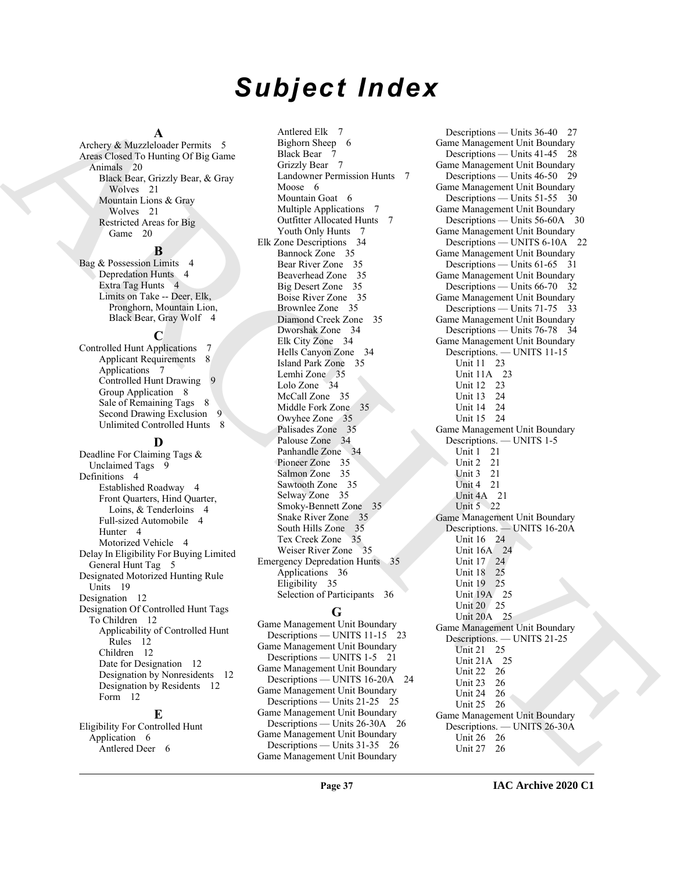# *Subject Index*

#### **A**

Archery & Muzzleloader Permits 5 Areas Closed To Hunting Of Big Game Animals 20 Black Bear, Grizzly Bear, & Gray Wolves 21 Mountain Lions & Gray Wolves 21 Restricted Areas for Big Game 20

#### **B**

Bag & Possession Limits 4 Depredation Hunts 4 Extra Tag Hunts 4 Limits on Take -- Deer, Elk, Pronghorn, Mountain Lion, Black Bear, Gray Wolf 4

#### **C**

Controlled Hunt Applications 7 Applicant Requirements 8 Applications 7 Controlled Hunt Drawing Group Application 8 Sale of Remaining Tags 8 Second Drawing Exclusion 9 Unlimited Controlled Hunts 8

#### **D**

Deadline For Claiming Tags & Unclaimed Tags 9 Definitions 4 Established Roadway 4 Front Quarters, Hind Quarter, Loins, & Tenderloins 4 Full-sized Automobile 4 Hunter 4 Motorized Vehicle 4 Delay In Eligibility For Buying Limited General Hunt Tag 5 Designated Motorized Hunting Rule Units 19 Designation 12 Designation Of Controlled Hunt Tags To Children 12 Applicability of Controlled Hunt Rules 12 Children 12 Date for Designation 12 Designation by Nonresidents 12 Designation by Residents 12 Form 12

#### **E**

Eligibility For Controlled Hunt Application 6 Antlered Deer 6

Antlered Elk 7 Bighorn Sheep 6 Black Bear 7 Grizzly Bear 7 Landowner Permission Hunts 7 Moose 6 Mountain Goat 6 Multiple Applications 7 Outfitter Allocated Hunts 7 Youth Only Hunts 7 Elk Zone Descriptions 34 Bannock Zone 35 Bear River Zone 35 Beaverhead Zone 35 Big Desert Zone 35 Boise River Zone 35 Brownlee Zone 35 Diamond Creek Zone 35 Dworshak Zone 34 Elk City Zone 34 Hells Canyon Zone 34 Island Park Zone 35 Lemhi Zone 35 Lolo Zone 34 McCall Zone 35 Middle Fork Zone 35 Owyhee Zone 35 Palisades Zone 35 Palouse Zone 34 Panhandle Zone 34 Pioneer Zone 35 Salmon Zone 35 Sawtooth Zone 35 Selway Zone 35 Smoky-Bennett Zone 35 Snake River Zone 35 South Hills Zone 35 Tex Creek Zone 35 Weiser River Zone 35 Emergency Depredation Hunts 35 Applications 36 Eligibility 35 Selection of Participants 36

#### **G**

Game Management Unit Boundary Descriptions — UNITS 11-15 23 Game Management Unit Boundary Descriptions — UNITS 1-5 21 Game Management Unit Boundary Descriptions — UNITS 16-20A 24 Game Management Unit Boundary Descriptions — Units 21-25 25 Game Management Unit Boundary Descriptions — Units 26-30A 26 Game Management Unit Boundary Descriptions — Units 31-35 26 Game Management Unit Boundary

[A](#page-19-4)rchives A horizontal control in the control of the control in the control of the control of the control of the control of the control of the control of the control of the control of the control of the control of the cont Descriptions — Units 36-40 27 Game Management Unit Boundary Descriptions — Units 41-45 28 Game Management Unit Boundary Descriptions — Units 46-50 29 Game Management Unit Boundary Descriptions — Units 51-55 30 Game Management Unit Boundary Descriptions — Units 56-60A 30 Game Management Unit Boundary Descriptions — UNITS 6-10A 22 Game Management Unit Boundary Descriptions — Units 61-65 31 Game Management Unit Boundary Descriptions — Units 66-70 32 Game Management Unit Boundary Descriptions — Units 71-75 33 Game Management Unit Boundary Descriptions — Units 76-78 34 Game Management Unit Boundary Descriptions. — UNITS 11-15 Unit 11 23 Unit 11A 23 Unit 12 23 Unit 13 24 Unit 14 24 Unit 15 24 Game Management Unit Boundary Descriptions. — UNITS 1-5 Unit 1 21 Unit 2 21 Unit 3 21 Unit 4 21 Unit 4A 21 Unit 5 22 Game Management Unit Boundary Descriptions. — UNITS 16-20A Unit 16 24 Unit 16A 24 Unit 17 24 Unit 18 25 Unit 19 25 Unit 19A 25 Unit 20 25 Unit 20A 25 Game Management Unit Boundary Descriptions. — UNITS 21-25 Unit 21 25 Unit 21A 25 Unit 22 26 Unit 23 26 Unit 24 26 Unit 25 26 Game Management Unit Boundary Descriptions. — UNITS 26-30A Unit 26 26 Unit 27 26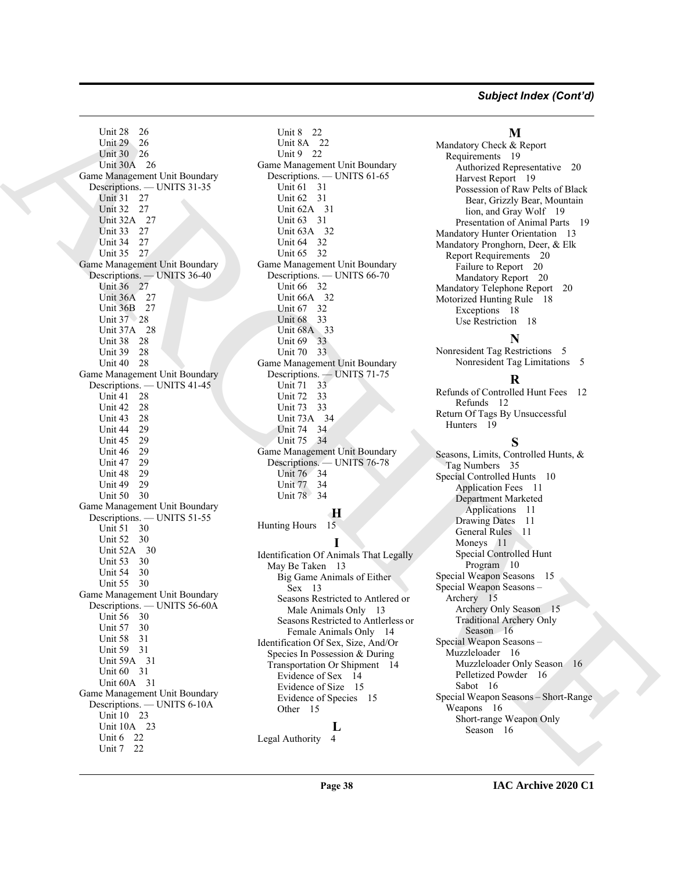#### *Subject Index (Cont'd)*

Used S. 25<br>
Used S. 26<br>
Used S. 36<br>
(mail 20, 26<br>
2003 - [A](#page-25-10)ll and [C](#page-31-6)ontent Content Content Content Content Content Content Content Content<br>
Content Content Content Content Content Content Content Content Content Content<br>
Co Unit 28 26 Unit 29 26 Unit 30 26 Unit 30A 26 Game Management Unit Boundary Descriptions. — UNITS 31-35 Unit 31 27 Unit 32 27 Unit 32A 27 Unit 33 27 Unit 34 27 Unit 35 27 Game Management Unit Boundary Descriptions. — UNITS 36-40 Unit 36 27 Unit 36A 27 Unit 36B 27 Unit 37 28 Unit 37A 28 Unit 38 28 Unit 39 28 Unit 40 28 Game Management Unit Boundary Descriptions. — UNITS 41-45 Unit 41 28 Unit 42 28 Unit 43 28<br>Unit 44 29 Unit 44 Unit 45 29 Unit 46 29 Unit 47 29 Unit 48 29 Unit 49 29 Unit 50 30 Game Management Unit Boundary Descriptions. — UNITS 51-55 Unit 51 30 Unit 52 30 Unit 52A 30 Unit 53 30 Unit 54 30 Unit 55 30 Game Management Unit Boundary Descriptions. — UNITS 56-60A Unit 56 30 Unit 57 30 Unit 58 31 Unit 59 31 Unit 59A 31 Unit 60 31 Unit 60A 31 Game Management Unit Boundary Descriptions. — UNITS 6-10A Unit 10 23 Unit 10A 23 Unit 6 22 Unit 7 22

Unit 8 22 Unit 8A 22 Unit 9 22 Game Management Unit Boundary Descriptions. — UNITS 61-65 Unit 61 31 Unit 62 31 Unit 62A 31 Unit 63 31 Unit 63A 32 Unit 64 32 Unit 65 32 Game Management Unit Boundary Descriptions. — UNITS 66-70 Unit 66 32 Unit 66A 32 Unit 67 32 Unit 68 33 Unit 68A 33 Unit 69 33 Unit 70 33 Game Management Unit Boundary Descriptions. — UNITS 71-75 Unit 71 33 Unit 72 33 Unit 73 33 Unit 73A 34 Unit 74 34 Unit 75 34 Game Management Unit Boundary Descriptions. — UNITS 76-78 Unit 76 34 Unit 77 34 Unit 78 34

#### **H** Hunting Hours 15

**I** Identification Of Animals That Legally May Be Taken 13 Big Game Animals of Either Sex 13 Seasons Restricted to Antlered or Male Animals Only 13 Seasons Restricted to Antlerless or Female Animals Only 14 Identification Of Sex, Size, And/Or Species In Possession & During Transportation Or Shipment 14 Evidence of Sex 14 Evidence of Size 15 Evidence of Species 15 Other 15 **L**

Legal Authority 4

## **M**

Mandatory Check & Report Requirements 19 Authorized Representative 20 Harvest Report 19 Possession of Raw Pelts of Black Bear, Grizzly Bear, Mountain lion, and Gray Wolf 19 Presentation of Animal Parts 19 Mandatory Hunter Orientation 13 Mandatory Pronghorn, Deer, & Elk Report Requirements 20 Failure to Report 20 Mandatory Report 20 Mandatory Telephone Report 20 Motorized Hunting Rule 18 Exceptions 18 Use Restriction 18

#### **N**

Nonresident Tag Restrictions 5 Nonresident Tag Limitations 5

#### **R**

Refunds of Controlled Hunt Fees 12 Refunds 12 Return Of Tags By Unsuccessful Hunters 19

#### **S**

Seasons, Limits, Controlled Hunts, & Tag Numbers 35 Special Controlled Hunts 10 Application Fees 11 Department Marketed Applications 11 Drawing Dates 11 General Rules 11 Moneys 11 Special Controlled Hunt Program 10 Special Weapon Seasons 15 Special Weapon Seasons – Archery 15 Archery Only Season 15 Traditional Archery Only Season 16 Special Weapon Seasons – Muzzleloader 16 Muzzleloader Only Season 16 Pelletized Powder 16 Sabot 16 Special Weapon Seasons – Short-Range Weapons 16 Short-range Weapon Only Season 16